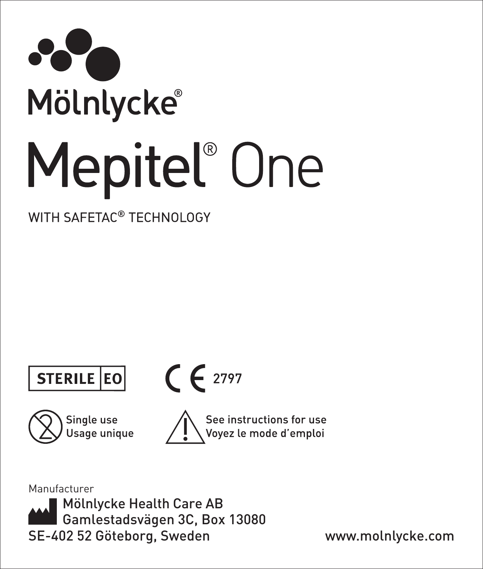

WITH SAFETAC® TECHNOLOGY





 $C \in 2797$ 





Manufacturer

Mölnlycke Health Care AB Gamlestadsvägen 3C, Box 13080 SE-402 52 Göteborg, Sweden www.molnlycke.com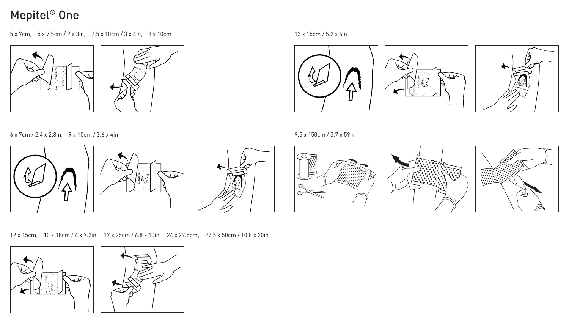5 x 7cm, 5 x 7.5cm / 2 x 3in, 7.5 x 10cm / 3 x 4in, 8 x 10cm 13 x 15cm / 5.2 x 6in





6 x 7cm / 2.4 x 2.8in, 9 x 10cm / 3.6 x 4in 9.5 x 150cm / 3.7 x 59in







12 x 15cm, 10 x 18cm / 4 x 7.2in, 17 x 25cm / 6.8 x 10in, 24 x 27.5cm, 27.5 x 50cm / 10.8 x 20in















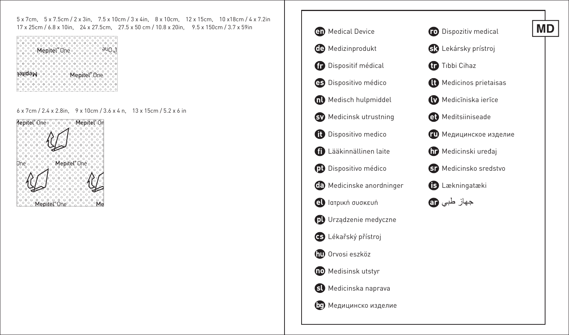5 x 7cm, 5 x 7.5cm / 2 x 3in, 7.5 x 10cm / 3 x 4in, 8 x 10cm, 12 x 15cm, 10 x18cm / 4 x 7.2in 17 x 25cm / 6.8 x 10in, 24 x 27.5cm, 27.5 x 50 cm / 10.8 x 20in, 9.5 x 150cm / 3.7 x 59in **CD** Medical Device

| ۰                                                           |
|-------------------------------------------------------------|
|                                                             |
| epitel v                                                    |
|                                                             |
|                                                             |
|                                                             |
|                                                             |
| c                                                           |
|                                                             |
|                                                             |
|                                                             |
| Mepitel <sup>®</sup> One <sup>®</sup><br>Mepitel<br>$\circ$ |
|                                                             |
|                                                             |
|                                                             |
| ◠<br>n                                                      |
|                                                             |
|                                                             |
|                                                             |

6 x 7cm / 2.4 x 2.8in, 9 x 10cm / 3.6 x 4 n, 13 x 15cm / 5.2 x 6 in





**MD**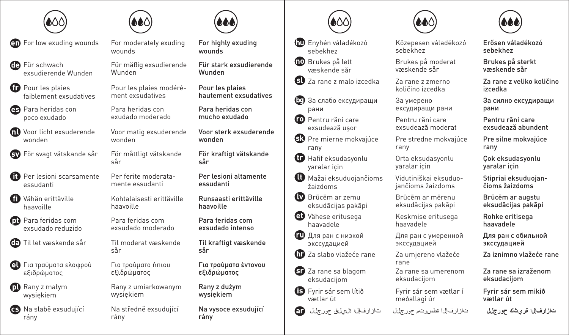

For low exuding wounds For moderately exuding

**GD** Für schwach exsudierende Wunden

Pour les plaies faiblement exsudatives

Para heridas con poco exudado

Voor licht exsuderende wonden

För svagt vätskande sår För måttligt vätskande

- **n** Per lesioni scarsamente essudanti
- Vähän erittäville haavoille

Para feridas com exsudado reduzido

- Til let væskende sår Til moderat væskende
- Για τραύματα ελαφρού εξιδρώματος

Rany z małym wysiękiem

Na slabě exsudující rány



wounds

Für mäßig exsudierende Wunden

Pour les plaies modérément exsudatives

Para heridas con exudado moderado

Voor matig exsuderende wonden

sår

Per ferite moderatamente essudanti

Kohtalaisesti erittäville haavoille

Para feridas com exsudado moderado

sår

Για τραύματα ήπιου εξιδρώματος

Rany z umiarkowanym wysiękiem

Na středně exsudující rány



For highly exuding wounds

Für stark exsudierende Wunden

Pour les plaies hautement exsudatives

Para heridas con mucho exudado

Voor sterk exsuderende wonden

För kraftigt vätskande sår

Per lesioni altamente essudanti

Runsaasti erittäville haavoille

Para feridas com exsudado intenso

Til kraftigt væskende sår

Για τραύματα έντονου εξιδρώματος

Rany z dużym wysiękiem

Na vysoce exsudující rány



- Enyhén váladékozó sebekhez
- **DD** Brukes på lett væskende sår

Za rane z malo izcedka Za rane z zmerno

- За слабо ексудиращи рани
- **Pentru răni care** exsudează uşor
- **B3** Pre mierne mokvajúce rany
- $\mathbf{\Omega}$  Hafif eksudasyonlu yaralar için
- $\mathbf 0$  Mažai eksuduojančioms žaizdoms
- $\blacksquare$  Brūcēm ar zemu eksudācijas pakāpi
- Vähese eritusega haavadele
- Для ран с низкой экссудацией
- Za slabo vlažeće rane Za umjereno vlažeće
- **B** Za rane sa blagom eksudacijom
- **B** Fyrir sár sem lítið vætlar út





sebekhez

væskende sår

količino izcedka

exsudează moderat

Pre stredne mokvajúce rany

Orta eksudasyonlu yaralar için

Vidutiniškai eksuduojančioms žaizdoms

eksudācijas pakāpi

Keskmise eritusega haavadele

Для ран с умеренной экссудацией

rane

Za rane sa umerenom eksudacijom

Fyrir sár sem vætlar í meðallagi úr

За умерено

Közepesen váladékozó

Erősen váladékozó sebekhez

Brukes på sterkt væskende sår

Za rane z veliko količino

За силно ексудиращи

Pre silne mokvajúce

Çok eksudasyonlu yaralar için

Stipriai eksuduojančioms žaizdoms

Brūcēm ar augstu eksudācijas pakāpi

Rohke eritisega haavadele

Для ран с обильной экссудацией

Za iznimno vlažeće rane

Za rane sa izraženom eksudacijom

Fyrir sár sem mikið vætlar út

Pentru răni care exsudează abundent

rany

izcedka

рани

Brukes på moderat

ексудиращи рани

Pentru răni care

Brūcēm ar mērenu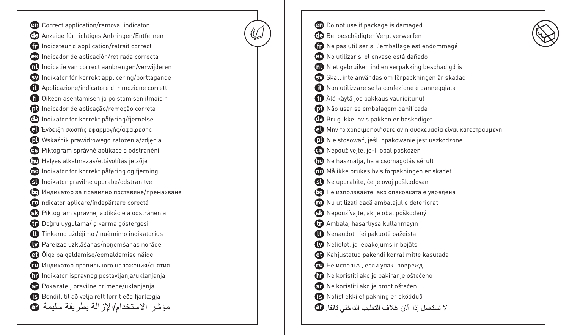Correct application/removal indicator Anzeige für richtiges Anbringen/Entfernen Indicateur d'application/retrait correct Indicador de aplicación/retirada correcta Indicatie van correct aanbrengen/verwijderen Indikator för korrekt applicering/borttagande Applicazione/indicatore di rimozione corretti Oikean asentamisen ja poistamisen ilmaisin Indicador de aplicação/remoção correta Indikator for korrekt påføring/fjernelse Ένδειξη σωστής εφαρμογής/αφαίρεσης Wskaźnik prawidłowego założenia/zdjęcia Piktogram správné aplikace a odstranění  **Helyes alkalmazás/eltávolítás jelzője** Indikator for korrekt påføring og fjerning Indikator pravilne uporabe/odstranitve Индикатор за правилно поставяне/премахване ndicator aplicare/îndepărtare corectă Piktogram správnej aplikácie a odstránenia Doğru uygulama/ çıkarma göstergesi Tinkamo uždėjimo / nuėmimo indikatorius Pareizas uzklāšanas/noņemšanas norāde Õige paigaldamise/eemaldamise näide Индикатор правильного наложения/снятия Indikator ispravnog postavljanja/uklanjanja Pokazatelj pravilne primene/uklanjanja Bendill til að velja rétt forrit eða fjarlægja مؤشر الاستخدام/الإز الة بطر يقة سليمة @

Do not use if package is damaged Bei beschädigter Verp. verwerfen Ne pas utiliser si l'emballage est endommagé No utilizar si el envase está dañado  $\mathbf{\Omega}$  Niet gebruiken indien verpakking beschadigd is Skall inte användas om förpackningen är skadad Non utilizzare se la confezione è danneggiata Älä käytä jos pakkaus vaurioitunut Não usar se embalagem danificada CD Brug ikke, hvis pakken er beskadiget Μην το χρησιμοποιήσετε αν η συσκευασία είναι κατεστραμμένη Nie stosować, jeśli opakowanie jest uszkodzone Nepoužívejte, je-li obal poškozen Ne használja, ha a csomagolás sérült Må ikke brukes hvis forpakningen er skadet Ne uporabite, če je ovoj poškodovan Не използвайте, ако опаковката е увредена  $\bullet$  Nu utilizati dacă ambalajul e deteriorat Nepoužívajte, ak je obal poškodený Ambalaj hasarlıysa kullanmayın Nenaudoti, jei pakuotė pažeista Nelietot, ja iepakojums ir bojāts Kahjustatud pakendi korral mitte kasutada Не использ., если упак. поврежд. Ne koristiti ako je pakiranje oštećeno Ne koristiti ako je omot oštećen Notist ekki ef pakning er sködduð لا تستعمل إذا آبان غلاف التعليب الداخلي تالفا. @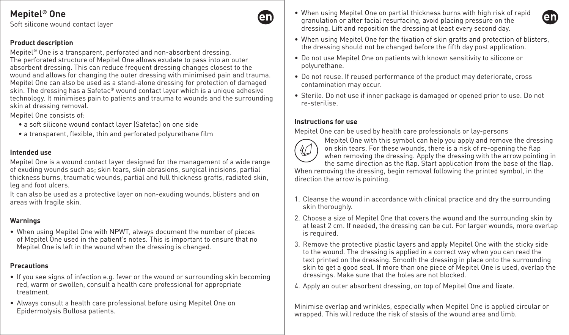Soft silicone wound contact layer

#### **Product description**

Mepitel® One is a transparent, perforated and non-absorbent dressing. The perforated structure of Mepitel One allows exudate to pass into an outer absorbent dressing. This can reduce frequent dressing changes closest to the wound and allows for changing the outer dressing with minimised pain and trauma. Mepitel One can also be used as a stand-alone dressing for protection of damaged skin. The dressing has a Safetac® wound contact layer which is a unique adhesive technology. It minimises pain to patients and trauma to wounds and the surrounding skin at dressing removal.

Mepitel One consists of:

- a soft silicone wound contact layer (Safetac) on one side
- a transparent, flexible, thin and perforated polyurethane film

#### **Intended use**

Mepitel One is a wound contact layer designed for the management of a wide range of exuding wounds such as; skin tears, skin abrasions, surgical incisions, partial thickness burns, traumatic wounds, partial and full thickness grafts, radiated skin, leg and foot ulcers.

It can also be used as a protective layer on non-exuding wounds, blisters and on areas with fragile skin.

## **Warnings**

• When using Mepitel One with NPWT, always document the number of pieces of Mepitel One used in the patient's notes. This is important to ensure that no Mepitel One is left in the wound when the dressing is changed.

## **Precautions**

- If you see signs of infection e.g. fever or the wound or surrounding skin becoming red, warm or swollen, consult a health care professional for appropriate treatment.
- Always consult a health care professional before using Mepitel One on Epidermolysis Bullosa patients.
- When using Mepitel One on partial thickness burns with high risk of rapid granulation or after facial resurfacing, avoid placing pressure on the dressing. Lift and reposition the dressing at least every second day.
- When using Mepitel One for the fixation of skin grafts and protection of blisters, the dressing should not be changed before the fifth day post application.
- Do not use Mepitel One on patients with known sensitivity to silicone or polyurethane.
- Do not reuse. If reused performance of the product may deteriorate, cross contamination may occur.
- Sterile. Do not use if inner package is damaged or opened prior to use. Do not re-sterilise.

#### **Instructions for use**

Mepitel One can be used by health care professionals or lay-persons



en

Mepitel One with this symbol can help you apply and remove the dressing on skin tears. For these wounds, there is a risk of re-opening the flap when removing the dressing. Apply the dressing with the arrow pointing in the same direction as the flap. Start application from the base of the flap.

When removing the dressing, begin removal following the printed symbol, in the direction the arrow is pointing.

- 1. Cleanse the wound in accordance with clinical practice and dry the surrounding skin thoroughly.
- 2. Choose a size of Mepitel One that covers the wound and the surrounding skin by at least 2 cm. If needed, the dressing can be cut. For larger wounds, more overlap is required.
- 3. Remove the protective plastic layers and apply Mepitel One with the sticky side to the wound. The dressing is applied in a correct way when you can read the text printed on the dressing. Smooth the dressing in place onto the surrounding skin to get a good seal. If more than one piece of Mepitel One is used, overlap the dressings. Make sure that the holes are not blocked.
- 4. Apply an outer absorbent dressing, on top of Mepitel One and fixate.

Minimise overlap and wrinkles, especially when Mepitel One is applied circular or wrapped. This will reduce the risk of stasis of the wound area and limb.

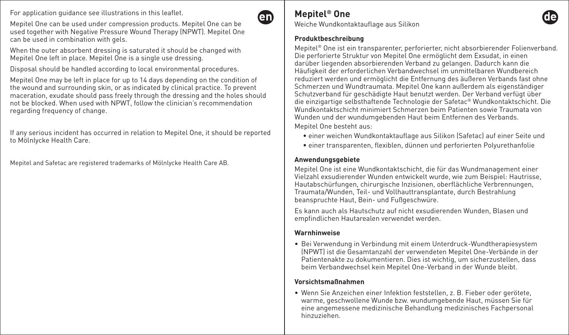For application guidance see illustrations in this leaflet.

Mepitel One can be used under compression products. Mepitel One can be used together with Negative Pressure Wound Therapy (NPWT). Mepitel One can be used in combination with gels.

When the outer absorbent dressing is saturated it should be changed with Mepitel One left in place. Mepitel One is a single use dressing.

Disposal should be handled according to local environmental procedures.

Mepitel One may be left in place for up to 14 days depending on the condition of the wound and surrounding skin, or as indicated by clinical practice. To prevent maceration, exudate should pass freely through the dressing and the holes should not be blocked. When used with NPWT, follow the clinician's recommendation regarding frequency of change.

If any serious incident has occurred in relation to Mepitel One, it should be reported to Mölnlycke Health Care.

Mepitel and Safetac are registered trademarks of Mölnlycke Health Care AB.

## **Mepitel® One**

**An** 

Weiche Wundkontaktauflage aus Silikon

#### **Produktbeschreibung**

Mepitel® One ist ein transparenter, perforierter, nicht absorbierender Folienverband. Die perforierte Struktur von Mepitel One ermöglicht dem Exsudat, in einen darüber liegenden absorbierenden Verband zu gelangen. Dadurch kann die Häufigkeit der erforderlichen Verbandwechsel im unmittelbaren Wundbereich reduziert werden und ermöglicht die Entfernung des äußeren Verbands fast ohne Schmerzen und Wundtraumata. Mepitel One kann außerdem als eigenständiger Schutzverband für geschädigte Haut benutzt werden. Der Verband verfügt über die einzigartige selbsthaftende Technologie der Safetac® Wundkontaktschicht. Die Wundkontaktschicht minimiert Schmerzen beim Patienten sowie Traumata von Wunden und der wundumgebenden Haut beim Entfernen des Verbands.

Mepitel One besteht aus:

- einer weichen Wundkontaktauflage aus Silikon (Safetac) auf einer Seite und
- einer transparenten, flexiblen, dünnen und perforierten Polyurethanfolie

#### **Anwendungsgebiete**

Mepitel One ist eine Wundkontaktschicht, die für das Wundmanagement einer Vielzahl exsudierender Wunden entwickelt wurde, wie zum Beispiel: Hautrisse, Hautabschürfungen, chirurgische Inzisionen, oberflächliche Verbrennungen, Traumata/Wunden, Teil- und Vollhauttransplantate, durch Bestrahlung beanspruchte Haut, Bein- und Fußgeschwüre.

Es kann auch als Hautschutz auf nicht exsudierenden Wunden, Blasen und empfindlichen Hautarealen verwendet werden.

#### **Warnhinweise**

• Bei Verwendung in Verbindung mit einem Unterdruck-Wundtherapiesystem (NPWT) ist die Gesamtanzahl der verwendeten Mepitel One-Verbände in der Patientenakte zu dokumentieren. Dies ist wichtig, um sicherzustellen, dass beim Verbandwechsel kein Mepitel One-Verband in der Wunde bleibt.

### **Vorsichtsmaßnahmen**

• Wenn Sie Anzeichen einer Infektion feststellen, z. B. Fieber oder gerötete, warme, geschwollene Wunde bzw. wundumgebende Haut, müssen Sie für eine angemessene medizinische Behandlung medizinisches Fachpersonal hinzuziehen.

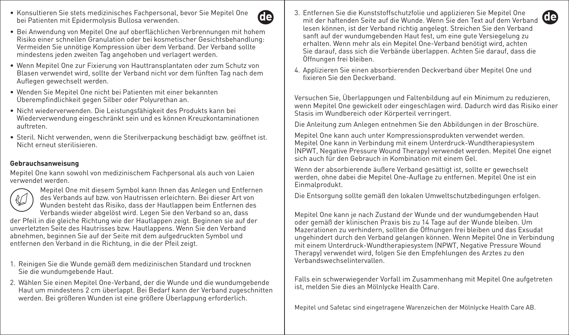• Konsultieren Sie stets medizinisches Fachpersonal, bevor Sie Mepitel One bei Patienten mit Epidermolysis Bullosa verwenden.



- Bei Anwendung von Mepitel One auf oberflächlichen Verbrennungen mit hohem Risiko einer schnellen Granulation oder bei kosmetischer Gesichtsbehandlung: Vermeiden Sie unnötige Kompression über dem Verband. Der Verband sollte mindestens jeden zweiten Tag angehoben und verlagert werden.
- Wenn Mepitel One zur Fixierung von Hauttransplantaten oder zum Schutz von Blasen verwendet wird, sollte der Verband nicht vor dem fünften Tag nach dem Auflegen gewechselt werden.
- Wenden Sie Mepitel One nicht bei Patienten mit einer bekannten Überempfindlichkeit gegen Silber oder Polyurethan an.
- Nicht wiederverwenden. Die Leistungsfähigkeit des Produkts kann bei Wiederverwendung eingeschränkt sein und es können Kreuzkontaminationen auftreten.
- Steril. Nicht verwenden, wenn die Sterilverpackung beschädigt bzw. geöffnet ist. Nicht erneut sterilisieren.

#### **Gebrauchsanweisung**

Mepitel One kann sowohl von medizinischem Fachpersonal als auch von Laien verwendet werden.



Mepitel One mit diesem Symbol kann Ihnen das Anlegen und Entfernen des Verbands auf bzw. von Hautrissen erleichtern. Bei dieser Art von Wunden besteht das Risiko, dass der Hautlappen beim Entfernen des Verbands wieder abgelöst wird. Legen Sie den Verband so an, dass

der Pfeil in die gleiche Richtung wie der Hautlappen zeigt. Beginnen sie auf der unverletzten Seite des Hautrisses bzw. Hautlappens. Wenn Sie den Verband abnehmen, beginnen Sie auf der Seite mit dem aufgedruckten Symbol und entfernen den Verband in die Richtung, in die der Pfeil zeigt.

- 1. Reinigen Sie die Wunde gemäß dem medizinischen Standard und trocknen Sie die wundumgebende Haut.
- 2. Wählen Sie einen Mepitel One-Verband, der die Wunde und die wundumgebende Haut um mindestens 2 cm überlappt. Bei Bedarf kann der Verband zugeschnitten werden. Bei größeren Wunden ist eine größere Überlappung erforderlich.
- 3. Entfernen Sie die Kunststoffschutzfolie und applizieren Sie Mepitel One Entuernen die die Kunststonschutziotie und apptizieren Sie Mepitet Une mit der haftenden Seite auf die Wunde. Wenn Sie den Text auf dem Verband lesen können, ist der Verband richtig angelegt. Streichen Sie den Verband sanft auf der wundumgebenden Haut fest, um eine gute Versiegelung zur erhalten. Wenn mehr als ein Mepitel One-Verband benötigt wird, achten Sie darauf, dass sich die Verbände überlappen. Achten Sie darauf, dass die Öffnungen frei bleiben.
- 4. Applizieren Sie einen absorbierenden Deckverband über Mepitel One und fixieren Sie den Deckverband.

Versuchen Sie, Überlappungen und Faltenbildung auf ein Minimum zu reduzieren, wenn Mepitel One gewickelt oder eingeschlagen wird. Dadurch wird das Risiko einer Stasis im Wundbereich oder Körperteil verringert.

Die Anleitung zum Anlegen entnehmen Sie den Abbildungen in der Broschüre.

Mepitel One kann auch unter Kompressionsprodukten verwendet werden. Mepitel One kann in Verbindung mit einem Unterdruck-Wundtherapiesystem (NPWT, Negative Pressure Wound Therapy) verwendet werden. Mepitel One eignet sich auch für den Gebrauch in Kombination mit einem Gel.

Wenn der absorbierende äußere Verband gesättigt ist, sollte er gewechselt werden, ohne dabei die Mepitel One-Auflage zu entfernen. Mepitel One ist ein Einmalprodukt.

Die Entsorgung sollte gemäß den lokalen Umweltschutzbedingungen erfolgen.

Mepitel One kann je nach Zustand der Wunde und der wundumgebenden Haut oder gemäß der klinischen Praxis bis zu 14 Tage auf der Wunde bleiben. Um Mazerationen zu verhindern, sollten die Öffnungen frei bleiben und das Exsudat ungehindert durch den Verband gelangen können. Wenn Mepitel One in Verbindung mit einem Unterdruck-Wundtherapiesystem (NPWT, Negative Pressure Wound Therapy) verwendet wird, folgen Sie den Empfehlungen des Arztes zu den Verbandswechselintervallen.

Falls ein schwerwiegender Vorfall im Zusammenhang mit Mepitel One aufgetreten ist, melden Sie dies an Mölnlycke Health Care.

Mepitel und Safetac sind eingetragene Warenzeichen der Mölnlycke Health Care AB.

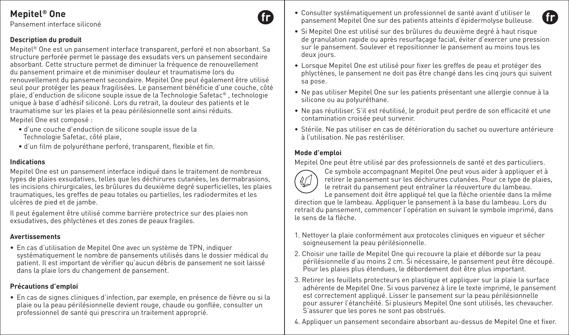Pansement interface siliconé

### **Description du produit**

Mepitel® One est un pansement interface transparent, perforé et non absorbant. Sa structure perforée permet le passage des exsudats vers un pansement secondaire absorbant. Cette structure permet de diminuer la fréquence de renouvellement du pansement primaire et de minimiser douleur et traumatisme lors du renouvellement du pansement secondaire. Mepitel One peut également être utilisé seul pour protéger les peaux fragilisées. Le pansement bénéficie d'une couche, côté plaie, d'enduction de silicone souple issue de la Technologie Safetac® , technologie unique à base d'adhésif siliconé. Lors du retrait, la douleur des patients et le traumatisme sur les plaies et la peau périlésionnelle sont ainsi réduits. Mepitel One est composé :

- d'une couche d'enduction de silicone souple issue de la Technologie Safetac, côté plaie,
- d'un film de polyuréthane perforé, transparent, flexible et fin.

#### **Indications**

Mepitel One est un pansement interface indiqué dans le traitement de nombreux types de plaies exsudatives, telles que les déchirures cutanées, les dermabrasions, les incisions chirurgicales, les brûlures du deuxième degré superficielles, les plaies traumatiques, les greffes de peau totales ou partielles, les radiodermites et les ulcères de pied et de jambe.

Il peut également être utilisé comme barrière protectrice sur des plaies non exsudatives, des phlyctènes et des zones de peaux fragiles.

#### **Avertissements**

• En cas d'utilisation de Mepitel One avec un système de TPN, indiquer systématiquement le nombre de pansements utilisés dans le dossier médical du patient. Il est important de vérifier qu'aucun débris de pansement ne soit laissé dans la plaie lors du changement de pansement.

#### **Précautions d'emploi**

• En cas de signes cliniques d'infection, par exemple, en présence de fièvre ou si la plaie ou la peau périlésionnelle devient rouge, chaude ou gonflée, consulter un professionnel de santé qui prescrira un traitement approprié.

• Consulter systématiquement un professionnel de santé avant d'utiliser le pansement Mepitel One sur des patients atteints d'épidermolyse bulleuse.



- Si Mepitel One est utilisé sur des brûlures du deuxième degré à haut risque de granulation rapide ou après resurfaçage facial, éviter d'exercer une pression sur le pansement. Soulever et repositionner le pansement au moins tous les deux jours.
- Lorsque Mepitel One est utilisé pour fixer les greffes de peau et protéger des phlyctènes, le pansement ne doit pas être changé dans les cinq jours qui suivent sa pose.
- Ne pas utiliser Mepitel One sur les patients présentant une allergie connue à la silicone ou au polyuréthane.
- Ne pas réutiliser. S'il est réutilisé, le produit peut perdre de son efficacité et une contamination croisée peut survenir.
- Stérile. Ne pas utiliser en cas de détérioration du sachet ou ouverture antérieure à l'utilisation. Ne pas restériliser.

### **Mode d'emploi**

Mepitel One peut être utilisé par des professionnels de santé et des particuliers.



Ce symbole accompagnant Mepitel One peut vous aider à appliquer et à retirer le pansement sur les déchirures cutanées. Pour ce type de plaies, le retrait du pansement peut entraîner la réouverture du lambeau.

Le pansement doit être appliqué tel que la flèche orientée dans la même direction que le lambeau. Appliquer le pansement à la base du lambeau. Lors du retrait du pansement, commencer l'opération en suivant le symbole imprimé, dans le sens de la flèche.

- 1. Nettoyer la plaie conformément aux protocoles cliniques en vigueur et sécher soigneusement la peau périlésionnelle.
- 2. Choisir une taille de Mepitel One qui recouvre la plaie et déborde sur la peau périlésionnelle d'au moins 2 cm. Si nécessaire, le pansement peut être découpé. Pour les plaies plus étendues, le débordement doit être plus important.
- 3. Retirer les feuillets protecteurs en plastique et appliquer sur la plaie la surface adhérente de Mepitel One. Si vous parvenez à lire le texte imprimé, le pansement est correctement appliqué. Lisser le pansement sur la peau périlésionnelle pour assurer l'étanchéité. Si plusieurs Mepitel One sont utilisés, les chevaucher. S'assurer que les pores ne sont pas obstrués.
- 4. Appliquer un pansement secondaire absorbant au-dessus de Mepitel One et fixer.

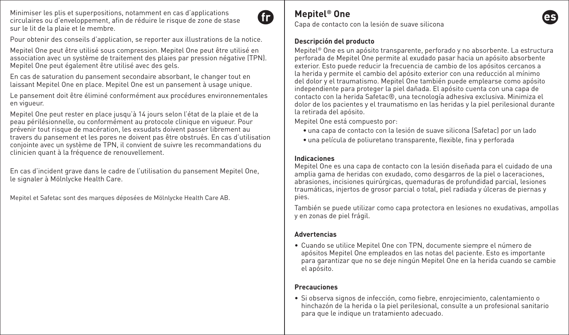Minimiser les plis et superpositions, notamment en cas d'applications circulaires ou d'enveloppement, afin de réduire le risque de zone de stase sur le lit de la plaie et le membre.



**Mepitel® One**

Capa de contacto con la lesión de suave silicona

#### **Descripción del producto**

Mepitel® One es un apósito transparente, perforado y no absorbente. La estructura perforada de Mepitel One permite al exudado pasar hacia un apósito absorbente exterior. Esto puede reducir la frecuencia de cambio de los apósitos cercanos a la herida y permite el cambio del apósito exterior con una reducción al mínimo del dolor y el traumatismo. Mepitel One también puede emplearse como apósito independiente para proteger la piel dañada. El apósito cuenta con una capa de contacto con la herida Safetac®, una tecnología adhesiva exclusiva. Minimiza el dolor de los pacientes y el traumatismo en las heridas y la piel perilesional durante la retirada del apósito.

Mepitel One está compuesto por:

- una capa de contacto con la lesión de suave silicona (Safetac) por un lado
- una película de poliuretano transparente, flexible, fina y perforada

#### **Indicaciones**

Mepitel One es una capa de contacto con la lesión diseñada para el cuidado de una amplia gama de heridas con exudado, como desgarros de la piel o laceraciones, abrasiones, incisiones quirúrgicas, quemaduras de profundidad parcial, lesiones traumáticas, injertos de grosor parcial o total, piel radiada y úlceras de piernas y pies.

También se puede utilizar como capa protectora en lesiones no exudativas, ampollas y en zonas de piel frágil.

#### **Advertencias**

• Cuando se utilice Mepitel One con TPN, documente siempre el número de apósitos Mepitel One empleados en las notas del paciente. Esto es importante para garantizar que no se deje ningún Mepitel One en la herida cuando se cambie el apósito.

#### **Precauciones**

• Si observa signos de infección, como fiebre, enrojecimiento, calentamiento o hinchazón de la herida o la piel perilesional, consulte a un profesional sanitario para que le indique un tratamiento adecuado.

Pour obtenir des conseils d'application, se reporter aux illustrations de la notice.

Mepitel One peut être utilisé sous compression. Mepitel One peut être utilisé en association avec un système de traitement des plaies par pression négative (TPN). Mepitel One peut également être utilisé avec des gels.

En cas de saturation du pansement secondaire absorbant, le changer tout en laissant Mepitel One en place. Mepitel One est un pansement à usage unique.

Le pansement doit être éliminé conformément aux procédures environnementales en vigueur.

Mepitel One peut rester en place jusqu'à 14 jours selon l'état de la plaie et de la peau périlésionnelle, ou conformément au protocole clinique en vigueur. Pour prévenir tout risque de macération, les exsudats doivent passer librement au travers du pansement et les pores ne doivent pas être obstrués. En cas d'utilisation conjointe avec un système de TPN, il convient de suivre les recommandations du clinicien quant à la fréquence de renouvellement.

En cas d'incident grave dans le cadre de l'utilisation du pansement Mepitel One, le signaler à Mölnlycke Health Care.

Mepitel et Safetac sont des marques déposées de Mölnlycke Health Care AB.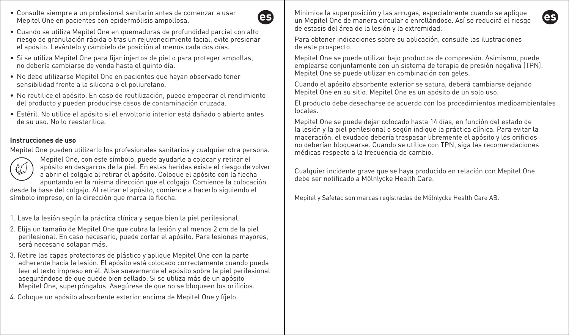• Consulte siempre a un profesional sanitario antes de comenzar a usar Mepitel One en pacientes con epidermólisis ampollosa.



- Cuando se utiliza Mepitel One en quemaduras de profundidad parcial con alto riesgo de granulación rápida o tras un rejuvenecimiento facial, evite presionar el apósito. Levántelo y cámbielo de posición al menos cada dos días.
- Si se utiliza Mepitel One para fijar injertos de piel o para proteger ampollas, no debería cambiarse de venda hasta el quinto día.
- No debe utilizarse Mepitel One en pacientes que hayan observado tener sensibilidad frente a la silicona o el poliuretano.
- No reutilice el apósito. En caso de reutilización, puede empeorar el rendimiento del producto y pueden producirse casos de contaminación cruzada.
- Estéril. No utilice el apósito si el envoltorio interior está dañado o abierto antes de su uso. No lo reesterilice.

#### **Instrucciones de uso**

Mepitel One pueden utilizarlo los profesionales sanitarios y cualquier otra persona.



Mepitel One, con este símbolo, puede ayudarle a colocar y retirar el apósito en desgarros de la piel. En estas heridas existe el riesgo de volver a abrir el colgajo al retirar el apósito. Coloque el apósito con la flecha apuntando en la misma dirección que el colgajo. Comience la colocación

desde la base del colgajo. Al retirar el apósito, comience a hacerlo siguiendo el símbolo impreso, en la dirección que marca la flecha.

- 1. Lave la lesión según la práctica clínica y seque bien la piel perilesional.
- 2. Elija un tamaño de Mepitel One que cubra la lesión y al menos 2 cm de la piel perilesional. En caso necesario, puede cortar el apósito. Para lesiones mayores, será necesario solapar más.
- 3. Retire las capas protectoras de plástico y aplique Mepitel One con la parte adherente hacia la lesión. El apósito está colocado correctamente cuando pueda leer el texto impreso en él. Alise suavemente el apósito sobre la piel perilesional asegurándose de que quede bien sellado. Si se utiliza más de un apósito Mepitel One, superpóngalos. Asegúrese de que no se bloqueen los orificios.
- 4. Coloque un apósito absorbente exterior encima de Mepitel One y fíjelo.

Minimice la superposición y las arrugas, especialmente cuando se aplique un Mepitel One de manera circular o enrollándose. Así se reducirá el riesgo de estasis del área de la lesión y la extremidad.

Para obtener indicaciones sobre su aplicación, consulte las ilustraciones de este prospecto.

Mepitel One se puede utilizar bajo productos de compresión. Asimismo, puede emplearse conjuntamente con un sistema de terapia de presión negativa (TPN). Mepitel One se puede utilizar en combinación con geles.

Cuando el apósito absorbente exterior se satura, deberá cambiarse dejando Mepitel One en su sitio. Mepitel One es un apósito de un solo uso.

El producto debe desecharse de acuerdo con los procedimientos medioambientales locales.

Mepitel One se puede dejar colocado hasta 14 días, en función del estado de la lesión y la piel perilesional o según indique la práctica clínica. Para evitar la maceración, el exudado debería traspasar libremente el apósito y los orificios no deberían bloquearse. Cuando se utilice con TPN, siga las recomendaciones médicas respecto a la frecuencia de cambio.

Cualquier incidente grave que se haya producido en relación con Mepitel One debe ser notificado a Mölnlycke Health Care.

Mepitel y Safetac son marcas registradas de Mölnlycke Health Care AB.

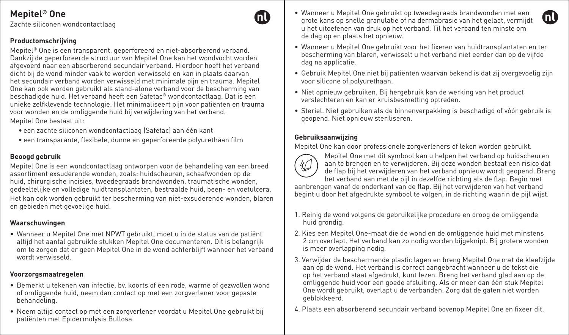Zachte siliconen wondcontactlaag

### **Productomschrijving**

Mepitel® One is een transparent, geperforeerd en niet-absorberend verband. Dankzij de geperforeerde structuur van Mepitel One kan het wondvocht worden afgevoerd naar een absorberend secundair verband. Hierdoor hoeft het verband dicht bij de wond minder vaak te worden verwisseld en kan in plaats daarvan het secundair verband worden verwisseld met minimale pijn en trauma. Mepitel One kan ook worden gebruikt als stand-alone verband voor de bescherming van beschadigde huid. Het verband heeft een Safetac® wondcontactlaag. Dat is een unieke zelfklevende technologie. Het minimaliseert pijn voor patiënten en trauma voor wonden en de omliggende huid bij verwijdering van het verband.

Mepitel One bestaat uit:

- een zachte siliconen wondcontactlaag (Safetac) aan één kant
- een transparante, flexibele, dunne en geperforeerde polyurethaan film

## **Beoogd gebruik**

Mepitel One is een wondcontactlaag ontworpen voor de behandeling van een breed assortiment exsuderende wonden, zoals: huidscheuren, schaafwonden op de huid, chirurgische incisies, tweedegraads brandwonden, traumatische wonden, gedeeltelijke en volledige huidtransplantaten, bestraalde huid, been- en voetulcera.

Het kan ook worden gebruikt ter bescherming van niet-exsuderende wonden, blaren en gebieden met gevoelige huid.

### **Waarschuwingen**

• Wanneer u Mepitel One met NPWT gebruikt, moet u in de status van de patiënt altijd het aantal gebruikte stukken Mepitel One documenteren. Dit is belangrijk om te zorgen dat er geen Mepitel One in de wond achterblijft wanneer het verband wordt verwisseld.

### **Voorzorgsmaatregelen**

- Bemerkt u tekenen van infectie, bv. koorts of een rode, warme of gezwollen wond of omliggende huid, neem dan contact op met een zorgverlener voor gepaste behandeling.
- Neem altijd contact op met een zorgverlener voordat u Mepitel One gebruikt bij patiënten met Epidermolysis Bullosa.
- Wanneer u Mepitel One gebruikt op tweedegraads brandwonden met een grote kans op snelle granulatie of na dermabrasie van het gelaat, vermijdt u het uitoefenen van druk op het verband. Til het verband ten minste om de dag op en plaats het opnieuw.
- Wanneer u Mepitel One gebruikt voor het fixeren van huidtransplantaten en ter bescherming van blaren, verwisselt u het verband niet eerder dan op de vijfde dag na applicatie.
- Gebruik Mepitel One niet bij patiënten waarvan bekend is dat zij overgevoelig zijn voor silicone of polyurethaan.
- Niet opnieuw gebruiken. Bij hergebruik kan de werking van het product verslechteren en kan er kruisbesmetting optreden.
- Steriel. Niet gebruiken als de binnenverpakking is beschadigd of vóór gebruik is geopend. Niet opnieuw steriliseren.

## **Gebruiksaanwijzing**

Mepitel One kan door professionele zorgverleners of leken worden gebruikt.



Mepitel One met dit symbool kan u helpen het verband op huidscheuren aan te brengen en te verwijderen. Bij deze wonden bestaat een risico dat de flap bij het verwijderen van het verband opnieuw wordt geopend. Breng het verband aan met de pijl in dezelfde richting als de flap. Begin met

aanbrengen vanaf de onderkant van de flap. Bij het verwijderen van het verband begint u door het afgedrukte symbool te volgen, in de richting waarin de pijl wijst.

- 1. Reinig de wond volgens de gebruikelijke procedure en droog de omliggende huid arondia.
- 2. Kies een Mepitel One-maat die de wond en de omliggende huid met minstens 2 cm overlapt. Het verband kan zo nodig worden bijgeknipt. Bij grotere wonden is meer overlapping nodig.
- 3. Verwijder de beschermende plastic lagen en breng Mepitel One met de kleefzijde aan op de wond. Het verband is correct aangebracht wanneer u de tekst die op het verband staat afgedrukt, kunt lezen. Breng het verband glad aan op de omliggende huid voor een goede afsluiting. Als er meer dan één stuk Mepitel One wordt gebruikt, overlapt u de verbanden. Zorg dat de gaten niet worden geblokkeerd.
- 4. Plaats een absorberend secundair verband bovenop Mepitel One en fixeer dit.

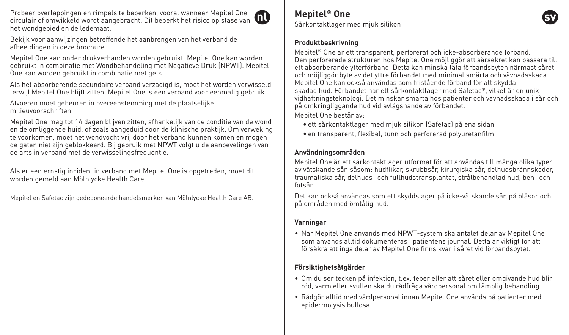Probeer overlappingen en rimpels te beperken, vooral wanneer Mepitel One circulair of omwikkeld wordt aangebracht. Dit beperkt het risico op stase van het wondgebied en de ledemaat.



Bekijk voor aanwijzingen betreffende het aanbrengen van het verband de afbeeldingen in deze brochure.

Mepitel One kan onder drukverbanden worden gebruikt. Mepitel One kan worden gebruikt in combinatie met Wondbehandeling met Negatieve Druk (NPWT). Mepitel One kan worden gebruikt in combinatie met gels.

Als het absorberende secundaire verband verzadigd is, moet het worden verwisseld terwijl Mepitel One blijft zitten. Mepitel One is een verband voor eenmalig gebruik.

Afvoeren moet gebeuren in overeenstemming met de plaatselijke milieuvoorschriften.

Mepitel One mag tot 14 dagen blijven zitten, afhankelijk van de conditie van de wond en de omliggende huid, of zoals aangeduid door de klinische praktijk. Om verweking te voorkomen, moet het wondvocht vrij door het verband kunnen komen en mogen de gaten niet zijn geblokkeerd. Bij gebruik met NPWT volgt u de aanbevelingen van de arts in verband met de verwisselingsfrequentie.

Als er een ernstig incident in verband met Mepitel One is opgetreden, moet dit worden gemeld aan Mölnlycke Health Care.

Mepitel en Safetac zijn gedeponeerde handelsmerken van Mölnlycke Health Care AB.

# **Mepitel® One**

Sårkontaktlager med mjuk silikon

#### **Produktbeskrivning**

Mepitel® One är ett transparent, perforerat och icke-absorberande förband. Den perforerade strukturen hos Mepitel One möjliggör att sårsekret kan passera till ett absorberande ytterförband. Detta kan minska täta förbandsbyten närmast såret och möjliggör byte av det yttre förbandet med minimal smärta och vävnadsskada. Mepitel One kan också användas som fristående förband för att skydda skadad hud. Förbandet har ett sårkontaktlager med Safetac®, vilket är en unik vidhäftningsteknologi. Det minskar smärta hos patienter och vävnadsskada i sår och på omkringliggande hud vid avlägsnande av förbandet.

Mepitel One består av:

- ett sårkontaktlager med mjuk silikon (Safetac) på ena sidan
- en transparent, flexibel, tunn och perforerad polyuretanfilm

## **Användningsområden**

Mepitel One är ett sårkontaktlager utformat för att användas till många olika typer av vätskande sår, såsom: hudflikar, skrubbsår, kirurgiska sår, delhudsbrännskador, traumatiska sår, delhuds- och fullhudstransplantat, strålbehandlad hud, ben- och fotsår.

Det kan också användas som ett skyddslager på icke-vätskande sår, på blåsor och på områden med ömtålig hud.

#### **Varningar**

• När Mepitel One används med NPWT-system ska antalet delar av Mepitel One som används alltid dokumenteras i patientens journal. Detta är viktigt för att försäkra att inga delar av Mepitel One finns kvar i såret vid förbandsbytet.

## **Försiktighetsåtgärder**

- Om du ser tecken på infektion, t.ex. feber eller att såret eller omgivande hud blir röd, varm eller svullen ska du rådfråga vårdpersonal om lämplig behandling.
- Rådgör alltid med vårdpersonal innan Mepitel One används på patienter med epidermolysis bullosa.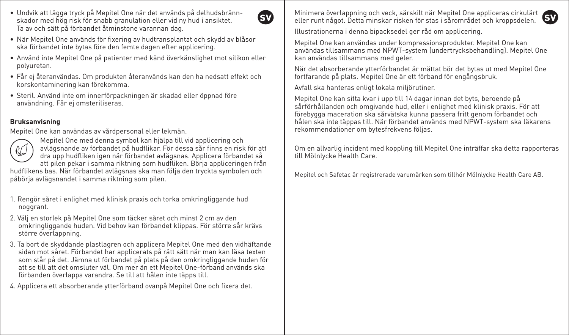• Undvik att lägga tryck på Mepitel One när det används på delhudsbrännskador med hög risk för snabb granulation eller vid ny hud i ansiktet. Ta av och sätt på förbandet åtminstone varannan dag.



- När Mepitel One används för fixering av hudtransplantat och skydd av blåsor ska förbandet inte bytas före den femte dagen efter applicering.
- Använd inte Mepitel One på patienter med känd överkänslighet mot silikon eller polyuretan.
- Får ej återanvändas. Om produkten återanvänds kan den ha nedsatt effekt och korskontaminering kan förekomma.
- Steril. Använd inte om innerförpackningen är skadad eller öppnad före användning. Får ej omsteriliseras.

### **Bruksanvisning**

Mepitel One kan användas av vårdpersonal eller lekmän.



Mepitel One med denna symbol kan hjälpa till vid applicering och avlägsnande av förbandet på hudflikar. För dessa sår finns en risk för att dra upp hudfliken igen när förbandet avlägsnas. Applicera förbandet så att pilen pekar i samma riktning som hudfliken. Börja appliceringen från

hudflikens bas. När förbandet avlägsnas ska man följa den tryckta symbolen och påbörja avlägsnandet i samma riktning som pilen.

- 1. Rengör såret i enlighet med klinisk praxis och torka omkringliggande hud noggrant
- 2. Välj en storlek på Mepitel One som täcker såret och minst 2 cm av den omkringliggande huden. Vid behov kan förbandet klippas. För större sår krävs större överlappning.
- 3. Ta bort de skyddande plastlagren och applicera Mepitel One med den vidhäftande sidan mot såret. Förbandet har applicerats på rätt sätt när man kan läsa texten som står på det. Jämna ut förbandet på plats på den omkringliggande huden för att se till att det omsluter väl. Om mer än ett Mepitel One-förband används ska förbanden överlappa varandra. Se till att hålen inte täpps till.
- 4. Applicera ett absorberande ytterförband ovanpå Mepitel One och fixera det.

Minimera överlappning och veck, särskilt när Mepitel One appliceras cirkulärt<br>eller runt något. Detta minskar risken för stas i sårområdet och kronnsdelen eller runt något. Detta minskar risken för stas i sårområdet och kroppsdelen.

Illustrationerna i denna bipacksedel ger råd om applicering.

Mepitel One kan användas under kompressionsprodukter. Mepitel One kan användas tillsammans med NPWT-system (undertrycksbehandling). Mepitel One kan användas tillsammans med geler.

När det absorberande ytterförbandet är mättat bör det bytas ut med Mepitel One fortfarande på plats. Mepitel One är ett förband för engångsbruk.

Avfall ska hanteras enligt lokala miljörutiner.

Mepitel One kan sitta kvar i upp till 14 dagar innan det byts, beroende på sårförhållanden och omgivande hud, eller i enlighet med klinisk praxis. För att förebygga maceration ska sårvätska kunna passera fritt genom förbandet och hålen ska inte täppas till. När förbandet används med NPWT-system ska läkarens rekommendationer om bytesfrekvens följas.

Om en allvarlig incident med koppling till Mepitel One inträffar ska detta rapporteras till Mölnlycke Health Care.

Mepitel och Safetac är registrerade varumärken som tillhör Mölnlycke Health Care AB.

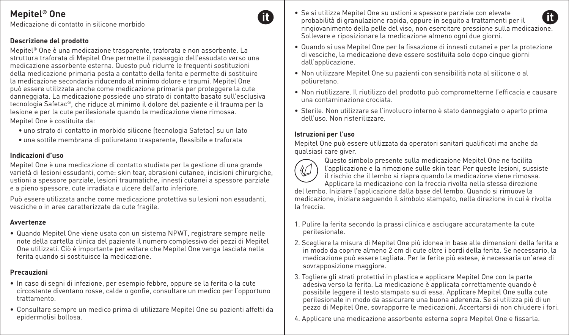Medicazione di contatto in silicone morbido

## **Descrizione del prodotto**

Mepitel® One è una medicazione trasparente, traforata e non assorbente. La struttura traforata di Mepitel One permette il passaggio dell'essudato verso una medicazione assorbente esterna. Questo può ridurre le frequenti sostituzioni della medicazione primaria posta a contatto della ferita e permette di sostituire la medicazione secondaria riducendo al minimo dolore e traumi. Mepitel One può essere utilizzata anche come medicazione primaria per proteggere la cute danneggiata. La medicazione possiede uno strato di contatto basato sull'esclusiva tecnologia Safetac®, che riduce al minimo il dolore del paziente e il trauma per la lesione e per la cute perilesionale quando la medicazione viene rimossa.

Mepitel One è costituita da:

- uno strato di contatto in morbido silicone (tecnologia Safetac) su un lato
- una sottile membrana di poliuretano trasparente, flessibile e traforata

#### **Indicazioni d'uso**

Mepitel One è una medicazione di contatto studiata per la gestione di una grande varietà di lesioni essudanti, come: skin tear, abrasioni cutanee, incisioni chirurgiche, ustioni a spessore parziale, lesioni traumatiche, innesti cutanei a spessore parziale e a pieno spessore, cute irradiata e ulcere dell'arto inferiore.

Può essere utilizzata anche come medicazione protettiva su lesioni non essudanti, vesciche o in aree caratterizzate da cute fragile.

#### **Avvertenze**

• Quando Mepitel One viene usata con un sistema NPWT, registrare sempre nelle note della cartella clinica del paziente il numero complessivo dei pezzi di Mepitel One utilizzati. Ciò è importante per evitare che Mepitel One venga lasciata nella ferita quando si sostituisce la medicazione.

### **Precauzioni**

- In caso di segni di infezione, per esempio febbre, oppure se la ferita o la cute circostante diventano rosse, calde o gonfie, consultare un medico per l'opportuno trattamento.
- Consultare sempre un medico prima di utilizzare Mepitel One su pazienti affetti da epidermolisi bollosa.
- Se si utilizza Mepitel One su ustioni a spessore parziale con elevate probabilità di granulazione rapida, oppure in seguito a trattamenti per il ringiovanimento della pelle del viso, non esercitare pressione sulla medicazione. Sollevare e riposizionare la medicazione almeno ogni due giorni.
- Quando si usa Mepitel One per la fissazione di innesti cutanei e per la protezione di vesciche, la medicazione deve essere sostituita solo dopo cinque giorni dall'applicazione.
- Non utilizzare Mepitel One su pazienti con sensibilità nota al silicone o al poliuretano.
- Non riutilizzare. Il riutilizzo del prodotto può comprometterne l'efficacia e causare una contaminazione crociata.
- Sterile. Non utilizzare se l'involucro interno è stato danneggiato o aperto prima dell'uso. Non risterilizzare.

#### **Istruzioni per l'uso**

Mepitel One può essere utilizzata da operatori sanitari qualificati ma anche da qualsiasi care giver.



m

Questo simbolo presente sulla medicazione Mepitel One ne facilita l'applicazione e la rimozione sulle skin tear. Per queste lesioni, sussiste il rischio che il lembo si riapra quando la medicazione viene rimossa. Applicare la medicazione con la freccia rivolta nella stessa direzione

del lembo. Iniziare l'applicazione dalla base del lembo. Quando si rimuove la medicazione, iniziare seguendo il simbolo stampato, nella direzione in cui è rivolta la freccia.

- 1. Pulire la ferita secondo la prassi clinica e asciugare accuratamente la cute perilesionale.
- 2. Scegliere la misura di Mepitel One più idonea in base alle dimensioni della ferita e in modo da coprire almeno 2 cm di cute oltre i bordi della ferita. Se necessario, la medicazione può essere tagliata. Per le ferite più estese, è necessaria un'area di sovrapposizione maggiore.
- 3. Togliere gli strati protettivi in plastica e applicare Mepitel One con la parte adesiva verso la ferita. La medicazione è applicata correttamente quando è possibile leggere il testo stampato su di essa. Applicare Mepitel One sulla cute perilesionale in modo da assicurare una buona aderenza. Se si utilizza più di un pezzo di Mepitel One, sovrapporre le medicazioni. Accertarsi di non chiudere i fori.
- 4. Applicare una medicazione assorbente esterna sopra Mepitel One e fissarla.

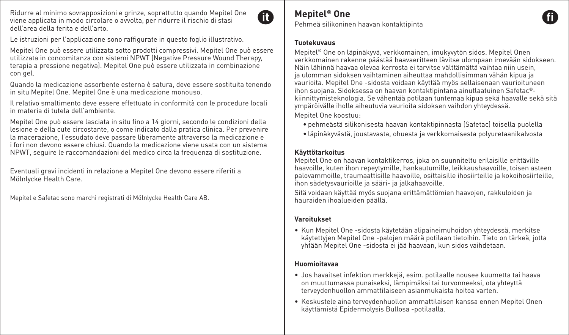Ridurre al minimo sovrapposizioni e grinze, soprattutto quando Mepitel One viene applicata in modo circolare o avvolta, per ridurre il rischio di stasi dell'area della ferita e dell'arto.



Le istruzioni per l'applicazione sono raffigurate in questo foglio illustrativo.

Mepitel One può essere utilizzata sotto prodotti compressivi. Mepitel One può essere utilizzata in concomitanza con sistemi NPWT (Negative Pressure Wound Therapy, terapia a pressione negativa). Mepitel One può essere utilizzata in combinazione con gel.

Quando la medicazione assorbente esterna è satura, deve essere sostituita tenendo in situ Mepitel One. Mepitel One è una medicazione monouso.

Il relativo smaltimento deve essere effettuato in conformità con le procedure locali in materia di tutela dell'ambiente.

Mepitel One può essere lasciata in situ fino a 14 giorni, secondo le condizioni della lesione e della cute circostante, o come indicato dalla pratica clinica. Per prevenire la macerazione, l'essudato deve passare liberamente attraverso la medicazione e i fori non devono essere chiusi. Quando la medicazione viene usata con un sistema NPWT, seguire le raccomandazioni del medico circa la frequenza di sostituzione.

Eventuali gravi incidenti in relazione a Mepitel One devono essere riferiti a Mölnlycke Health Care.

Mepitel e Safetac sono marchi registrati di Mölnlycke Health Care AB.

# **Mepitel® One**

Pehmeä silikoninen haavan kontaktipinta

#### **Tuotekuvaus**

Mepitel® One on läpinäkyvä, verkkomainen, imukyvytön sidos. Mepitel Onen verkkomainen rakenne päästää haavaeritteen lävitse ulompaan imevään sidokseen. Näin lähinnä haavaa olevaa kerrosta ei tarvitse välttämättä vaihtaa niin usein, ja ulomman sidoksen vaihtaminen aiheuttaa mahdollisimman vähän kipua ja vaurioita. Mepitel One -sidosta voidaan käyttää myös sellaisenaan vaurioituneen ihon suojana. Sidoksessa on haavan kontaktipintana ainutlaatuinen Safetac® kiinnittymisteknologia. Se vähentää potilaan tuntemaa kipua sekä haavalle sekä sitä ympäröivälle iholle aiheutuvia vaurioita sidoksen vaihdon yhteydessä. Mepitel One koostuu:

- pehmeästä silikonisesta haavan kontaktipinnasta (Safetac) toisella puolella
- läpinäkyvästä, joustavasta, ohuesta ja verkkomaisesta polyuretaanikalvosta

### **Käyttötarkoitus**

Mepitel One on haavan kontaktikerros, joka on suunniteltu erilaisille erittäville haavoille, kuten ihon repeytymille, hankautumille, leikkaushaavoille, toisen asteen palovammoille, traumaattisille haavoille, osittaisille ihosiirteille ja kokoihosiirteille, ihon sädetysvaurioille ja sääri- ja jalkahaavoille.

Sitä voidaan käyttää myös suojana erittämättömien haavojen, rakkuloiden ja hauraiden ihoalueiden päällä.

#### **Varoitukset**

• Kun Mepitel One -sidosta käytetään alipaineimuhoidon yhteydessä, merkitse käytettyjen Mepitel One -palojen määrä potilaan tietoihin. Tieto on tärkeä, jotta yhtään Mepitel One -sidosta ei jää haavaan, kun sidos vaihdetaan.

#### **Huomioitavaa**

- Jos havaitset infektion merkkejä, esim. potilaalle nousee kuumetta tai haava on muuttumassa punaiseksi, lämpimäksi tai turvonneeksi, ota yhteyttä terveydenhuollon ammattilaiseen asianmukaista hoitoa varten.
- Keskustele aina terveydenhuollon ammattilaisen kanssa ennen Mepitel Onen käyttämistä Epidermolysis Bullosa -potilaalla.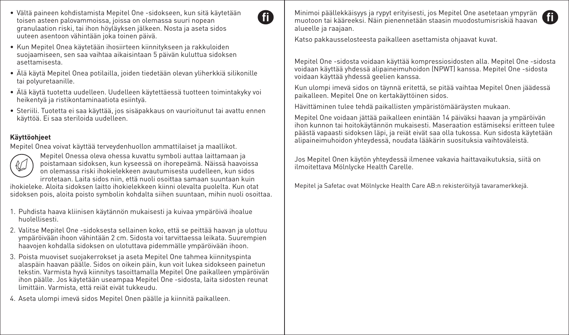- Vältä paineen kohdistamista Mepitel One -sidokseen, kun sitä käytetään toisen asteen palovammoissa, joissa on olemassa suuri nopean granulaation riski, tai ihon höyläyksen jälkeen. Nosta ja aseta sidos uuteen asentoon vähintään joka toinen päivä.
- Kun Mepitel Onea käytetään ihosiirteen kiinnitykseen ja rakkuloiden suojaamiseen, sen saa vaihtaa aikaisintaan 5 päivän kuluttua sidoksen asettamisesta.
- Älä käytä Mepitel Onea potilailla, joiden tiedetään olevan yliherkkiä silikonille tai polyuretaanille.
- Älä käytä tuotetta uudelleen. Uudelleen käytettäessä tuotteen toimintakyky voi heikentyä ja ristikontaminaatiota esiintyä.
- Steriili. Tuotetta ei saa käyttää, jos sisäpakkaus on vaurioitunut tai avattu ennen käyttöä. Ei saa steriloida uudelleen.

#### **Käyttöohjeet**

Mepitel Onea voivat käyttää terveydenhuollon ammattilaiset ja maallikot.



Mepitel Onessa oleva ohessa kuvattu symboli auttaa laittamaan ja poistamaan sidoksen, kun kyseessä on ihorepeämä. Näissä haavoissa on olemassa riski ihokielekkeen avautumisesta uudelleen, kun sidos irrotetaan. Laita sidos niin, että nuoli osoittaa samaan suuntaan kuin

ihokieleke. Aloita sidoksen laitto ihokielekkeen kiinni olevalta puolelta. Kun otat sidoksen pois, aloita poisto symbolin kohdalta siihen suuntaan, mihin nuoli osoittaa.

- 1. Puhdista haava kliinisen käytännön mukaisesti ja kuivaa ympäröivä ihoalue huolellisesti.
- 2. Valitse Mepitel One -sidoksesta sellainen koko, että se peittää haavan ja ulottuu ympäröivään ihoon vähintään 2 cm. Sidosta voi tarvittaessa leikata. Suurempien haavojen kohdalla sidoksen on ulotuttava pidemmälle ympäröivään ihoon.
- 3. Poista muoviset suojakerrokset ja aseta Mepitel One tahmea kiinnityspinta alaspäin haavan päälle. Sidos on oikein päin, kun voit lukea sidokseen painetun tekstin. Varmista hyvä kiinnitys tasoittamalla Mepitel One paikalleen ympäröivän ihon päälle. Jos käytetään useampaa Mepitel One -sidosta, laita sidosten reunat limittäin. Varmista, että reiät eivät tukkeudu.

4. Aseta ulompi imevä sidos Mepitel Onen päälle ja kiinnitä paikalleen.

Minimoi päällekkäisyys ja rypyt erityisesti, jos Mepitel One asetetaan ympyrän muotoon tai kääreeksi. Näin pienennetään staasin muodostumisriskiä haavan alueelle ja raajaan.

Katso pakkausselosteesta paikalleen asettamista ohjaavat kuvat.

GA

Mepitel One -sidosta voidaan käyttää kompressiosidosten alla. Mepitel One -sidosta voidaan käyttää yhdessä alipaineimuhoidon (NPWT) kanssa. Mepitel One -sidosta voidaan käyttää yhdessä geelien kanssa.

Kun ulompi imevä sidos on täynnä eritettä, se pitää vaihtaa Mepitel Onen jäädessä paikalleen. Mepitel One on kertakäyttöinen sidos.

Hävittäminen tulee tehdä paikallisten ympäristömääräysten mukaan.

Mepitel One voidaan jättää paikalleen enintään 14 päiväksi haavan ja ympäröivän ihon kunnon tai hoitokäytännön mukaisesti. Maseraation estämiseksi eritteen tulee päästä vapaasti sidoksen läpi, ja reiät eivät saa olla tukossa. Kun sidosta käytetään alipaineimuhoidon yhteydessä, noudata lääkärin suosituksia vaihtoväleistä.

Jos Mepitel Onen käytön yhteydessä ilmenee vakavia haittavaikutuksia, siitä on ilmoitettava Mölnlycke Health Carelle.

Mepitel ja Safetac ovat Mölnlycke Health Care AB:n rekisteröityjä tavaramerkkejä.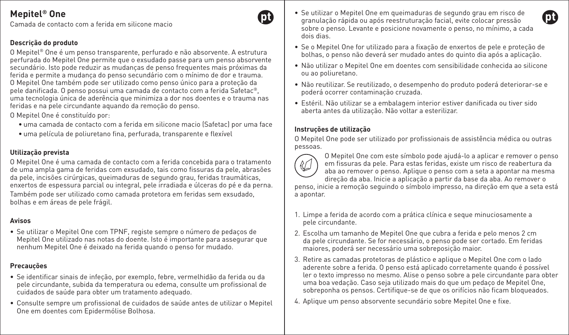Camada de contacto com a ferida em silicone macio

### **Descrição do produto**

O Mepitel® One é um penso transparente, perfurado e não absorvente. A estrutura perfurada do Mepitel One permite que o exsudado passe para um penso absorvente secundário. Isto pode reduzir as mudanças de penso frequentes mais próximas da ferida e permite a mudança do penso secundário com o mínimo de dor e trauma. O Mepitel One também pode ser utilizado como penso único para a proteção da pele danificada. O penso possui uma camada de contacto com a ferida Safetac®, uma tecnologia única de aderência que minimiza a dor nos doentes e o trauma nas feridas e na pele circundante aquando da remoção do penso.

O Mepitel One é constituído por:

- uma camada de contacto com a ferida em silicone macio (Safetac) por uma face
- uma película de poliuretano fina, perfurada, transparente e flexível

### **Utilização prevista**

O Mepitel One é uma camada de contacto com a ferida concebida para o tratamento de uma ampla gama de feridas com exsudado, tais como fissuras da pele, abrasões da pele, incisões cirúrgicas, queimaduras de segundo grau, feridas traumáticas, enxertos de espessura parcial ou integral, pele irradiada e úlceras do pé e da perna. Também pode ser utilizado como camada protetora em feridas sem exsudado, bolhas e em áreas de pele frágil.

#### **Avisos**

• Se utilizar o Mepitel One com TPNF, registe sempre o número de pedaços de Mepitel One utilizado nas notas do doente. Isto é importante para assegurar que nenhum Mepitel One é deixado na ferida quando o penso for mudado.

## **Precauções**

- Se identificar sinais de infeção, por exemplo, febre, vermelhidão da ferida ou da pele circundante, subida da temperatura ou edema, consulte um profissional de cuidados de saúde para obter um tratamento adequado.
- Consulte sempre um profissional de cuidados de saúde antes de utilizar o Mepitel One em doentes com Epidermólise Bolhosa.
- Se utilizar o Mepitel One em queimaduras de segundo grau em risco de granulação rápida ou após reestruturação facial, evite colocar pressão sobre o penso. Levante e posicione novamente o penso, no mínimo, a cada dois dias.
- Se o Mepitel One for utilizado para a fixação de enxertos de pele e proteção de bolhas, o penso não deverá ser mudado antes do quinto dia após a aplicação.
- Não utilizar o Mepitel One em doentes com sensibilidade conhecida ao silicone ou ao poliuretano.
- Não reutilizar. Se reutilizado, o desempenho do produto poderá deteriorar-se e poderá ocorrer contaminação cruzada.
- Estéril. Não utilizar se a embalagem interior estiver danificada ou tiver sido aberta antes da utilização. Não voltar a esterilizar.

## **Instruções de utilização**

O Mepitel One pode ser utilizado por profissionais de assistência médica ou outras pessoas.



O Mepitel One com este símbolo pode ajudá-lo a aplicar e remover o penso em fissuras da pele. Para estas feridas, existe um risco de reabertura da aba ao remover o penso. Aplique o penso com a seta a apontar na mesma direção da aba. Inicie a aplicação a partir da base da aba. Ao remover o

penso, inicie a remoção seguindo o símbolo impresso, na direção em que a seta está a apontar.

- 1. Limpe a ferida de acordo com a prática clínica e seque minuciosamente a pele circundante.
- 2. Escolha um tamanho de Mepitel One que cubra a ferida e pelo menos 2 cm da pele circundante. Se for necessário, o penso pode ser cortado. Em feridas maiores, poderá ser necessário uma sobreposição maior.
- 3. Retire as camadas protetoras de plástico e aplique o Mepitel One com o lado aderente sobre a ferida. O penso está aplicado corretamente quando é possível ler o texto impresso no mesmo. Alise o penso sobre a pele circundante para obter uma boa vedação. Caso seja utilizado mais do que um pedaço de Mepitel One, sobreponha os pensos. Certifique-se de que os orifícios não ficam bloqueados.
- 4. Aplique um penso absorvente secundário sobre Mepitel One e fixe.

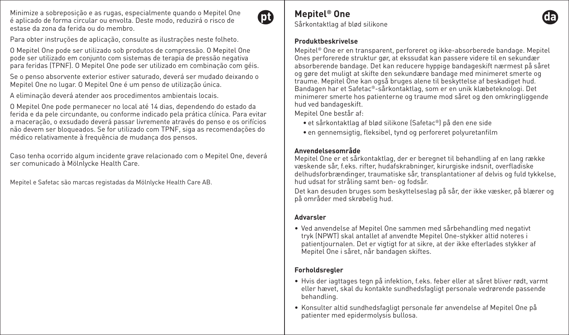Minimize a sobreposição e as rugas, especialmente quando o Mepitel One é aplicado de forma circular ou envolta. Deste modo, reduzirá o risco de estase da zona da ferida ou do membro.



Para obter instruções de aplicação, consulte as ilustrações neste folheto.

O Mepitel One pode ser utilizado sob produtos de compressão. O Mepitel One pode ser utilizado em conjunto com sistemas de terapia de pressão negativa para feridas (TPNF). O Mepitel One pode ser utilizado em combinação com géis.

Se o penso absorvente exterior estiver saturado, deverá ser mudado deixando o Mepitel One no lugar. O Mepitel One é um penso de utilização única.

A eliminação deverá atender aos procedimentos ambientais locais.

O Mepitel One pode permanecer no local até 14 dias, dependendo do estado da ferida e da pele circundante, ou conforme indicado pela prática clínica. Para evitar a maceração, o exsudado deverá passar livremente através do penso e os orifícios não devem ser bloqueados. Se for utilizado com TPNF, siga as recomendações do médico relativamente à frequência de mudança dos pensos.

Caso tenha ocorrido algum incidente grave relacionado com o Mepitel One, deverá ser comunicado à Mölnlycke Health Care.

Mepitel e Safetac são marcas registadas da Mölnlycke Health Care AB.

# **Mepitel® One**

Sårkontaktlag af blød silikone

#### **Produktbeskrivelse**

Mepitel® One er en transparent, perforeret og ikke-absorberede bandage. Mepitel Ones perforerede struktur gør, at ekssudat kan passere videre til en sekundær absorberende bandage. Det kan reducere hyppige bandageskift nærmest på såret og gøre det muligt at skifte den sekundære bandage med minimeret smerte og traume. Mepitel One kan også bruges alene til beskyttelse af beskadiget hud. Bandagen har et Safetac®-sårkontaktlag, som er en unik klæbeteknologi. Det minimerer smerte hos patienterne og traume mod såret og den omkringliggende hud ved bandageskift.

Mepitel One består af:

- et sårkontaktlag af blød silikone (Safetac®) på den ene side
- en gennemsigtig, fleksibel, tynd og perforeret polyuretanfilm

#### **Anvendelsesområde**

Mepitel One er et sårkontaktlag, der er beregnet til behandling af en lang række væskende sår, f.eks. rifter, hudafskrabninger, kirurgiske indsnit, overfladiske delhudsforbrændinger, traumatiske sår, transplantationer af delvis og fuld tykkelse, hud udsat for stråling samt ben- og fodsår.

Det kan desuden bruges som beskyttelseslag på sår, der ikke væsker, på blærer og på områder med skrøbelig hud.

#### **Advarsler**

• Ved anvendelse af Mepitel One sammen med sårbehandling med negativt tryk (NPWT) skal antallet af anvendte Mepitel One-stykker altid noteres i patientjournalen. Det er vigtigt for at sikre, at der ikke efterlades stykker af Mepitel One i såret, når bandagen skiftes.

### **Forholdsregler**

- Hvis der iagttages tegn på infektion, f.eks. feber eller at såret bliver rødt, varmt eller hævet, skal du kontakte sundhedsfagligt personale vedrørende passende behandling.
- Konsulter altid sundhedsfagligt personale før anvendelse af Mepitel One på patienter med epidermolysis bullosa.

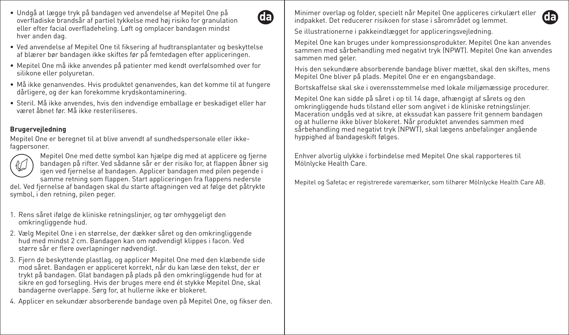- Undgå at lægge tryk på bandagen ved anvendelse af Mepitel One på overfladiske brandsår af partiel tykkelse med høj risiko for granulation eller efter facial overfladeheling. Løft og omplacer bandagen mindst hver anden dag.
- Ved anvendelse af Mepitel One til fiksering af hudtransplantater og beskyttelse af blærer bør bandagen ikke skiftes før på femtedagen efter appliceringen.
- Mepitel One må ikke anvendes på patienter med kendt overfølsomhed over for silikone eller polyuretan.
- Må ikke genanvendes. Hvis produktet genanvendes, kan det komme til at fungere dårligere, og der kan forekomme krydskontaminering.
- Steril. Må ikke anvendes, hvis den indvendige emballage er beskadiget eller har været åbnet før. Må ikke resteriliseres.

## **Brugervejledning**

Mepitel One er beregnet til at blive anvendt af sundhedspersonale eller ikkefagpersoner.



Mepitel One med dette symbol kan hjælpe dig med at applicere og fjerne bandagen på rifter. Ved sådanne sår er der risiko for, at flappen åbner sig igen ved fjernelse af bandagen. Applicer bandagen med pilen pegende i samme retning som flappen. Start appliceringen fra flappens nederste

del. Ved fjernelse af bandagen skal du starte aftagningen ved at følge det påtrykte symbol, i den retning, pilen peger.

- 1. Rens såret ifølge de kliniske retningslinjer, og tør omhyggeligt den omkringliggende hud.
- 2. Vælg Mepitel One i en størrelse, der dækker såret og den omkringliggende hud med mindst 2 cm. Bandagen kan om nødvendigt klippes i facon. Ved større sår er flere overlapninger nødvendigt.
- 3. Fjern de beskyttende plastlag, og applicer Mepitel One med den klæbende side mod såret. Bandagen er appliceret korrekt, når du kan læse den tekst, der er trykt på bandagen. Glat bandagen på plads på den omkringliggende hud for at sikre en god forsegling. Hvis der bruges mere end ét stykke Mepitel One, skal bandagerne overlappe. Sørg for, at hullerne ikke er blokeret.
- 4. Applicer en sekundær absorberende bandage oven på Mepitel One, og fikser den.

Minimer overlap og folder, specielt når Mepitel One appliceres cirkulært eller indpakket. Det reducerer risikoen for stase i sårområdet og lemmet.

Se illustrationerne i pakkeindlægget for appliceringsvejledning.

Œ

Mepitel One kan bruges under kompressionsprodukter. Mepitel One kan anvendes sammen med sårbehandling med negativt tryk (NPWT). Mepitel One kan anvendes sammen med geler.

Hvis den sekundære absorberende bandage bliver mættet, skal den skiftes, mens Mepitel One bliver på plads. Mepitel One er en engangsbandage.

Bortskaffelse skal ske i overensstemmelse med lokale miljømæssige procedurer.

Mepitel One kan sidde på såret i op til 14 dage, afhængigt af sårets og den omkringliggende huds tilstand eller som angivet i de kliniske retningslinjer. Maceration undgås ved at sikre, at ekssudat kan passere frit gennem bandagen og at hullerne ikke bliver blokeret. Når produktet anvendes sammen med sårbehandling med negativt tryk (NPWT), skal lægens anbefalinger angående hyppighed af bandageskift følges.

Enhver alvorlig ulykke i forbindelse med Mepitel One skal rapporteres til Mölnlycke Health Care.

Mepitel og Safetac er registrerede varemærker, som tilhører Mölnlycke Health Care AB.

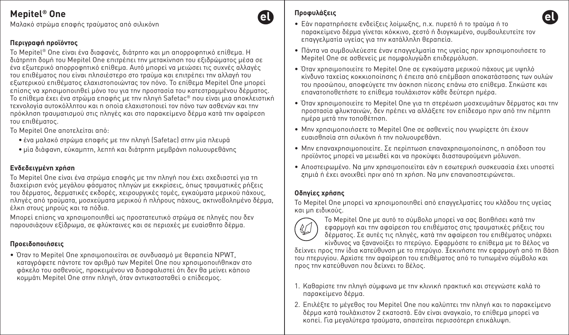Μαλακό στρώμα επαφής τραύματος από σιλικόνη

## **Περιγραφή προϊόντος**

Το Mepitel® One είναι ένα διαφανές, διάτρητο και μη απορροφητικό επίθεμα. Η διάτρητη δομή του Mepitel One επιτρέπει την μετακίνηση του εξιδρώματος μέσα σε ένα εξωτερικό απορροφητικό επίθεμα. Αυτό μπορεί να μειώσει τις συχνές αλλαγές του επιθέματος που είναι πλησιέστερο στο τραύμα και επιτρέπει την αλλαγή του εξωτερικού επιθέματος ελαχιστοποιώντας τον πόνο. Το επίθεμα Mepitel One μπορεί επίσης να χρησιμοποιηθεί μόνο του για την προστασία του κατεστραμμένου δέρματος. Το επίθεμα έχει ένα στρώμα επαφής με την πληγή Safetac® που είναι μια αποκλειστική τεχνολογία αυτοκόλλητου και η οποία ελαχιστοποιεί τον πόνο των ασθενών και την πρόκληση τραυματισμού στις πληγές και στο παρακείμενο δέρμα κατά την αφαίρεση του επιθέματος.

Το Mepitel One αποτελείται από:

- ένα μαλακό στρώμα επαφής με την πληγή (Safetac) στην μία πλευρά
- μία διάφανη, εύκαμπτη, λεπτή και διάτρητη μεμβράνη πολυουρεθάνης

## **Ενδεδειγμένη χρήση**

Το Mepitel One είναι ένα στρώμα επαφής με την πληγή που έχει σχεδιαστεί για τη διαχείριση ενός μεγάλου φάσματος πληγών με εκκρίσεις, όπως τραυματικές ρήξεις του δέρματος, δερματικές εκδορές, χειρουργικές τομές, εγκαύματα μερικού πάχους, πληγές από τραύματα, μοσχεύματα μερικού ή πλήρους πάχους, ακτινοβολημένο δέρμα, έλκη στους μηρούς και τα πόδια.

Μπορεί επίσης να χρησιμοποιηθεί ως προστατευτικό στρώμα σε πληγές που δεν παρουσιάζουν εξίδρωμα, σε φλύκταινες και σε περιοχές με ευαίσθητο δέρμα.

## **Προειδοποιήσεις**

• Όταν το Mepitel One χρησιμοποιείται σε συνδυασμό με θεραπεία NPWT, καταγράφετε πάντοτε τον αριθμό των Mepitel One που χρησιμοποιήθηκαν στο φάκελο του ασθενούς, προκειμένου να διασφαλιστεί ότι δεν θα μείνει κάποιο κομμάτι Mepitel One στην πληγή, όταν αντικατασταθεί ο επίδεσμος.

## **Προφυλάξεις**

el

- Εάν παρατηρήσετε ενδείξεις λοίμωξης, π.χ. πυρετό ή το τραύμα ή το παρακείμενο δέρμα γίνεται κόκκινο, ζεστό ή διογκωμένο, συμβουλευτείτε τον επαγγελματία υγείας για την κατάλληλη θεραπεία.
- Πάντα να συμβουλεύεστε έναν επαγγελματία της υγείας πριν χρησιμοποιήσετε το Mepitel One σε ασθενείς με πομφολυγώδη επιδερμόλυση.
- Όταν χρησιμοποιείτε το Mepitel One σε εγκαύματα μερικού πάχους με υψηλό κίνδυνο ταχείας κοκκιοποίησης ή έπειτα από επέμβαση αποκατάστασης των ουλών του προσώπου, αποφεύγετε την άσκηση πίεσης επάνω στο επίθεμα. Σηκώστε και επανατοποθετήστε το επίθεμα τουλάχιστον κάθε δεύτερη ημέρα.
- Όταν χρησιμοποιείτε το Mepitel One για τη στερέωση μοσχευμάτων δέρματος και την προστασία φλυκταινών, δεν πρέπει να αλλάξετε τον επίδεσμο πριν από την πέμπτη ημέρα μετά την τοποθέτηση.
- Μην χρησιμοποιήσετε το Mepitel One σε ασθενείς που γνωρίζετε ότι έχουν ευαισθησία στη σιλικόνη ή την πολυουρεθάνη.
- Μην επαναχρησιμοποιείτε. Σε περίπτωση επαναχρησιμοποίησης, η απόδοση του προϊόντος μπορεί να μειωθεί και να προκύψει διασταυρούμενη μόλυνση.
- Αποστειρωμένο. Να μην χρησιμοποιείται εάν η εσωτερική συσκευασία έχει υποστεί ζημιά ή έχει ανοιχθεί πριν από τη χρήση. Να μην επαναποστειρώνεται.

## **Οδηγίες χρήσης**

Το Mepitel One μπορεί να χρησιμοποιηθεί από επαγγελματίες του κλάδου της υγείας και μη ειδικούς.



Το Mepitel One με αυτό το σύμβολο μπορεί να σας βοηθήσει κατά την εφαρμογή και την αφαίρεση του επιθέματος στις τραυματικές ρήξεις του δέρματος. Σε αυτές τις πληγές, κατά την αφαίρεση του επιθέματος υπάρχει κίνδυνος να ξανανοίξει το πτερύγιο. Εφαρμόστε το επίθεμα με το βέλος να

δείχνει προς την ίδια κατεύθυνση με το πτερύγιο. Ξεκινήστε την εφαρμογή από τη βάση του πτερυγίου. Αρχίστε την αφαίρεση του επιθέματος από το τυπωμένο σύμβολο και προς την κατεύθυνση που δείχνει το βέλος.

- 1. Καθαρίστε την πληγή σύμφωνα με την κλινική πρακτική και στεγνώστε καλά το παρακείμενο δέρμα.
- 2. Επιλέξτε το μέγεθος του Mepitel One που καλύπτει την πληγή και το παρακείμενο δέρμα κατά τουλάχιστον 2 εκατοστά. Εάν είναι αναγκαίο, το επίθεμα μπορεί να κοπεί. Για μεγαλύτερα τραύματα, απαιτείται περισσότερη επικάλυψη.

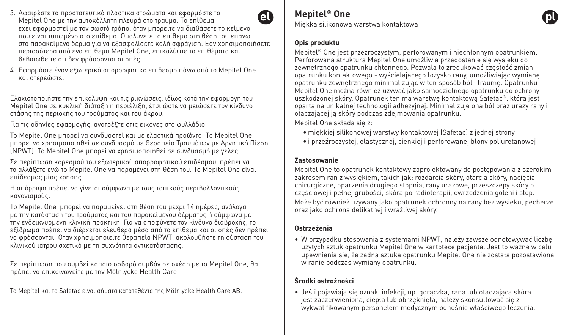- 3. Αφαιρέστε τα προστατευτικά πλαστικά στρώματα και εφαρμόστε το A Mepitel One με την αυτοκόλλητη πλευρά στο τραύμα. Το επίθεμα έχει εφαρμοστεί με τον σωστό τρόπο, όταν μπορείτε να διαβάσετε το κείμενο που είναι τυπωμένο στο επίθεμα. Ομαλύνετε το επίθεμα στη θέση του επάνω στο παρακείμενο δέρμα για να εξασφαλίσετε καλή σφράγιση. Εάν χρησιμοποιήσετε περισσότερα από ένα επίθεμα Mepitel One, επικαλύψτε τα επιθέματα και βεβαιωθείτε ότι δεν φράσσονται οι οπές.
- 4. Εφαρμόστε έναν εξωτερικό απορροφητικό επίδεσμο πάνω από το Mepitel One και στερεώστε.

Ελαχιστοποιήστε την επικάλυψη και τις ρικνώσεις, ιδίως κατά την εφαρμογή του Mepitel One σε κυκλική διάταξη ή περιέλιξη, έτσι ώστε να μειώσετε τον κίνδυνο στάσης της περιοχής του τραύματος και του άκρου.

Για τις οδηγίες εφαρμογής, ανατρέξτε στις εικόνες στο φυλλάδιο.

Το Mepitel One μπορεί να συνδυαστεί και με ελαστικά προϊόντα. Το Mepitel One μπορεί να χρησιμοποιηθεί σε συνδυασμό με Θεραπεία Τραυμάτων με Αρνητική Πίεση (NPWT). Το Mepitel One μπορεί να χρησιμοποιηθεί σε συνδυασμό με γέλες.

Σε περίπτωση κορεσμού του εξωτερικού απορροφητικού επιδέσμου, πρέπει να το αλλάξετε ενώ το Mepitel One να παραμένει στη θέση του. Το Mepitel One είναι επίδεσμος μίας χρήσης.

Η απόρριψη πρέπει να γίνεται σύμφωνα με τους τοπικούς περιβαλλοντικούς κανονισμούς.

Το Mepitel One μπορεί να παραμείνει στη θέση του μέχρι 14 ημέρες, ανάλογα με την κατάσταση του τραύματος και του παρακείμενου δέρματος ή σύμφωνα με την ενδεικνυόμενη κλινική πρακτική. Για να αποφύγετε τον κίνδυνο διαβροχής, το εξίδρωμα πρέπει να διέρχεται ελεύθερα μέσα από το επίθεμα και οι οπές δεν πρέπει να φράσσονται. Όταν χρησιμοποιείτε θεραπεία NPWT, ακολουθήστε τη σύσταση του κλινικού ιατρού σχετικά με τη συχνότητα αντικατάστασης.

Σε περίπτωση που συμβεί κάποιο σοβαρό συμβάν σε σχέση με το Mepitel One, θα πρέπει να επικοινωνείτε με την Mölnlycke Health Care.

Το Mepitel και το Safetac είναι σήματα κατατεθέντα της Mölnlycke Health Care AB.

## **Mepitel® One**

Miękka silikonowa warstwa kontaktowa

#### **Opis produktu**

Mepitel® One jest przezroczystym, perforowanym i niechłonnym opatrunkiem. Perforowana struktura Mepitel One umożliwia przedostanie się wysięku do zewnętrznego opatrunku chłonnego. Pozwala to zredukować częstość zmian opatrunku kontaktowego - wyścielającego łożysko rany, umożliwiając wymianę opatrunku zewnętrznego minimalizując w ten sposób ból i traumę. Opatrunku Mepitel One można również używać jako samodzielnego opatrunku do ochrony uszkodzonej skóry. Opatrunek ten ma warstwę kontaktową Safetac®, która jest oparta na unikalnej technologii adhezyjnej. Minimalizuje ona ból oraz urazy rany i otaczającej ją skóry podczas zdejmowania opatrunku.

Mepitel One składa się z:

- miękkiej silikonowej warstwy kontaktowej (Safetac) z jednej strony
- i przeźroczystej, elastycznej, cienkiej i perforowanej błony poliuretanowej

#### **Zastosowanie**

Mepitel One to opatrunek kontaktowy zaprojektowany do postępowania z szerokim zakresem ran z wysiękiem, takich jak: rozdarcia skóry, otarcia skóry, nacięcia chirurgiczne, oparzenia drugiego stopnia, rany urazowe, przeszczepy skóry o częściowej i pełnej grubości, skóra po radioterapii, owrzodzenia goleni i stóp. Może być również używany jako opatrunek ochronny na rany bez wysięku, pęcherze oraz jako ochrona delikatnej i wrażliwej skóry.

### **Ostrzeżenia**

• W przypadku stosowania z systemami NPWT, należy zawsze odnotowywać liczbę użytych sztuk opatrunku Mepitel One w kartotece pacjenta. Jest to ważne w celu upewnienia się, że żadna sztuka opatrunku Mepitel One nie została pozostawiona w ranie podczas wymiany opatrunku.

## **Środki ostrożności**

• Jeśli pojawiają się oznaki infekcji, np. gorączka, rana lub otaczająca skóra jest zaczerwieniona, ciepła lub obrzęknięta, należy skonsultować się z wykwalifikowanym personelem medycznym odnośnie właściwego leczenia.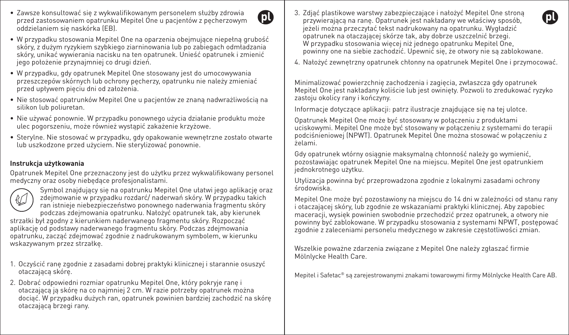• Zawsze konsultować się z wykwalifikowanym personelem służby zdrowia przed zastosowaniem opatrunku Mepitel One u pacjentów z pęcherzowym oddzielaniem się naskórka (EB).



- W przypadku stosowania Mepitel One na oparzenia obejmujące niepełną grubość skóry, z dużym ryzykiem szybkiego ziarninowania lub po zabiegach odmładzania skóry, unikać wywierania nacisku na ten opatrunek. Unieść opatrunek i zmienić jego położenie przynajmniej co drugi dzień.
- W przypadku, gdy opatrunek Mepitel One stosowany jest do umocowywania przeszczepów skórnych lub ochrony pęcherzy, opatrunku nie należy zmieniać przed upływem pięciu dni od założenia.
- Nie stosować opatrunków Mepitel One u pacjentów ze znaną nadwrażliwością na silikon lub poliuretan.
- Nie używać ponownie. W przypadku ponownego użycia działanie produktu może ulec pogorszeniu, może również wystąpić zakażenie krzyżowe.
- Sterylne. Nie stosować w przypadku, gdy opakowanie wewnętrzne zostało otwarte lub uszkodzone przed użyciem. Nie sterylizować ponownie.

#### **Instrukcja użytkowania**

Opatrunek Mepitel One przeznaczony jest do użytku przez wykwalifikowany personel medyczny oraz osoby niebędące profesjonalistami.



Symbol znajdujący się na opatrunku Mepitel One ułatwi jego aplikację oraz zdejmowanie w przypadku rozdarć/ naderwań skóry. W przypadku takich ran istnieje niebezpieczeństwo ponownego naderwania fragmentu skóry podczas zdejmowania opatrunku. Nałożyć opatrunek tak, aby kierunek

strzałki był zgodny z kierunkiem naderwanego fragmentu skóry. Rozpocząć aplikację od podstawy naderwanego fragmentu skóry. Podczas zdejmowania opatrunku, zacząć zdejmować zgodnie z nadrukowanym symbolem, w kierunku wskazywanym przez strzałkę.

- 1. Oczyścić ranę zgodnie z zasadami dobrej praktyki klinicznej i starannie osuszyć otaczającą skórę.
- 2. Dobrać odpowiedni rozmiar opatrunku Mepitel One, który pokryje ranę i otaczającą ją skórę na co najmniej 2 cm. W razie potrzeby opatrunek można dociąć. W przypadku dużych ran, opatrunek powinien bardziej zachodzić na skórę otaczającą brzegi rany.
- 3. Zdjąć plastikowe warstwy zabezpieczające i nałożyć Mepitel One stroną przywierającą na ranę. Opatrunek jest nakładany we właściwy sposób, jeżeli można przeczytać tekst nadrukowany na opatrunku. Wygładzić opatrunek na otaczającej skórze tak, aby dobrze uszczelnić brzegi. W przypadku stosowania więcej niż jednego opatrunku Mepitel One, powinny one na siebie zachodzić. Upewnić się, że otwory nie są zablokowane.
- 4. Nałożyć zewnętrzny opatrunek chłonny na opatrunek Mepitel One i przymocować.

Minimalizować powierzchnię zachodzenia i zagięcia, zwłaszcza gdy opatrunek Mepitel One jest nakładany koliście lub jest owinięty. Pozwoli to zredukować ryzyko zastoju okolicy rany i kończyny.

Informacje dotyczące aplikacji: patrz ilustracje znajdujące się na tej ulotce.

Opatrunek Mepitel One może być stosowany w połączeniu z produktami uciskowymi. Mepitel One może być stosowany w połączeniu z systemami do terapii podciśnieniowej (NPWT). Opatrunek Mepitel One można stosować w połączeniu z żelami.

Gdy opatrunek wtórny osiągnie maksymalną chłonność należy go wymienić, pozostawiając opatrunek Mepitel One na miejscu. Mepitel One jest opatrunkiem jednokrotnego użytku.

Utylizacja powinna być przeprowadzona zgodnie z lokalnymi zasadami ochrony środowiska.

Mepitel One może być pozostawiony na miejscu do 14 dni w zależności od stanu rany i otaczającej skóry, lub zgodnie ze wskazaniami praktyki klinicznej. Aby zapobiec maceracji, wysięk powinien swobodnie przechodzić przez opatrunek, a otwory nie powinny być zablokowane. W przypadku stosowania z systemami NPWT, postępować zgodnie z zaleceniami personelu medycznego w zakresie częstotliwości zmian.

Wszelkie poważne zdarzenia związane z Mepitel One należy zgłaszać firmie Mölnlycke Health Care.

Mepitel i Safetac® są zarejestrowanymi znakami towarowymi firmy Mölnlycke Health Care AB.

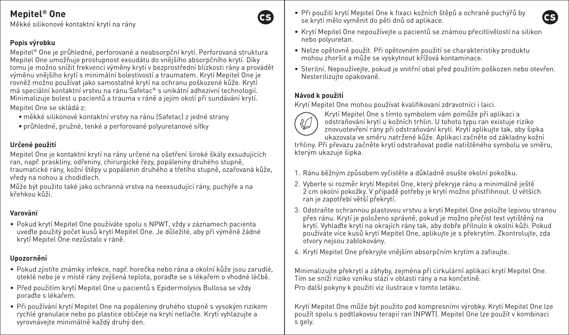Měkké silikonové kontaktní krytí na rány

## **Popis výrobku**

Mepitel® One je průhledné, perforované a neabsorpční krytí. Perforovaná struktura Mepitel One umožňuje prostupnost exsudátu do vnějšího absorpčního krytí. Díky tomu je možno snížit frekvenci výměny krytí v bezprostřední blízkosti rány a provádět výměnu vnějšího krytí s minimální bolestivostí a traumatem. Krytí Mepitel One je rovněž možno používat jako samostatné krytí na ochranu poškozené kůže. Krytí má speciální kontaktní vrstvu na ránu Safetac® s unikátní adhezivní technologií. Minimalizuje bolest u pacientů a trauma v ráně a jejím okolí při sundávání krytí. Mepitel One se skládá z:

- měkké silikonové kontaktní vrstvy na ránu (Safetac) z jedné strany
- průhledné, pružné, tenké a perforované polyuretanové síťky

## **Určené použití**

Mepitel One je kontaktní krytí na rány určené na ošetření široké škály exsudujících ran, např. praskliny, odřeniny, chirurgické řezy, popáleniny druhého stupně, traumatické rány, kožní štěpy u popálenin druhého a třetího stupně, ozařovaná kůže, vředy na nohou a chodidlech.

Může být použito také jako ochranná vrstva na neexsudující rány, puchýře a na křehkou kůži.

## **Varování**

• Pokud krytí Mepitel One používáte spolu s NPWT, vždy v záznamech pacienta uveďte použitý počet kusů krytí Mepitel One. Je důležité, aby při výměně žádné krytí Mepitel One nezůstalo v ráně.

## **Upozornění**

- Pokud zjistíte známky infekce, např. horečka nebo rána a okolní kůže jsou zarudlé, oteklé nebo je v místě rány zvýšená teplota, poraďte se s lékařem o vhodné léčbě.
- Před použitím krytí Mepitel One u pacientů s Epidermolysis Bullosa se vždy poraďte s lékařem.
- Při používání krytí Mepitel One na popáleniny druhého stupně s vysokým rizikem rychlé granulace nebo po plastice obličeje na krytí netlačte. Krytí vyhlazujte a vyrovnávejte minimálně každý druhý den.
- Při použití krytí Mepitel One k fixaci kožních štěpů a ochraně puchýřů by se krytí mělo vyměnit do pěti dnů od aplikace.
- Krytí Mepitel One nepoužívejte u pacientů se známou přecitlivělostí na silikon nebo polyuretan.
- Nelze opětovně použít. Při opětovném použití se charakteristiky produktu mohou zhoršit a může se vyskytnout křížová kontaminace.
- Sterilní. Nepoužívejte, pokud je vnitřní obal před použitím poškozen nebo otevřen. Nesterilizujte opakovaně.

### **Návod k použití**

Krytí Mepitel One mohou používat kvalifikovaní zdravotníci i laici.



GS.

Krytí Mepitel One s tímto symbolem vám pomůže při aplikaci a odstraňování krytí u kožních trhlin. U tohoto typu ran existuje riziko znovuotevření rány při odstraňování krytí. Krytí aplikujte tak, aby šipka ukazovala ve směru natržené kůže. Aplikaci začněte od základny kožní

trhliny. Při převazu začněte krytí odstraňovat podle natištěného symbolu ve směru, kterým ukazuje šipka.

- 1. Ránu běžným způsobem vyčistěte a důkladně osušte okolní pokožku.
- 2. Vyberte si rozměr krytí Mepitel One, který překryje ránu a minimálně ještě 2 cm okolní pokožky. V případě potřeby je krytí možno přistřihnout. U větších ran je zapotřebí větší překrytí.
- 3. Odstraňte ochrannou plastovou vrstvu a krytí Mepitel One položte lepivou stranou přes ránu. Krytí je položeno správně, pokud je možno přečíst text vytištěný na krytí. Vyhlaďte krytí na okrajích rány tak, aby dobře přilnulo k okolní kůži. Pokud používáte více kusů krytí Mepitel One, aplikujte je s překrytím. Zkontrolujte, zda otvory nejsou zablokovány.
- 4. Krytí Mepitel One překryjte vnějším absorpčním krytím a zafixujte.

Minimalizujte překrytí a záhyby, zejména při cirkulární aplikaci krytí Mepitel One. Tím se sníží riziko vzniku stází v oblasti rány a na končetině.

Pro další pokyny k použití viz ilustrace v tomto letáku.

Krytí Mepitel One může být použito pod kompresními výrobky. Krytí Mepitel One lze použít spolu s podtlakovou terapií ran (NPWT). Mepitel One lze použít v kombinaci s gely.

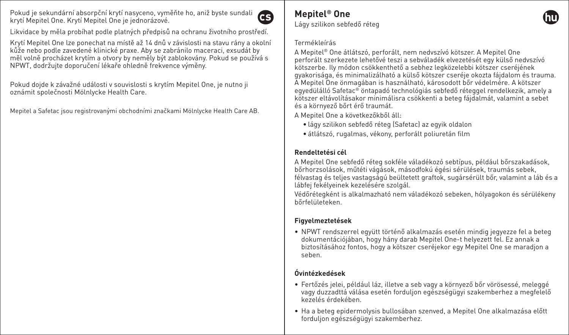Pokud je sekundární absorpční krytí nasyceno, vyměňte ho, aniž byste sundali krytí Mepitel One. Krytí Mepitel One je jednorázové.



Likvidace by měla probíhat podle platných předpisů na ochranu životního prostředí.

Krytí Mepitel One lze ponechat na místě až 14 dnů v závislosti na stavu rány a okolní kůže nebo podle zavedené klinické praxe. Aby se zabránilo maceraci, exsudát by měl volně procházet krytím a otvory by neměly být zablokovány. Pokud se používá s NPWT, dodržujte doporučení lékaře ohledně frekvence výměny.

Pokud dojde k závažné události v souvislosti s krytím Mepitel One, je nutno ji oznámit společnosti Mölnlycke Health Care.

Mepitel a Safetac jsou registrovanými obchodními značkami Mölnlycke Health Care AB.

#### **Mepitel® One** Lágy szilikon sebfedő réteg

#### Termékleírás

A Mepitel® One átlátszó, perforált, nem nedvszívó kötszer. A Mepitel One perforált szerkezete lehetővé teszi a sebváladék elvezetését egy külső nedvszívó kötszerbe. Ily módon csökkenthető a sebhez legközelebbi kötszer cseréjének gyakorisága, és minimalizálható a külső kötszer cseréje okozta fájdalom és trauma. A Mepitel One önmagában is használható, károsodott bőr védelmére. A kötszer egyedülálló Safetac® öntapadó technológiás sebfedő réteggel rendelkezik, amely a kötszer eltávolításakor minimálisra csökkenti a beteg fájdalmát, valamint a sebet és a környező bőrt érő traumát.

A Mepitel One a következőkből áll:

- lágy szilikon sebfedő réteg (Safetac) az egyik oldalon
- átlátszó, rugalmas, vékony, perforált poliuretán film

## **Rendeltetési cél**

A Mepitel One sebfedő réteg sokféle váladékozó sebtípus, például bőrszakadások, bőrhorzsolások, műtéti vágások, másodfokú égési sérülések, traumás sebek, félvastag és teljes vastagságú beültetett graftok, sugársérült bőr, valamint a láb és a lábfej fekélyeinek kezelésére szolgál.

Védőrétegként is alkalmazható nem váladékozó sebeken, hólyagokon és sérülékeny bőrfelületeken.

## **Figyelmeztetések**

• NPWT rendszerrel együtt történő alkalmazás esetén mindig jegyezze fel a beteg dokumentációjában, hogy hány darab Mepitel One-t helyezett fel. Ez annak a biztosításához fontos, hogy a kötszer cseréjekor egy Mepitel One se maradjon a seben.

## **Óvintézkedések**

- Fertőzés jelei, például láz, illetve a seb vagy a környező bőr vörösessé, meleggé vagy duzzadttá válása esetén forduljon egészségügyi szakemberhez a megfelelő kezelés érdekében.
- Ha a beteg epidermolysis bullosában szenved, a Mepitel One alkalmazása előtt forduljon egészségügyi szakemberhez.

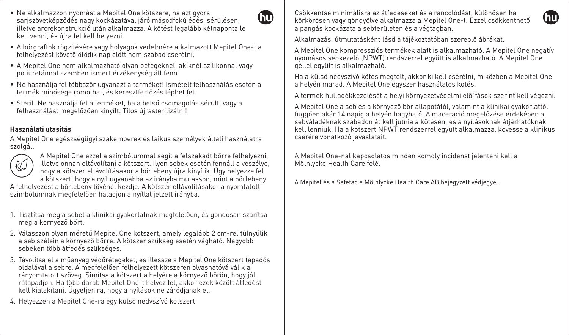- Ne alkalmazzon nyomást a Mepitel One kötszere, ha azt gyors sarjszövetképződés nagy kockázatával járó másodfokú égési sérülésen, illetve arcrekonstrukció után alkalmazza. A kötést legalább kétnaponta le kell venni, és újra fel kell helyezni.
- A bőrgraftok rögzítésére vagy hólyagok védelmére alkalmazott Mepitel One-t a felhelyezést követő ötödik nap előtt nem szabad cserélni.

GT)

- A Mepitel One nem alkalmazható olyan betegeknél, akiknél szilikonnal vagy poliuretánnal szemben ismert érzékenység áll fenn.
- Ne használja fel többször ugyanazt a terméket! Ismételt felhasználás esetén a termék minősége romolhat, és keresztfertőzés léphet fel.
- Steril. Ne használja fel a terméket, ha a belső csomagolás sérült, vagy a felhasználást megelőzően kinyílt. Tilos újrasterilizálni!

#### **Használati utasítás**

A Mepitel One egészségügyi szakemberek és laikus személyek általi használatra szolgál.



A Mepitel One ezzel a szimbólummal segít a felszakadt bőrre felhelyezni, illetve onnan eltávolítani a kötszert. Ilyen sebek esetén fennáll a veszélye, hogy a kötszer eltávolításakor a bőrlebeny újra kinyílik. Úgy helyezze fel a kötszert, hogy a nyíl ugyanabba az irányba mutasson, mint a bőrlebeny.

A felhelyezést a bőrlebeny tövénél kezdje. A kötszer eltávolításakor a nyomtatott szimbólumnak megfelelően haladion a nyíllal jelzett irányba.

- 1. Tisztítsa meg a sebet a klinikai gyakorlatnak megfelelően, és gondosan szárítsa meg a környező bőrt.
- 2. Válasszon olyan méretű Mepitel One kötszert, amely legalább 2 cm-rel túlnyúlik a seb szélein a környező bőrre. A kötszer szükség esetén vágható. Nagyobb sebeken több átfedés szükséges.
- 3. Távolítsa el a műanyag védőrétegeket, és illessze a Mepitel One kötszert tapadós oldalával a sebre. A megfelelően felhelyezett kötszeren olvashatóvá válik a rányomtatott szöveg. Simítsa a kötszert a helyére a környező bőrön, hogy jól rátapadjon. Ha több darab Mepitel One-t helyez fel, akkor ezek között átfedést kell kialakítani. Ügyeljen rá, hogy a nyílások ne záródjanak el.
- 4. Helyezzen a Mepitel One-ra egy külső nedvszívó kötszert.

Csökkentse minimálisra az átfedéseket és a ráncolódást, különösen ha körkörösen vagy göngyölve alkalmazza a Mepitel One-t. Ezzel csökkenthető a pangás kockázata a sebterületen és a végtagban.



Alkalmazási útmutatásként lásd a tájékoztatóban szereplő ábrákat.

A Mepitel One kompressziós termékek alatt is alkalmazható. A Mepitel One negatív nyomásos sebkezelő (NPWT) rendszerrel együtt is alkalmazható. A Mepitel One géllel együtt is alkalmazható.

Ha a külső nedvszívó kötés megtelt, akkor ki kell cserélni, miközben a Mepitel One a helyén marad. A Mepitel One egyszer használatos kötés.

A termék hulladékkezelését a helyi környezetvédelmi előírások szerint kell végezni.

A Mepitel One a seb és a környező bőr állapotától, valamint a klinikai gyakorlattól függően akár 14 napig a helyén hagyható. A maceráció megelőzése érdekében a sebváladéknak szabadon át kell jutnia a kötésen, és a nyílásoknak átjárhatóknak kell lenniük. Ha a kötszert NPWT rendszerrel együtt alkalmazza, kövesse a klinikus cserére vonatkozó javaslatait.

A Mepitel One-nal kapcsolatos minden komoly incidenst jelenteni kell a Mölnlycke Health Care felé.

A Mepitel és a Safetac a Mölnlycke Health Care AB bejegyzett védjegyei.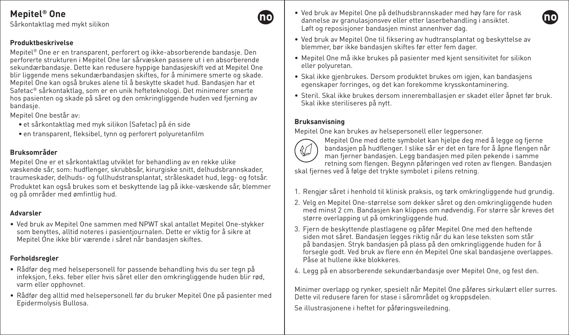Sårkontaktlag med mykt silikon

#### **Produktbeskrivelse**

Mepitel® One er en transparent, perforert og ikke-absorberende bandasje. Den perforerte strukturen i Mepitel One lar sårvæsken passere ut i en absorberende sekundærbandasje. Dette kan redusere hyppige bandasjeskift ved at Mepitel One blir liggende mens sekundærbandasjen skiftes, for å minimere smerte og skade. Mepitel One kan også brukes alene til å beskytte skadet hud. Bandasjen har et Safetac® sårkontaktlag, som er en unik hefteteknologi. Det minimerer smerte hos pasienten og skade på såret og den omkringliggende huden ved fjerning av bandasje.

Mepitel One består av:

- et sårkontaktlag med myk silikon (Safetac) på én side
- en transparent, fleksibel, tynn og perforert polyuretanfilm

## **Bruksområder**

Mepitel One er et sårkontaktlag utviklet for behandling av en rekke ulike væskende sår, som: hudflenger, skrubbsår, kirurgiske snitt, delhudsbrannskader, traumeskader, delhuds- og fullhudstransplantat, stråleskadet hud, legg- og fotsår. Produktet kan også brukes som et beskyttende lag på ikke-væskende sår, blemmer

og på områder med ømfintlig hud.

### **Advarsler**

• Ved bruk av Mepitel One sammen med NPWT skal antallet Mepitel One-stykker som benyttes, alltid noteres i pasientjournalen. Dette er viktig for å sikre at Mepitel One ikke blir værende i såret når bandasjen skiftes.

## **Forholdsregler**

- Rådfør deg med helsepersonell for passende behandling hvis du ser tegn på infeksjon, f.eks. feber eller hvis såret eller den omkringliggende huden blir rød, varm eller opphovnet.
- Rådfør deg alltid med helsepersonell før du bruker Mepitel One på pasienter med Epidermolysis Bullosa.
- Ved bruk av Mepitel One på delhudsbrannskader med høy fare for rask dannelse av granulasjonsvev eller etter laserbehandling i ansiktet. Løft og reposisjoner bandasjen minst annenhver dag.
- Ved bruk av Mepitel One til fiksering av hudtransplantat og beskyttelse av blemmer, bør ikke bandasjen skiftes før etter fem dager.
- Mepitel One må ikke brukes på pasienter med kjent sensitivitet for silikon eller polyuretan.
- Skal ikke gjenbrukes. Dersom produktet brukes om igjen, kan bandasjens egenskaper forringes, og det kan forekomme krysskontaminering.
- Steril. Skal ikke brukes dersom inneremballasjen er skadet eller åpnet før bruk. Skal ikke steriliseres på nytt.

### **Bruksanvisning**

Mepitel One kan brukes av helsepersonell eller legpersoner.



Mepitel One med dette symbolet kan hjelpe deg med å legge og fjerne bandasjen på hudflenger. I slike sår er det en fare for å åpne flengen når man fjerner bandasjen. Legg bandasjen med pilen pekende i samme retning som flengen. Begynn påføringen ved roten av flengen. Bandasjen

skal fjernes ved å følge det trykte symbolet i pilens retning.

- 1. Rengjør såret i henhold til klinisk praksis, og tørk omkringliggende hud grundig.
- 2. Velg en Mepitel One-størrelse som dekker såret og den omkringliggende huden med minst 2 cm. Bandasjen kan klippes om nødvendig. For større sår kreves det større overlapping ut på omkringliggende hud.
- 3. Fjern de beskyttende plastlagene og påfør Mepitel One med den heftende siden mot såret. Bandasjen legges riktig når du kan lese teksten som står på bandasjen. Stryk bandasjen på plass på den omkringliggende huden for å forsegle godt. Ved bruk av flere enn én Mepitel One skal bandasjene overlappes. Påse at hullene ikke blokkeres.
- 4. Legg på en absorberende sekundærbandasje over Mepitel One, og fest den.

Minimer overlapp og rynker, spesielt når Mepitel One påføres sirkulært eller surres. Dette vil redusere faren for stase i sårområdet og kroppsdelen.

Se illustrasjonene i heftet for påføringsveiledning.



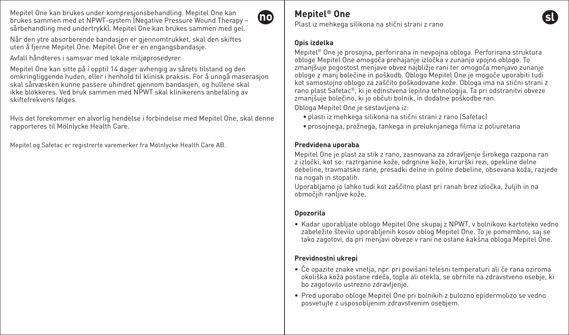Mepitel One kan brukes under kompresjonsbehandling. Mepitel One kan brukes sammen med et NPWT-system (Negative Pressure Wound Therapy – sårbehandling med undertrykk). Mepitel One kan brukes sammen med gel.



Når den ytre absorberende bandasjen er gjennomtrukket, skal den skiftes uten å fjerne Mepitel One. Mepitel One er en engangsbandasje.

Avfall håndteres i samsvar med lokale miljøprosedyrer.

Mepitel One kan sitte på i opptil 14 dager avhengig av sårets tilstand og den omkringliggende huden, eller i henhold til klinisk praksis. For å unngå maserasjon skal sårvæsken kunne passere uhindret gjennom bandasjen, og hullene skal ikke blokkeres. Ved bruk sammen med NPWT skal klinikerens anbefaling av skiftefrekvens følges.

Hvis det forekommer en alvorlig hendelse i forbindelse med Mepitel One, skal denne rapporteres til Mölnlycke Health Care.

Mepitel og Safetac er registrerte varemerker fra Mölnlycke Health Care AB.

## **Mepitel® One**

Plast iz mehkega silikona na stični strani z rano

#### **Opis izdelka**

Mepitel® One je prosojna, perforirana in nevpojna obloga. Perforirana struktura obloge Mepitel One omogoča prehajanje izločka v zunanjo vpojno oblogo. To zmanjšuje pogostost menjave obvez najbližje rani ter omogoča menjavo zunanje obloge z manj bolečine in poškodb. Oblogo Mepitel One je mogoče uporabiti tudi kot samostojno oblogo za zaščito poškodovane kože. Obloga ima na stični strani z rano plast Safetac®, ki je edinstvena lepilna tehnologija. Ta pri odstranitvi obveze zmanjšuje bolečino, ki jo občuti bolnik, in dodatne poškodbe ran.

Obloga Mepitel One je sestavljena iz:

- plasti iz mehkega silikona na stični strani z rano (Safetac)
- prosojnega, prožnega, tankega in preluknjanega filma iz poliuretana

### **Predvidena uporaba**

Mepitel One je plast za stik z rano, zasnovana za zdravljenje širokega razpona ran z izločki, kot so: raztrganine kože, odrgnine kože, kirurški rezi, opekline delne debeline, travmatske rane, presadki delne in polne debeline, obsevana koža, razjede na nogah in stopalih.

Uporabljamo jo lahko tudi kot zaščitno plast pri ranah brez izločka, žuljih in na območjih ranljive kože.

### **Opozorila**

• Kadar uporabljate oblogo Mepitel One skupaj z NPWT, v bolnikovo kartoteko vedno zabeležite število uporabljenih kosov oblog Mepitel One. To je pomembno, saj se tako zagotovi, da pri menjavi obveze v rani ne ostane kakšna obloga Mepitel One.

## **Previdnostni ukrepi**

- Če opazite znake vnetja, npr. pri povišani telesni temperaturi ali če rana oziroma okoliška koža postane rdeča, topla ali otekla, se obrnite na zdravstveno osebje, ki bo zagotovilo ustrezno zdravljenje.
- Pred uporabo obloge Mepitel One pri bolnikih z bulozno epidermolizo se vedno posvetujte z usposobljenim zdravstvenim osebjem.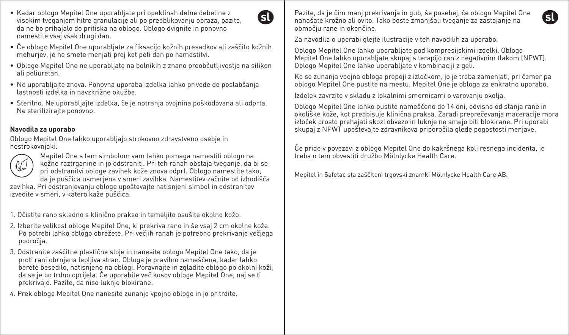- Kadar oblogo Mepitel One uporabljate pri opeklinah delne debeline z visokim tveganjem hitre granulacije ali po preoblikovanju obraza, pazite, da ne bo prihajalo do pritiska na oblogo. Oblogo dvignite in ponovno namestite vsaj vsak drugi dan.
- Če oblogo Mepitel One uporabljate za fiksacijo kožnih presadkov ali zaščito kožnih mehurjev, je ne smete menjati prej kot peti dan po namestitvi.

G)

- Obloge Mepitel One ne uporabljate na bolnikih z znano preobčutljivostjo na silikon ali poliuretan.
- Ne uporabljajte znova. Ponovna uporaba izdelka lahko privede do poslabšanja lastnosti izdelka in navzkrižne okužbe.
- Sterilno. Ne uporabljajte izdelka, če je notranja ovojnina poškodovana ali odprta. Ne sterilizirajte ponovno.

### **Navodila za uporabo**

Oblogo Mepitel One lahko uporabljajo strokovno zdravstveno osebje in nestrokovnjaki.



Mepitel One s tem simbolom vam lahko pomaga namestiti oblogo na kožne raztrganine in jo odstraniti. Pri teh ranah obstaja tveganje, da bi se pri odstranitvi obloge zavihek kože znova odprl. Oblogo namestite tako, da je puščica usmerjena v smeri zavihka. Namestitev začnite od izhodišča

zavihka. Pri odstranjevanju obloge upoštevajte natisnjeni simbol in odstranitev izvedite v smeri, v katero kaže puščica.

- 1. Očistite rano skladno s klinično prakso in temeljito osušite okolno kožo.
- 2. Izberite velikost obloge Mepitel One, ki prekriva rano in še vsaj 2 cm okolne kože. Po potrebi lahko oblogo obrežete. Pri večjih ranah je potrebno prekrivanje večjega področja.
- 3. Odstranite zaščitne plastične sloje in nanesite oblogo Mepitel One tako, da je proti rani obrnjena lepljiva stran. Obloga je pravilno nameščena, kadar lahko berete besedilo, natisnjeno na oblogi. Poravnajte in zgladite oblogo po okolni koži, da se je bo trdno oprijela. Če uporabite več kosov obloge Mepitel One, naj se ti prekrivajo. Pazite, da niso luknje blokirane.
- 4. Prek obloge Mepitel One nanesite zunanjo vpojno oblogo in jo pritrdite.

Pazite, da je čim manj prekrivanja in gub, še posebej, če oblogo Mepitel One nanašate krožno ali ovito. Tako boste zmanjšali tveganje za zastajanje na območju rane in okončine.

Za navodila o uporabi glejte ilustracije v teh navodilih za uporabo.

Oblogo Mepitel One lahko uporabljate pod kompresijskimi izdelki. Oblogo Mepitel One lahko uporabljate skupaj s terapijo ran z negativnim tlakom (NPWT). Oblogo Mepitel One lahko uporabljate v kombinaciji z geli.

Ko se zunanja vpojna obloga prepoji z izločkom, jo je treba zamenjati, pri čemer pa oblogo Mepitel One pustite na mestu. Mepitel One je obloga za enkratno uporabo.

Izdelek zavrzite v skladu z lokalnimi smernicami o varovanju okolja.

Oblogo Mepitel One lahko pustite nameščeno do 14 dni, odvisno od stanja rane in okoliške kože, kot predpisuje klinična praksa. Zaradi preprečevanja maceracije mora izloček prosto prehajati skozi obvezo in luknje ne smejo biti blokirane. Pri uporabi skupaj z NPWT upoštevajte zdravnikova priporočila glede pogostosti menjave.

Če pride v povezavi z oblogo Mepitel One do kakršnega koli resnega incidenta, je treba o tem obvestiti družbo Mölnlycke Health Care.

Mepitel in Safetac sta zaščiteni trgovski znamki Mölnlycke Health Care AB.

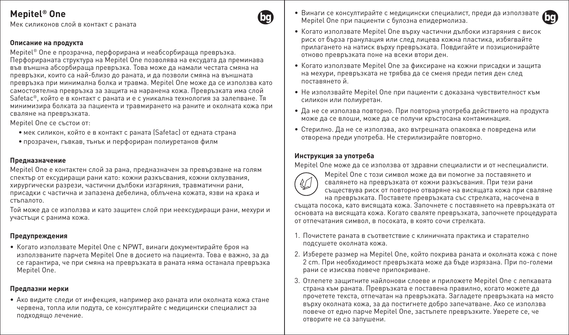Мек силиконов слой в контакт с раната

#### **Описание на продукта**

Mepitel® One е прозрачна, перфорирана и неабсорбираща превръзка. Перфорираната структура на Mepitel One позволява на ексудата да преминава във външна абсорбираща превръзка. Това може да намали честата смяна на превръзки, които са най-близо до раната, и да позволи смяна на външната превръзка при минимална болка и травма. Mepitel One може да се използва като самостоятелна превръзка за защита на наранена кожа. Превръзката има слой Safetac®, който е в контакт с раната и е с уникална технология за залепване. Тя минимизира болката за пациента и травмирането на раните и околната кожа при сваляне на превръзката.

Mepitel One се състои от:

- мек силикон, който е в контакт с раната (Safetac) от едната страна
- прозрачен, гъвкав, тънък и перфориран полиуретанов филм

#### **Предназначение**

Mepitel One е контактен слой за рана, предназначен за превързване на голям спектър от ексудиращи рани като: кожни разкъсвания, кожни охлузвания, хирургически разрези, частични дълбоки изгаряния, травматични рани, присадки с частична и запазена дебелина, облъчена кожата, язви на крака и стъпалото.

Той може да се използва и като защитен слой при неексудиращи рани, мехури и участъци с ранима кожа.

#### **Предупреждения**

• Когато използвате Mepitel One с NPWT, винаги документирайте броя на използваните парчета Mepitel One в досието на пациента. Това е важно, за да се гарантира, че при смяна на превръзката в раната няма останала превръзка Mepitel One.

#### **Предпазни мерки**

• Ако видите следи от инфекция, например ако раната или околната кожа стане червена, топла или подута, се консултирайте с медицински специалист за подходящо лечение.

- Винаги се консултирайте с медицински специалист, преди да използвате Mepitel One при пациенти с булозна епидермолиза.
- Когато използвате Mepitel One върху частични дълбоки изгаряния с висок риск от бърза гранулация или след лицева кожна пластика, избягвайте прилагането на натиск върху превръзката. Повдигайте и позиционирайте отново превръзката поне на всеки втори ден.
- Когато използвате Mepitel One за фиксиране на кожни присадки и защита на мехури, превръзката не трябва да се сменя преди петия ден след поставянето й.
- Не използвайте Mepitel One при пациенти с доказана чувствителност към силикон или полиуретан.
- Да не се използва повторно. При повторна употреба действието на продукта може да се влоши, може да се получи кръстосана контаминация.
- Стерилно. Да не се използва, ако вътрешната опаковка е повредена или отворена преди употреба. Не стерилизирайте повторно.

#### **Инструкция за употреба**

Mepitel One може да се използва от здравни специалисти и от неспециалисти.



Mepitel One с този символ може да ви помогне за поставянето и свалянето на превръзката от кожни разкъсвания. При тези рани съществува риск от повторно отваряне на висящата кожа при сваляне на превръзката. Поставете превръзката със стрелката, насочена в

същата посока, като висящата кожа. Започнете с поставянето на превръзката от основата на висящата кожа. Когато сваляте превръзката, започнете процедурата от отпечатания символ, в посоката, в която сочи стрелката.

- 1. Почистете раната в съответствие с клиничната практика и старателно подсушете околната кожа.
- 2. Изберете размер на Mepitel One, който покрива раната и околната кожа с поне 2 cm. При необходимост превръзката може да бъде изрязана. При по-големи рани се изисква повече припокриване.
- 3. Отлепете защитните найлонови слоеве и приложете Mepitel One с лепкавата страна към раната. Превръзката е поставена правилно, когато можете да прочетете текста, отпечатан на превръзката. Загладете превръзката на място върху околната кожа, за да постигнете добро запечатване. Ако се използва повече от едно парче Mepitel One, застъпете превръзките. Уверете се, че отворите не са запушени.



ba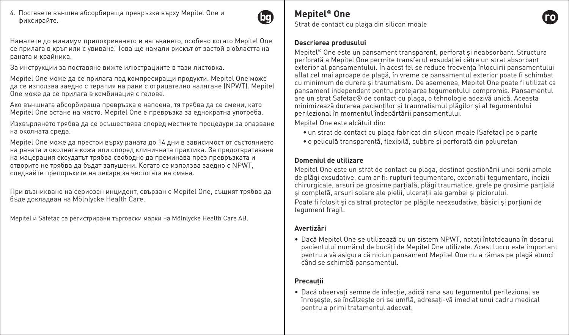4. Поставете външна абсорбираща превръзка върху Mepitel One и фиксирайте.



Намалете до минимум припокриването и нагъването, особено когато Mepitel One се прилага в кръг или с увиване. Това ще намали рискът от застой в областта на раната и крайника.

За инструкции за поставяне вижте илюстрациите в тази листовка.

Mepitel One може да се прилага под компресиращи продукти. Mepitel One може да се използва заедно с терапия на рани с отрицателно налягане (NPWT). Mepitel One може да се прилага в комбинация с гелове.

Ако външната абсорбираща превръзка е напоена, тя трябва да се смени, като Mepitel One остане на място. Mepitel One е превръзка за еднократна употреба.

Изхвърлянето трябва да се осъществява според местните процедури за опазване на околната среда.

Mepitel One може да престои върху раната до 14 дни в зависимост от състоянието на раната и околната кожа или според клиничната практика. За предотвратяване на мацерация ексудатът трябва свободно да преминава през превръзката и отворите не трябва да бъдат запушени. Когато се използва заедно с NPWT, следвайте препоръките на лекаря за честотата на смяна.

При възникване на сериозен инцидент, свързан с Mepitel One, същият трябва да бъде докладван на Mölnlycke Health Care.

Mepitel и Safetac са регистрирани търговски марки на Mölnlycke Health Care AB.

# **Mepitel® One**

Strat de contact cu plaga din silicon moale

#### **Descrierea produsului**

Mepitel<sup>®</sup> One este un pansament transparent, perforat si neabsorbant. Structura perforată a Mepitel One permite transferul exsudației către un strat absorbant exterior al pansamentului. În acest fel se reduce frecvenţa înlocuirii pansamentului aflat cel mai aproape de plagă, în vreme ce pansamentul exterior poate fi schimbat cu minimum de durere şi traumatism. De asemenea, Mepitel One poate fi utilizat ca pansament independent pentru protejarea tegumentului compromis. Pansamentul are un strat Safetac® de contact cu plaga, o tehnologie adezivă unică. Aceasta minimizează durerea pacienților și traumatismul plăgilor și al tegumentului perilezional în momentul îndepărtării pansamentului.

Mepitel One este alcătuit din:

- un strat de contact cu plaga fabricat din silicon moale (Safetac) pe o parte
- o peliculă transparentă, flexibilă, subțire și perforată din poliuretan

#### **Domeniul de utilizare**

Mepitel One este un strat de contact cu plaga, destinat gestionării unei serii ample de plăgi exsudative, cum ar fi: rupturi tegumentare, excoriaţii tegumentare, incizii chirurgicale, arsuri pe grosime parțială, plăgi traumatice, grefe pe grosime partială şi completă, arsuri solare ale pielii, ulceraţii ale gambei şi piciorului.

Poate fi folosit și ca strat protector pe plăgile neexsudative, bășici și portiuni de tegument fragil.

#### **Avertizări**

• Dacă Mepitel One se utilizează cu un sistem NPWT, notati întotdeauna în dosarul pacientului numărul de bucăți de Mepitel One utilizate. Acest lucru este important pentru a vă asigura că niciun pansament Mepitel One nu a rămas pe plagă atunci când se schimbă pansamentul.

### **Precauţii**

• Dacă observati semne de infectie, adică rana sau tegumentul perilezional se înroşeşte, se încălzeşte ori se umflă, adresaţi-vă imediat unui cadru medical pentru a primi tratamentul adecvat.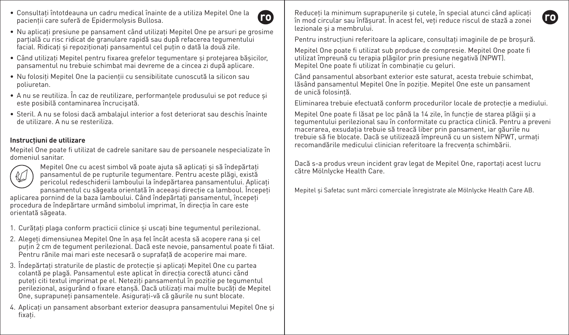- Consultati întotdeauna un cadru medical înainte de a utiliza Mepitel One la pacienții care suferă de Epidermolysis Bullosa.
- **ro**
- Nu aplicati presiune pe pansament când utilizati Mepitel One pe arsuri pe grosime parțială cu risc ridicat de granulare rapidă sau după refacerea tegumentului facial. Ridicati și repoziționați pansamentul cel puțin o dată la două zile.
- Când utilizaţi Mepitel pentru fixarea grefelor tegumentare şi protejarea băşicilor, pansamentul nu trebuie schimbat mai devreme de a cincea zi după aplicare.
- Nu folosiți Mepitel One la pacienții cu sensibilitate cunoscută la silicon sau poliuretan.
- A nu se reutiliza. În caz de reutilizare, performantele produsului se pot reduce si este posibilă contaminarea încrucişată.
- Steril. A nu se folosi dacă ambalajul interior a fost deteriorat sau deschis înainte de utilizare. A nu se resteriliza.

### **Instrucţiuni de utilizare**

Mepitel One poate fi utilizat de cadrele sanitare sau de persoanele nespecializate în domeniul sanitar.



Mepitel One cu acest simbol vă poate ajuta să aplicați și să îndepărtați pansamentul de pe rupturile tegumentare. Pentru aceste plăgi, există pericolul redeschiderii lamboului la îndepărtarea pansamentului. Aplicati pansamentul cu săgeata orientată în aceeași direcție ca lamboul. Începeți

aplicarea pornind de la baza lamboului. Când îndepărtați pansamentul, începeți procedura de îndepărtare urmând simbolul imprimat, în directia în care este orientată săgeata.

- 1. Curătați plaga conform practicii clinice și uscați bine tegumentul perilezional.
- 2. Alegeti dimensiunea Mepitel One în asa fel încât acesta să acopere rana și cel puțin 2 cm de tegument perilezional. Dacă este nevoie, pansamentul poate fi tăiat. Pentru rănile mai mari este necesară o suprafață de acoperire mai mare.
- 3. Îndepărtati straturile de plastic de protectie și aplicati Mepitel One cu partea colantă pe plagă. Pansamentul este aplicat în direcția corecță atunci când puteti citi textul imprimat pe el. Neteziti pansamentul în poziție pe tegumentul perilezional, asigurând o fixare etansă. Dacă utilizați mai multe bucăți de Mepitel One, suprapuneţi pansamentele. Asiguraţi-vă că găurile nu sunt blocate.
- 4. Aplicaţi un pansament absorbant exterior deasupra pansamentului Mepitel One şi fixati.

Reduceți la minimum suprapunerile și cutele, în special atunci când aplicați în mod circular sau înfăşurat. În acest fel, veţi reduce riscul de stază a zonei lezionale si a membrului.

Pentru instrucțiuni referitoare la aplicare, consultați imaginile de pe broșură.

Mepitel One poate fi utilizat sub produse de compresie. Mepitel One poate fi utilizat împreună cu terapia plăgilor prin presiune negativă (NPWT). Mepitel One poate fi utilizat în combinație cu geluri.

Când pansamentul absorbant exterior este saturat, acesta trebuie schimbat, lăsând pansamentul Mepitel One în poziție. Mepitel One este un pansament de unică folosintă.

Eliminarea trebuie efectuată conform procedurilor locale de protecție a mediului.

Mepitel One poate fi lăsat pe loc până la 14 zile, în funcție de starea plăgii și a tegumentului perilezional sau în conformitate cu practica clinică. Pentru a preveni macerarea, exsudația trebuie să treacă liber prin pansament, iar găurile nu trebuie să fie blocate. Dacă se utilizează împreună cu un sistem NPWT, urmati recomandările medicului clinician referitoare la frecventa schimbării.

Dacă s-a produs vreun incident grav legat de Mepitel One, raportați acest lucru către Mölnlycke Health Care.

Mepitel şi Safetac sunt mărci comerciale înregistrate ale Mölnlycke Health Care AB.

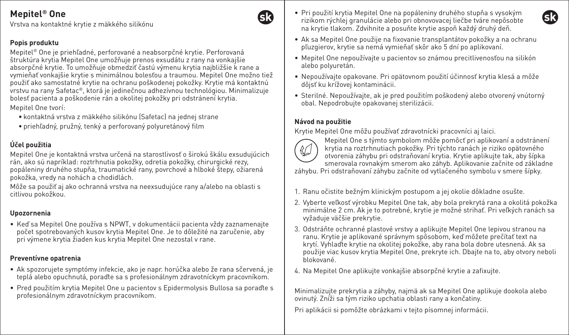Vrstva na kontaktné krytie z mäkkého silikónu

### **Popis produktu**

Mepitel® One je priehľadné, perforované a neabsorpčné krytie. Perforovaná štruktúra krytia Mepitel One umožňuje prenos exsudátu z rany na vonkajšie absorpčné krytie. To umožňuje obmedziť častú výmenu krytia najbližšie k rane a vymieňať vonkajšie krytie s minimálnou bolesťou a traumou. Mepitel One možno tiež použiť ako samostatné krytie na ochranu poškodenej pokožky. Krytie má kontaktnú vrstvu na rany Safetac®, ktorá je jedinečnou adhezívnou technológiou. Minimalizuje bolesť pacienta a poškodenie rán a okolitej pokožky pri odstránení krytia. Mepitel One tvorí:

- kontaktná vrstva z mäkkého silikónu (Safetac) na jednej strane
- priehľadný, pružný, tenký a perforovaný polyuretánový film

## **Účel použitia**

Mepitel One je kontaktná vrstva určená na starostlivosť o širokú škálu exsudujúcich rán, ako sú napríklad: roztrhnutia pokožky, odretia pokožky, chirurgické rezy, popáleniny druhého stupňa, traumatické rany, povrchové a hlboké štepy, ožiarená pokožka, vredy na nohách a chodidlách.

Môže sa použiť aj ako ochranná vrstva na neexsudujúce rany a/alebo na oblasti s citlivou pokožkou.

### **Upozornenia**

• Keď sa Mepitel One používa s NPWT, v dokumentácii pacienta vždy zaznamenajte počet spotrebovaných kusov krytia Mepitel One. Je to dôležité na zaručenie, aby pri výmene krytia žiaden kus krytia Mepitel One nezostal v rane.

## **Preventívne opatrenia**

- Ak spozorujete symptómy infekcie, ako je napr. horúčka alebo že rana sčervená, je teplá alebo opuchnutá, poraďte sa s profesionálnym zdravotníckym pracovníkom.
- Pred použitím krytia Mepitel One u pacientov s Epidermolysis Bullosa sa poraďte s profesionálnym zdravotníckym pracovníkom.
- Pri použití krytia Mepitel One na popáleniny druhého stupňa s vysokým rizikom rýchlej granulácie alebo pri obnovovacej liečbe tváre nepôsobte na krytie tlakom. Zdvihnite a posuňte krytie aspoň každý druhý deň.
- Ak sa Mepitel One použije na fixovanie transplantátov pokožky a na ochranu pľuzgierov, krytie sa nemá vymieňať skôr ako 5 dní po aplikovaní.
- Mepitel One nepoužívajte u pacientov so známou precitlivenosťou na silikón alebo polyuretán.
- Nepoužívajte opakovane. Pri opätovnom použití účinnosť krytia klesá a môže dôjsť ku krížovej kontaminácii.
- Sterilné. Nepoužívajte, ak je pred použitím poškodený alebo otvorený vnútorný obal. Nepodrobujte opakovanej sterilizácii.

## **Návod na použitie**

Krytie Mepitel One môžu používať zdravotnícki pracovníci aj laici.



Mepitel One s týmto symbolom môže pomôcť pri aplikovaní a odstránení krytia na roztrhnutiach pokožky. Pri týchto ranách je riziko opätovného otvorenia záhybu pri odstraňovaní krytia. Krytie aplikujte tak, aby šípka smerovala rovnakým smerom ako záhyb. Aplikovanie začnite od základne

záhybu. Pri odstraňovaní záhybu začnite od vytlačeného symbolu v smere šípky.

- 1. Ranu očistite bežným klinickým postupom a jej okolie dôkladne osušte.
- 2. Vyberte veľkosť výrobku Mepitel One tak, aby bola prekrytá rana a okolitá pokožka minimálne 2 cm. Ak je to potrebné, krytie je možné strihať. Pri veľkých ranách sa vyžaduje väčšie prekrytie.
- 3. Odstráňte ochranné plastové vrstvy a aplikujte Mepitel One lepivou stranou na ranu. Krytie je aplikované správnym spôsobom, keď môžete prečítať text na krytí. Vyhlaďte krytie na okolitej pokožke, aby rana bola dobre utesnená. Ak sa použije viac kusov krytia Mepitel One, prekryte ich. Dbajte na to, aby otvory neboli blokované.
- 4. Na Mepitel One aplikujte vonkajšie absorpčné krytie a zafixujte.

Minimalizujte prekrytia a záhyby, najmä ak sa Mepitel One aplikuje dookola alebo ovinutý. Zníži sa tým riziko upchatia oblasti rany a končatiny.

Pri aplikácii si pomôžte obrázkami v tejto písomnej informácii.



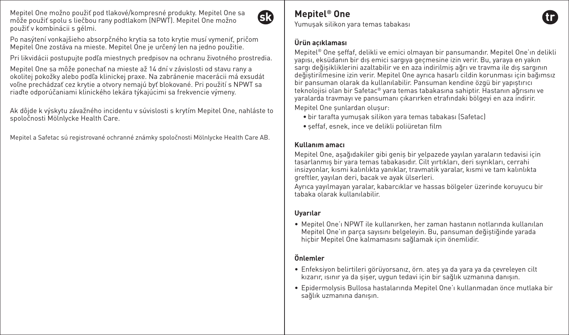Mepitel One možno použiť pod tlakové/kompresné produkty. Mepitel One sa môže použiť spolu s liečbou rany podtlakom (NPWT). Mepitel One možno použiť v kombinácii s gélmi.



Po nasýtení vonkajšieho absorpčného krytia sa toto krytie musí vymeniť, pričom Mepitel One zostáva na mieste. Mepitel One je určený len na jedno použitie.

Pri likvidácii postupujte podľa miestnych predpisov na ochranu životného prostredia.

Mepitel One sa môže ponechať na mieste až 14 dní v závislosti od stavu rany a okolitej pokožky alebo podľa klinickej praxe. Na zabránenie macerácii má exsudát voľne prechádzať cez krytie a otvory nemajú byť blokované. Pri použití s NPWT sa riaďte odporúčaniami klinického lekára týkajúcimi sa frekvencie výmeny.

Ak dôjde k výskytu závažného incidentu v súvislosti s krytím Mepitel One, nahláste to spoločnosti Mölnlycke Health Care.

Mepitel a Safetac sú registrované ochranné známky spoločnosti Mölnlycke Health Care AB.

# **Mepitel® One**

Yumuşak silikon yara temas tabakası

#### **Ürün açıklaması**

Mepitel® One şeffaf, delikli ve emici olmayan bir pansumandır. Mepitel One'ın delikli yapısı, eksüdanın bir dış emici sargıya geçmesine izin verir. Bu, yaraya en yakın sargı değişikliklerini azaltabilir ve en aza indirilmiş ağrı ve travma ile dış sargının değiştirilmesine izin verir. Mepitel One ayrıca hasarlı cildin korunması için bağımsız bir pansuman olarak da kullanılabilir. Pansuman kendine özgü bir yapıştırıcı teknolojisi olan bir Safetac® yara temas tabakasına sahiptir. Hastanın ağrısını ve yaralarda travmayı ve pansumanı çıkarırken etrafındaki bölgeyi en aza indirir. Mepitel One şunlardan oluşur:

- bir tarafta yumuşak silikon yara temas tabakası (Safetac)
- şeffaf, esnek, ince ve delikli poliüretan film

#### **Kullanım amacı**

Mepitel One, aşağıdakiler gibi geniş bir yelpazede yayılan yaraların tedavisi için tasarlanmış bir yara temas tabakasıdır. Cilt yırtıkları, deri sıyrıkları, cerrahi insizyonlar, kısmi kalınlıkta yanıklar, travmatik yaralar, kısmi ve tam kalınlıkta greftler, yayılan deri, bacak ve ayak ülserleri.

Ayrıca yayılmayan yaralar, kabarcıklar ve hassas bölgeler üzerinde koruyucu bir tabaka olarak kullanılabilir.

### **Uyarılar**

• Mepitel One'ı NPWT ile kullanırken, her zaman hastanın notlarında kullanılan Mepitel One'ın parça sayısını belgeleyin. Bu, pansuman değiştiğinde yarada hiçbir Mepitel One kalmamasını sağlamak için önemlidir.

### **Önlemler**

- Enfeksiyon belirtileri görüyorsanız, örn. ateş ya da yara ya da çevreleyen cilt kızarır, ısınır ya da şişer, uygun tedavi için bir sağlık uzmanına danışın.
- Epidermolysis Bullosa hastalarında Mepitel One'ı kullanmadan önce mutlaka bir sağlık uzmanına danışın.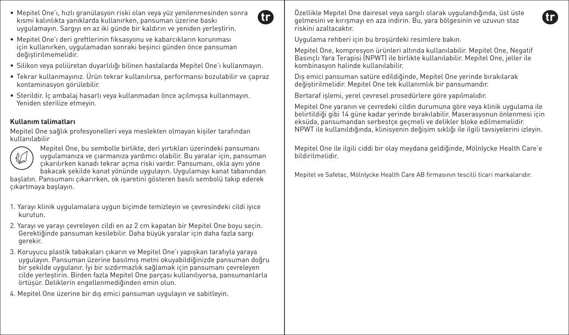- Mepitel One'ı, hızlı granülasyon riski olan veya yüz yenilenmesinden sonra kısmi kalınlıkta yanıklarda kullanırken, pansuman üzerine baskı uygulamayın. Sargıyı en az iki günde bir kaldırın ve yeniden yerleştirin.
- Mepitel One'ı deri greftlerinin fiksasyonu ve kabarcıkların korunması için kullanırken, uygulamadan sonraki beşinci günden önce pansuman değiştirilmemelidir.
- Silikon veya poliüretan duyarlılığı bilinen hastalarda Mepitel One'ı kullanmayın.
- Tekrar kullanmayınız. Ürün tekrar kullanılırsa, performansı bozulabilir ve çapraz kontaminasyon görülebilir.
- Sterildir. İç ambalaj hasarlı veya kullanmadan önce açılmışsa kullanmayın. Yeniden sterilize etmeyin.

## **Kullanım talimatları**

Mepitel One sağlık profesyonelleri veya meslekten olmayan kişiler tarafından kullanılabilir



Mepitel One, bu sembolle birlikte, deri yırtıkları üzerindeki pansumanı uygulamanıza ve çıarmanıza yardımcı olabilir. Bu yaralar için, pansuman çıkarılırken kanadı tekrar açma riski vardır. Pansumanı, okla aynı yöne bakacak şekilde kanat yönünde uygulayın. Uygulamayı kanat tabanından başlatın. Pansumanı çıkarırken, ok işaretini gösteren basılı sembolü takip ederek çıkartmaya başlayın.

- 1. Yarayı klinik uygulamalara uygun biçimde temizleyin ve çevresindeki cildi iyice kurutun.
- 2. Yarayı ve yarayı çevreleyen cildi en az 2 cm kapatan bir Mepitel One boyu seçin. Gerektiğinde pansuman kesilebilir. Daha büyük yaralar için daha fazla sargı gerekir.
- 3. Koruyucu plastik tabakaları çıkarın ve Mepitel One'ı yapışkan tarafıyla yaraya uygulayın. Pansuman üzerine basılmış metni okuyabildiğinizde pansuman doğru bir şekilde uygulanır. İyi bir sızdırmazlık sağlamak için pansumanı çevreleyen cilde yerleştirin. Birden fazla Mepitel One parçası kullanılıyorsa, pansumanlarla örtüşür. Deliklerin engellenmediğinden emin olun.
- 4. Mepitel One üzerine bir dış emici pansuman uygulayın ve sabitleyin.

Özellikle Mepitel One dairesel veya sargılı olarak uygulandığında, üst üste gelmesini ve kırışmayı en aza indirin. Bu, yara bölgesinin ve uzuvun staz riskini azaltacaktır.

Uygulama rehberi için bu broşürdeki resimlere bakın.

Œ

Mepitel One, kompresyon ürünleri altında kullanılabilir. Mepitel One, Negatif Basınçlı Yara Terapisi (NPWT) ile birlikte kullanılabilir. Mepitel One, jeller ile kombinasyon halinde kullanılabilir.

Dış emici pansuman satüre edildiğinde, Mepitel One yerinde bırakılarak değiştirilmelidir. Mepitel One tek kullanımlık bir pansumandır.

Bertaraf işlemi, yerel çevresel prosedürlere göre yapılmalıdır.

Mepitel One yaranın ve çevredeki cildin durumuna göre veya klinik uygulama ile belirtildiği gibi 14 güne kadar yerinde bırakılabilir. Maserasyonun önlenmesi için eksüda, pansumandan serbestçe geçmeli ve delikler bloke edilmemelidir. NPWT ile kullanıldığında, klinisyenin değişim sıklığı ile ilgili tavsiyelerini izleyin.

Mepitel One ile ilgili ciddi bir olay meydana geldiğinde, Mölnlycke Health Care'e bildirilmelidir.

Mepitel ve Safetac, Mölnlycke Health Care AB firmasının tescilli ticari markalarıdır.

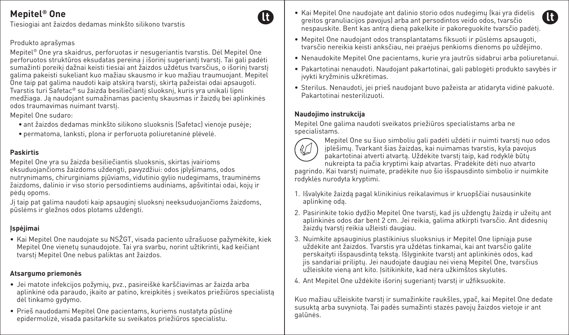Tiesiogiai ant žaizdos dedamas minkšto silikono tvarstis

### Produkto aprašymas

Mepitel® One yra skaidrus, perforuotas ir nesugeriantis tvarstis. Dėl Mepitel One perforuotos struktūros eksudatas pereina į išorinį sugeriantį tvarstį. Tai gali padėti sumažinti poreikį dažnai keisti tiesiai ant žaizdos uždėtus tvarsčius, o išorinį tvarstį galima pakeisti sukeliant kuo mažiau skausmo ir kuo mažiau traumuojant. Mepitel One taip pat galima naudoti kaip atskirą tvarstį, skirtą pažeistai odai apsaugoti. Tvarstis turi Safetac® su žaizda besiliečiantį sluoksnį, kuris yra unikali lipni medžiaga. Ją naudojant sumažinamas pacientų skausmas ir žaizdų bei aplinkinės odos traumavimas nuimant tvarstį.

Mepitel One sudaro:

- ant žaizdos dedamas minkšto silikono sluoksnis (Safetac) vienoje pusėje;
- permatoma, lanksti, plona ir perforuota poliuretaninė plėvelė.

## **Paskirtis**

Mepitel One yra su žaizda besiliečiantis sluoksnis, skirtas įvairioms eksuduojančioms žaizdoms uždengti, pavyzdžiui: odos įplyšimams, odos nutrynimams, chirurginiams pjūviams, vidutinio gylio nudegimams, trauminėms žaizdoms, dalinio ir viso storio persodintiems audiniams, apšvitintai odai, kojų ir pėdų opoms.

Jį taip pat galima naudoti kaip apsauginį sluoksnį neeksuduojančioms žaizdoms, pūslėms ir gležnos odos plotams uždengti.

### **Įspėjimai**

• Kai Mepitel One naudojate su NSŽGT, visada paciento užrašuose pažymėkite, kiek Mepitel One vienetų sunaudojote. Tai yra svarbu, norint užtikrinti, kad keičiant tvarstį Mepitel One nebus paliktas ant žaizdos.

#### **Atsargumo priemonės**

- Jei matote infekcijos požymių, pvz., pasireiškė karščiavimas ar žaizda arba aplinkinė oda paraudo, įkaito ar patino, kreipkitės į sveikatos priežiūros specialistą dėl tinkamo gydymo.
- Prieš naudodami Mepitel One pacientams, kuriems nustatyta pūslinė epidermolizė, visada pasitarkite su sveikatos priežiūros specialistu.
- Kai Mepitel One naudojate ant dalinio storio odos nudegimų (kai yra didelis greitos granuliacijos pavojus) arba ant persodintos veido odos, tvarsčio nespauskite. Bent kas antrą dieną pakelkite ir pakoreguokite tvarsčio padėtį.
- Mepitel One naudojant odos transplantatams fiksuoti ir pūslėms apsaugoti, tvarsčio nereikia keisti anksčiau, nei praėjus penkioms dienoms po uždėjimo.
- Nenaudokite Mepitel One pacientams, kurie yra jautrūs sidabrui arba poliuretanui.
- Pakartotinai nenaudoti. Naudojant pakartotinai, gali pablogėti produkto savybės ir įvykti kryžminis užkrėtimas.
- Sterilus. Nenaudoti, jei prieš naudojant buvo pažeista ar atidaryta vidinė pakuotė. Pakartotinai nesterilizuoti.

### **Naudojimo instrukcija**

Mepitel One galima naudoti sveikatos priežiūros specialistams arba ne specialistams.



M

Mepitel One su šiuo simboliu gali padėti uždėti ir nuimti tvarstį nuo odos įplėšimų. Tvarkant šias žaizdas, kai nuimamas tvarstis, kyla pavojus pakartotinai atverti atvartą. Uždėkite tvarstį taip, kad rodyklė būtų nukreipta ta pačia kryptimi kaip atvartas. Pradėkite dėti nuo atvarto

pagrindo. Kai tvarstį nuimate, pradėkite nuo šio išspausdinto simbolio ir nuimkite rodyklės nurodyta kryptimi.

- 1. Išvalykite žaizdą pagal klinikinius reikalavimus ir kruopščiai nusausinkite aplinkinę odą.
- 2. Pasirinkite tokio dydžio Mepitel One tvarstį, kad jis uždengtų žaizdą ir užeitų ant aplinkinės odos dar bent 2 cm. Jei reikia, galima atkirpti tvarsčio. Ant didesnių žaizdų tvarstį reikia užleisti daugiau.
- 3. Nuimkite apsauginius plastikinius sluoksnius ir Mepitel One lipniąja puse uždėkite ant žaizdos. Tvarstis yra uždėtas tinkamai, kai ant tvarsčio galite perskaityti išspausdintą tekstą. Išlyginkite tvarstį ant aplinkinės odos, kad jis sandariai priliptų. Jei naudojate daugiau nei vieną Mepitel One, tvarsčius užleiskite vieną ant kito. Įsitikinkite, kad nėra užkimštos skylutės.
- 4. Ant Mepitel One uždėkite išorinį sugeriantį tvarstį ir užfiksuokite.

Kuo mažiau užleiskite tvarstį ir sumažinkite raukšles, ypač, kai Mepitel One dedate susuktą arba suvyniotą. Tai padės sumažinti stazės pavojų žaizdos vietoje ir ant galūnės.

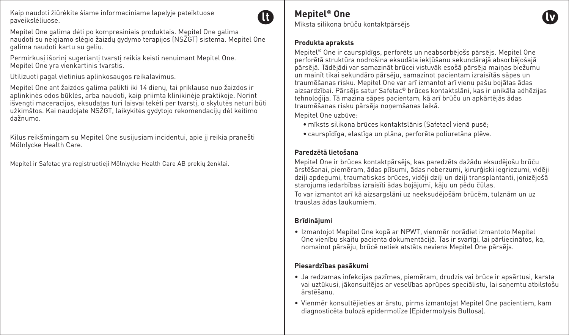Kaip naudoti žiūrėkite šiame informaciniame lapelyje pateiktuose paveikslėliuose.



Mepitel One galima dėti po kompresiniais produktais. Mepitel One galima naudoti su neigiamo slėgio žaizdų gydymo terapijos (NSŽGT) sistema. Mepitel One galima naudoti kartu su geliu.

Permirkusį išorinį sugeriantį tvarstį reikia keisti nenuimant Mepitel One. Mepitel One yra vienkartinis tvarstis.

Utilizuoti pagal vietinius aplinkosaugos reikalavimus.

Mepitel One ant žaizdos galima palikti iki 14 dienų, tai priklauso nuo žaizdos ir aplinkinės odos būklės, arba naudoti, kaip priimta klinikinėje praktikoje. Norint išvengti maceracijos, eksudatas turi laisvai tekėti per tvarstį, o skylutės neturi būti užkimštos. Kai naudojate NSŽGT, laikykitės gydytojo rekomendacijų dėl keitimo dažnumo.

Kilus reikšmingam su Mepitel One susijusiam incidentui, apie jį reikia pranešti Mölnlycke Health Care.

Mepitel ir Safetac yra registruotieji Mölnlycke Health Care AB prekių ženklai.

## **Mepitel® One**

Mīksta silikona brūču kontaktpārsējs

#### **Produkta apraksts**

Mepitel® One ir caurspīdīgs, perforēts un neabsorbējošs pārsējs. Mepitel One perforētā struktūra nodrošina eksudāta iekļūšanu sekundārajā absorbējošajā pārsējā. Tādējādi var samazināt brūcei vistuvāk esošā pārsēja maiņas biežumu un mainīt tikai sekundāro pārsēju, samazinot pacientam izraisītās sāpes un traumēšanas risku. Mepitel One var arī izmantot arī vienu pašu bojātas ādas aizsardzībai. Pārsējs satur Safetac® brūces kontaktslāni, kas ir unikāla adhēzijas tehnoloģija. Tā mazina sāpes pacientam, kā arī brūču un apkārtējās ādas traumēšanas risku pārsēja noņemšanas laikā.

Mepitel One uzbūve:

- mīksts silikona brūces kontaktslānis (Safetac) vienā pusē;
- caurspīdīga, elastīga un plāna, perforēta poliuretāna plēve.

## **Paredzētā lietošana**

Mepitel One ir brūces kontaktpārsējs, kas paredzēts dažādu eksudējošu brūču ārstēšanai, piemēram, ādas plīsumi, ādas noberzumi, ķirurģiski iegriezumi, vidēji dziļi apdegumi, traumatiskas brūces, vidēji dziļi un dziļi transplantanti, jonizējošā starojuma iedarbības izraisīti ādas bojājumi, kāju un pēdu čūlas. To var izmantot arī kā aizsargslāni uz neeksudējošām brūcēm, tulznām un uz trauslas ādas laukumiem.

## **Brīdinājumi**

• Izmantojot Mepitel One kopā ar NPWT, vienmēr norādiet izmantoto Mepitel One vienību skaitu pacienta dokumentācijā. Tas ir svarīgi, lai pārliecinātos, ka, nomainot pārsēju, brūcē netiek atstāts neviens Mepitel One pārsējs.

## **Piesardzības pasākumi**

- Ja redzamas infekcijas pazīmes, piemēram, drudzis vai brūce ir apsārtusi, karsta vai uztūkusi, jākonsultējas ar veselības aprūpes speciālistu, lai saņemtu atbilstošu ārstēšanu.
- Vienmēr konsultējieties ar ārstu, pirms izmantojat Mepitel One pacientiem, kam diagnosticēta bulozā epidermolīze (Epidermolysis Bullosa).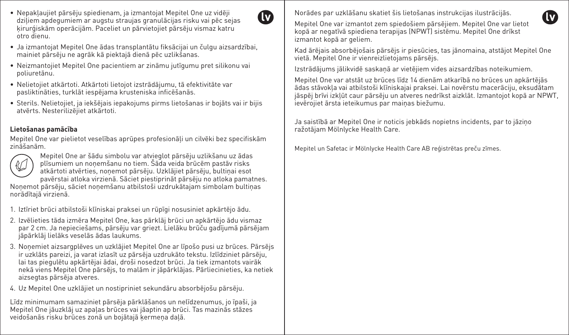- Nepakļaujiet pārsēju spiedienam, ja izmantojat Mepitel One uz vidēji dziļiem apdegumiem ar augstu straujas granulācijas risku vai pēc sejas ķirurģiskām operācijām. Paceliet un pārvietojiet pārsēju vismaz katru otro dienu.
- Ja izmantojat Mepitel One ādas transplantātu fiksācijai un čulgu aizsardzībai, mainiet pārsēju ne agrāk kā piektajā dienā pēc uzlikšanas.

(M

- Neizmantojiet Mepitel One pacientiem ar zināmu jutīgumu pret silikonu vai poliuretānu.
- Nelietojiet atkārtoti. Atkārtoti lietojot izstrādājumu, tā efektivitāte var pasliktināties, turklāt iespējama krusteniska inficēšanās.
- Sterils. Nelietojiet, ja iekšējais iepakojums pirms lietošanas ir bojāts vai ir bijis atvērts. Nesterilizējiet atkārtoti.

## **Lietošanas pamācība**

Mepitel One var pielietot veselības aprūpes profesionāļi un cilvēki bez specifiskām zināšanām.



Mepitel One ar šādu simbolu var atvieglot pārsēju uzlikšanu uz ādas plīsumiem un noņemšanu no tiem. Šāda veida brūcēm pastāv risks atkārtoti atvērties, noņemot pārsēju. Uzklājiet pārsēju, bultiņai esot pavērstai atloka virzienā. Sāciet piestiprināt pārsēju no atloka pamatnes.

Noņemot pārsēju, sāciet noņemšanu atbilstoši uzdrukātajam simbolam bultiņas norādītajā virzienā.

- 1. Iztīriet brūci atbilstoši klīniskai praksei un rūpīgi nosusiniet apkārtējo ādu.
- 2. Izvēlieties tāda izmēra Mepitel One, kas pārklāj brūci un apkārtējo ādu vismaz par 2 cm. Ja nepieciešams, pārsēju var griezt. Lielāku brūču gadījumā pārsējam jāpārklāj lielāks veselās ādas laukums.
- 3. Noņemiet aizsargplēves un uzklājiet Mepitel One ar līpošo pusi uz brūces. Pārsējs ir uzklāts pareizi, ja varat izlasīt uz pārsēja uzdrukāto tekstu. Izlīdziniet pārsēju, lai tas piegulētu apkārtējai ādai, droši nosedzot brūci. Ja tiek izmantots vairāk nekā viens Mepitel One pārsējs, to malām ir jāpārklājas. Pārliecinieties, ka netiek aizsegtas pārsēja atveres.
- 4. Uz Mepitel One uzklājiet un nostipriniet sekundāru absorbējošu pārsēju.

Līdz minimumam samaziniet pārsēja pārklāšanos un nelīdzenumus, jo īpaši, ja Mepitel One jāuzklāj uz apaļas brūces vai jāaptin ap brūci. Tas mazinās stāzes veidošanās risku brūces zonā un bojātajā ķermeņa daļā.

Norādes par uzklāšanu skatiet šis lietošanas instrukcijas ilustrācijās.

Mepitel One var izmantot zem spiedošiem pārsējiem. Mepitel One var lietot kopā ar negatīvā spiediena terapijas (NPWT) sistēmu. Mepitel One drīkst izmantot kopā ar geliem.

Kad ārējais absorbējošais pārsējs ir piesūcies, tas jānomaina, atstājot Mepitel One vietā. Mepitel One ir vienreizlietojams pārsējs.

Izstrādājums jālikvidē saskaņā ar vietējiem vides aizsardzības noteikumiem.

Mepitel One var atstāt uz brūces līdz 14 dienām atkarībā no brūces un apkārtējās ādas stāvokļa vai atbilstoši klīniskajai praksei. Lai novērstu macerāciju, eksudātam jāspēj brīvi izkļūt caur pārsēju un atveres nedrīkst aizklāt. Izmantojot kopā ar NPWT, ievērojiet ārsta ieteikumus par maiņas biežumu.

Ja saistībā ar Mepitel One ir noticis jebkāds nopietns incidents, par to jāziņo ražotājam Mölnlycke Health Care.

Mepitel un Safetac ir Mölnlycke Health Care AB reģistrētas preču zīmes.

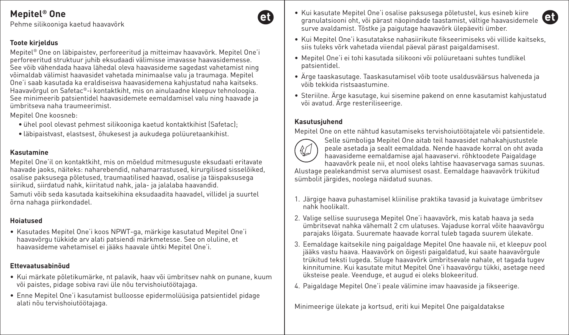Pehme silikooniga kaetud haavavõrk

### **Toote kirjeldus**

Mepitel® One on läbipaistev, perforeeritud ja mitteimav haavavõrk. Mepitel One'i perforeeritud struktuur juhib eksudaadi välimisse imavasse haavasidemesse. See võib vähendada haava lähedal oleva haavasideme sagedast vahetamist ning võimaldab välimist haavasidet vahetada minimaalse valu ja traumaga. Mepitel One'i saab kasutada ka eraldiseisva haavasidemena kahjustatud naha kaitseks. Haavavõrgul on Safetac®-i kontaktkiht, mis on ainulaadne kleepuv tehnoloogia. See minimeerib patsientidel haavasidemete eemaldamisel valu ning haavade ja ümbritseva naha traumeerimist.

Mepitel One koosneb:

- ühel pool olevast pehmest silikooniga kaetud kontaktkihist (Safetac);
- läbipaistvast, elastsest, õhukesest ja aukudega polüuretaankihist.

#### **Kasutamine**

Mepitel One'il on kontaktkiht, mis on mõeldud mitmesuguste eksudaati eritavate haavade jaoks, näiteks: naharebendid, nahamarrastused, kirurgilised sisselõiked, osalise paksusega põletused, traumaatilised haavad, osalise ja täispaksusega siirikud, siirdatud nahk, kiiritatud nahk, jala- ja jalalaba haavandid.

Samuti võib seda kasutada kaitsekihina eksudaadita haavadel, villidel ja suurtel õrna nahaga piirkondadel.

### **Hoiatused**

• Kasutades Mepitel One'i koos NPWT-ga, märkige kasutatud Mepitel One'i haavavõrgu tükkide arv alati patsiendi märkmetesse. See on oluline, et haavasideme vahetamisel ei jääks haavale ühtki Mepitel One'i.

## **Ettevaatusabinõud**

- Kui märkate põletikumärke, nt palavik, haav või ümbritsev nahk on punane, kuum või paistes, pidage sobiva ravi üle nõu tervishoiutöötajaga.
- Enne Mepitel One'i kasutamist bulloosse epidermolüüsiga patsientidel pidage alati nõu tervishoiutöötajaga.
- Kui kasutate Mepitel One'i osalise paksusega põletustel, kus esineb kiire granulatsiooni oht, või pärast näopindade taastamist, vältige haavasidemele surve avaldamist. Tõstke ja paigutage haavavõrk ülepäeviti ümber.
- Kui Mepitel One'i kasutatakse nahasiirikute fikseerimiseks või villide kaitseks, siis tuleks võrk vahetada viiendal päeval pärast paigaldamisest.
- Mepitel One'i ei tohi kasutada silikooni või polüuretaani suhtes tundlikel patsientidel.
- Ärge taaskasutage. Taaskasutamisel võib toote usaldusväärsus halveneda ja võib tekkida ristsaastumine.
- Steriilne. Ärge kasutage, kui sisemine pakend on enne kasutamist kahjustatud või avatud. Ärge resteriliseerige.

#### **Kasutusjuhend**

Mepitel One on ette nähtud kasutamiseks tervishoiutöötajatele või patsientidele.



'ell

Selle sümboliga Mepitel One aitab teil haavasidet nahakahjustustele peale asetada ja sealt eemaldada. Nende haavade korral on oht avada haavasideme eemaldamise ajal haavaservi. rõhktoodete Paigaldage haavavõrk peale nii, et nool oleks lahtise haavaservaga samas suunas.

Alustage pealekandmist serva alumisest osast. Eemaldage haavavõrk trükitud sümbolit järgides, noolega näidatud suunas.

- 1. Järgige haava puhastamisel kliinilise praktika tavasid ja kuivatage ümbritsev nahk hoolikalt.
- 2. Valige sellise suurusega Mepitel One'i haavavõrk, mis katab haava ja seda ümbritsevat nahka vähemalt 2 cm ulatuses. Vajaduse korral võite haavavõrgu parajaks lõigata. Suuremate haavade korral tuleb tagada suurem ülekate.
- 3. Eemaldage kaitsekile ning paigaldage Mepitel One haavale nii, et kleepuv pool jääks vastu haava. Haavavõrk on õigesti paigaldatud, kui saate haavavõrgule trükitud teksti lugeda. Siluge haavavõrk ümbritsevale nahale, et tagada tugev kinnitumine. Kui kasutate mitut Mepitel One'i haavavõrgu tükki, asetage need üksteise peale. Veenduge, et augud ei oleks blokeeritud.
- 4. Paigaldage Mepitel One'i peale välimine imav haavaside ja fikseerige.

Minimeerige ülekate ja kortsud, eriti kui Mepitel One paigaldatakse

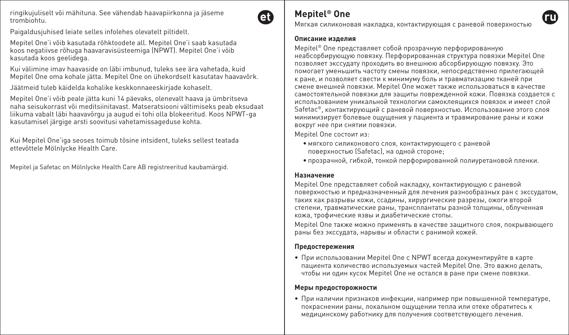ringikujuliselt või mähituna. See vähendab haavapiirkonna ja jäseme trombiohtu.

et

Paigaldusjuhised leiate selles infolehes olevatelt piltidelt.

Mepitel One'i võib kasutada rõhktoodete all. Mepitel One'i saab kasutada koos negatiivse rõhuga haavaravisüsteemiga (NPWT). Mepitel One'i võib kasutada koos geelidega.

Kui välimine imav haavaside on läbi imbunud, tuleks see ära vahetada, kuid Mepitel One oma kohale jätta. Mepitel One on ühekordselt kasutatav haavavõrk.

Jäätmeid tuleb käidelda kohalike keskkonnaeeskirjade kohaselt.

Mepitel One'i võib peale jätta kuni 14 päevaks, olenevalt haava ja ümbritseva naha seisukorrast või meditsiinitavast. Matseratsiooni vältimiseks peab eksudaat liikuma vabalt läbi haavavõrgu ja augud ei tohi olla blokeeritud. Koos NPWT-ga kasutamisel järgige arsti soovitusi vahetamissageduse kohta.

Kui Mepitel One'iga seoses toimub tõsine intsident, tuleks sellest teatada ettevõttele Mölnlycke Health Care.

Mepitel ja Safetac on Mölnlycke Health Care AB registreeritud kaubamärgid.

## **Mepitel® One**

Мягкая силиконовая накладка, контактирующая с раневой поверхностью

#### **Описание изделия**

Mepitel® One представляет собой прозрачную перфорированную неабсорбирующую повязку. Перфорированная структура повязки Mepitel One позволяет экссудату проходить во внешнюю абсорбирующую повязку. Это помогает уменьшить частоту смены повязки, непосредственно прилегающей к ране, и позволяет свести к минимуму боль и травматизацию тканей при смене внешней повязки. Mepitel One может также использоваться в качестве самостоятельной повязки для защиты поврежденной кожи. Повязка создается с использованием уникальной технологии самоклеящихся повязок и имеет слой Safetac®, контактирующий с раневой поверхностью. Использование этого слоя минимизирует болевые ощущения у пациента и травмирование раны и кожи вокруг нее при снятии повязки.

Mepitel One состоит из:

- мягкого силиконового слоя, контактирующего с раневой поверхностью (Safetac), на одной стороне;
- прозрачной, гибкой, тонкой перфорированной полиуретановой пленки.

#### **Назначение**

Mepitel One представляет собой накладку, контактирующую с раневой поверхностью и предназначенный для лечения разнообразных ран с экссудатом, таких как разрывы кожи, ссадины, хирургические разрезы, ожоги второй степени, травматические раны, трансплантаты разной толщины, облученная кожа, трофические язвы и диабетические стопы.

Mepitel One также можно применять в качестве защитного слоя, покрывающего раны без экссудата, нарывы и области с ранимой кожей.

#### **Предостережения**

• При использовании Mepitel One с NPWT всегда документируйте в карте пациента количество используемых частей Mepitel One. Это важно делать, чтобы ни один кусок Mepitel One не остался в ране при смене повязки.

#### **Меры предосторожности**

• При наличии признаков инфекции, например при повышенной температуре, покраснении раны, локальном ощущении тепла или отеке обратитесь к медицинскому работнику для получения соответствующего лечения.

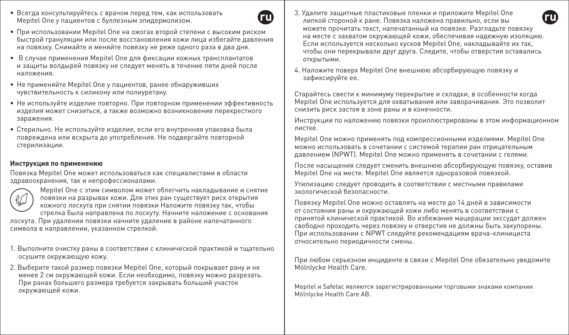• Всегда консультируйтесь с врачом перед тем, как использовать Mepitel One у пациентов с буллезным эпидермолизом.



- При использовании Mepitel One на ожогах второй степени с высоким риском быстрой грануляции или после восстановления кожи лица избегайте давления на повязку. Снимайте и меняйте повязку не реже одного раза в два дня.
- В случае применения Mepitel One для фиксации кожных трансплантатов и защиты волдырей повязку не следует менять в течение пяти дней после наложения.
- Не применяйте Mepitel One у пациентов, ранее обнаруживших чувствительность к силикону или полиуретану.
- Не используйте изделие повторно. При повторном применении эффективность изделия может снизиться, а также возможно возникновение перекрестного заражения.
- Стерильно. Не используйте изделие, если его внутренняя упаковка была повреждена или вскрыта до употребления. Не подвергайте повторной стерилизации.

#### **Инструкция по применению**

Повязка Mepitel One может использоваться как специалистами в области здравоохранения, так и непрофессионалами.



Mepitel One с этим символом может облегчить накладывание и снятие повязки на разрывах кожи. Для этих ран существует риск открытия кожного лоскута при снятии повязки Наложите повязку так, чтобы стрелка была направлена по лоскуту. Начните наложение с основания

лоскута. При удалении повязки начните удаление в районе напечатанного символа в направлении, указанном стрелкой.

- 1. Выполните очистку раны в соответствии с клинической практикой и тщательно осушите окружающую кожу.
- 2. Выберите такой размер повязки Mepitel One, который покрывает рану и не менее 2 см окружающей кожи. Если необходимо, повязку можно разрезать. При ранах большего размера требуется закрывать больший участок окружающей кожи.
- 3. Удалите защитные пластиковые пленки и приложите Mepitel One липкой стороной к ране. Повязка наложена правильно, если вы можете прочитать текст, напечатанный на повязке. Разгладьте повязку на месте с захватом окружающей кожи, обеспечивая надежную изоляцию. Если используется несколько кусков Mepitel One, накладывайте их так, чтобы они перекрывали друг друга. Следите, чтобы отверстия оставались открытыми.
- 4. Наложите поверх Mepitel One внешнюю абсорбирующую повязку и зафиксируйте ее.

Старайтесь свести к минимуму перекрытие и складки, в особенности когда Mepitel One используется для охватывания или заворачивания. Это позволит снизить риск застоя в зоне раны и в конечности.

Инструкции по наложению повязки проиллюстрированы в этом информационном листке.

Mepitel One можно применять под компрессионными изделиями. Mepitel One можно использовать в сочетании с системой терапии ран отрицательным давлением (NPWT). Mepitel One можно применять в сочетании с гелями.

После насыщения следует сменить внешнюю абсорбирующую повязку, оставив Mepitel One на месте. Mepitel One является одноразовой повязкой.

Утилизацию следует проводить в соответствии с местными правилами экологической безопасности.

Повязку Mepitel One можно оставлять на месте до 14 дней в зависимости от состояния раны и окружающей кожи либо менять в соответствии с принятой клинической практикой. Во избежание мацерации экссудат должен свободно проходить через повязку и отверстия не должны быть закупорены. При использовании с NPWT следуйте рекомендациям врача-клинициста относительно периодичности смены.

При любом серьезном инциденте в связи с Mepitel One обязательно уведомите Mölnlycke Health Care.

Mepitel и Safetac являются зарегистрированными торговыми знаками компании Mölnlycke Health Care AB.

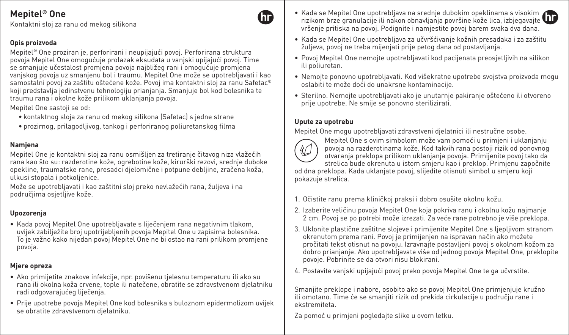Kontaktni sloj za ranu od mekog silikona

## **Opis proizvoda**

Mepitel® One proziran je, perforirani i neupijajući povoj. Perforirana struktura povoja Mepitel One omogućuje prolazak eksudata u vanjski upijajući povoj. Time se smanjuje učestalost promjena povoja najbližeg rani i omogućuje promjena vanjskog povoja uz smanjenu bol i traumu. Mepitel One može se upotrebljavati i kao samostalni povoj za zaštitu oštećene kože. Povoj ima kontaktni sloj za ranu Safetac® koji predstavlja jedinstvenu tehnologiju prianjanja. Smanjuje bol kod bolesnika te traumu rana i okolne kože prilikom uklanjanja povoja.

Mepitel One sastoji se od:

- kontaktnog sloja za ranu od mekog silikona (Safetac) s jedne strane
- prozirnog, prilagodljivog, tankog i perforiranog poliuretanskog filma

### **Namjena**

Mepitel One je kontaktni sloj za ranu osmišljen za tretiranje čitavog niza vlažećih rana kao što su: razderotine kože, ogrebotine kože, kirurški rezovi, srednje duboke opekline, traumatske rane, presadci djelomične i potpune debljine, zračena koža, ulkusi stopala i potkoljenice.

Može se upotrebljavati i kao zaštitni sloj preko nevlažećih rana, žuljeva i na područjima osjetljive kože.

### **Upozorenja**

• Kada povoj Mepitel One upotrebljavate s liječenjem rana negativnim tlakom, uvijek zabilježite broj upotrijebljenih povoja Mepitel One u zapisima bolesnika. To je važno kako nijedan povoj Mepitel One ne bi ostao na rani prilikom promjene povoja.

### **Mjere opreza**

- Ako primijetite znakove infekcije, npr. povišenu tjelesnu temperaturu ili ako su rana ili okolna koža crvene, tople ili natečene, obratite se zdravstvenom djelatniku radi odgovarajućeg liječenja.
- Prije upotrebe povoja Mepitel One kod bolesnika s buloznom epidermolizom uvijek se obratite zdravstvenom djelatniku.
- Kada se Mepitel One upotrebljava na srednje dubokim opeklinama s visokim rizikom brze granulacije ili nakon obnavljanja površine kože lica, izbjegavajte vršenje pritiska na povoj. Podignite i namjestite povoj barem svaka dva dana.
- Kada se Mepitel One upotrebljava za učvršćivanje kožnih presadaka i za zaštitu žuljeva, povoj ne treba mijenjati prije petog dana od postavljanja.
- Povoj Mepitel One nemojte upotrebljavati kod pacijenata preosjetljivih na silikon ili poliuretan.
- Nemojte ponovno upotrebljavati. Kod višekratne upotrebe svojstva proizvoda mogu oslabiti te može doći do unakrsne kontaminacije.
- Sterilno. Nemojte upotrebljavati ako je unutarnje pakiranje oštećeno ili otvoreno prije upotrebe. Ne smije se ponovno sterilizirati.

#### **Upute za upotrebu**

Mepitel One mogu upotrebljavati zdravstveni djelatnici ili nestručne osobe.



hr

Mepitel One s ovim simbolom može vam pomoći u primjeni i uklanjanju povoja na razderotinama kože. Kod takvih rana postoji rizik od ponovnog otvaranja preklopa prilikom uklanjanja povoja. Primijenite povoj tako da strelica bude okrenuta u istom smjeru kao i preklop. Primjenu započnite

od dna preklopa. Kada uklanjate povoj, slijedite otisnuti simbol u smjeru koji pokazuje strelica.

- 1. Očistite ranu prema kliničkoj praksi i dobro osušite okolnu kožu.
- 2. Izaberite veličinu povoja Mepitel One koja pokriva ranu i okolnu kožu najmanje 2 cm. Povoj se po potrebi može izrezati. Za veće rane potrebno je više preklopa.
- 3. Uklonite plastične zaštitne slojeve i primijenite Mepitel One s ljepljivom stranom okrenutom prema rani. Povoj je primijenjen na ispravan način ako možete pročitati tekst otisnut na povoju. Izravnajte postavljeni povoj s okolnom kožom za dobro prianjanje. Ako upotrebljavate više od jednog povoja Mepitel One, preklopite povoje. Pobrinite se da otvori nisu blokirani.
- 4. Postavite vanjski upijajući povoj preko povoja Mepitel One te ga učvrstite.

Smanjite preklope i nabore, osobito ako se povoj Mepitel One primjenjuje kružno ili omotano. Time će se smanjiti rizik od prekida cirkulacije u području rane i ekstremiteta.

Za pomoć u primjeni pogledajte slike u ovom letku.

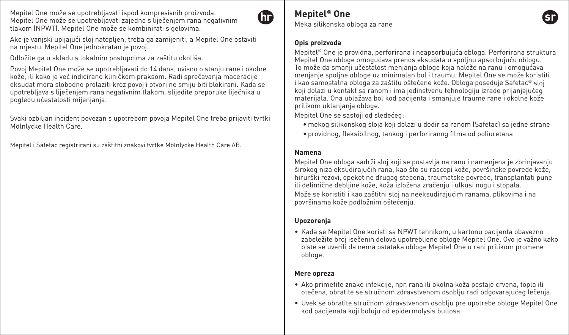Mepitel One može se upotrebljavati ispod kompresivnih proizvoda. Mepitel One može se upotrebljavati zajedno s liječenjem rana negativnim tlakom (NPWT). Mepitel One može se kombinirati s gelovima.



**Mepitel® One**

Meka silikonska obloga za rane

#### **Opis proizvoda**

Mepitel® One je providna, perforirana i neapsorbujuća obloga. Perforirana struktura Mepitel One obloge omogućava prenos eksudata u spoljnu apsorbujuću oblogu. To može da smanji učestalost menjanja obloge koja naleže na ranu i omogućava menjanje spoljne obloge uz minimalan bol i traumu. Mepitel One se može koristiti i kao samostalna obloga za zaštitu oštećene kože. Obloga poseduje Safetac® sloj koji dolazi u kontakt sa ranom i ima jedinstvenu tehnologiju izrade prijanjajućeg materijala. Ona ublažava bol kod pacijenta i smanjuje traume rane i okolne kože prilikom uklanjanja obloge.

Mepitel One se sastoji od sledećeg:

- mekog silikonskog sloja koji dolazi u dodir sa ranom (Safetac) sa jedne strane
- providnog, fleksibilnog, tankog i perforiranog filma od poliuretana

#### **Namena**

Mepitel One obloga sadrži sloj koji se postavlja na ranu i namenjena je zbrinjavanju širokog niza eksudirajućih rana, kao što su rascepi kože, površinske povrede kože, hirurški rezovi, opekotine drugog stepena, traumatske povrede, transplantati pune ili delimične debljine kože, koža izložena zračenju i ulkusi nogu i stopala. Može se koristiti i kao zaštitni sloj na neeksudirajućim ranama, plikovima i na površinama kože podložnim oštećenju.

#### **Upozorenja**

• Kada se Mepitel One koristi sa NPWT tehnikom, u kartonu pacijenta obavezno zabeležite broj isečenih delova upotrebljene obloge Mepitel One. Ovo je važno kako biste se uverili da nema ostataka obloge Mepitel One u rani prilikom promene obloge.

#### **Mere opreza**

- Ako primetite znake infekcije, npr. rana ili okolna koža postaje crvena, topla ili otečena, obratite se stručnom zdravstvenom osoblju radi odgovarajućeg lečenja.
- Uvek se obratite stručnom zdravstvenom osoblju pre upotrebe obloge Mepitel One kod pacijenata koji boluju od epidermolysis bullosa.

Ako je vanjski upijajući sloj natopljen, treba ga zamijeniti, a Mepitel One ostaviti na mjestu. Mepitel One jednokratan je povoj.

Odložite ga u skladu s lokalnim postupcima za zaštitu okoliša.

Povoj Mepitel One može se upotrebljavati do 14 dana, ovisno o stanju rane i okolne kože, ili kako je već indicirano kliničkom praksom. Radi sprečavanja maceracije eksudat mora slobodno prolaziti kroz povoj i otvori ne smiju biti blokirani. Kada se upotrebljava s liječenjem rana negativnim tlakom, slijedite preporuke liječnika u pogledu učestalosti mijenjanja.

Svaki ozbiljan incident povezan s upotrebom povoja Mepitel One treba prijaviti tvrtki Mölnlycke Health Care.

Mepitel i Safetac registrirani su zaštitni znakovi tvrtke Mölnlycke Health Care AB.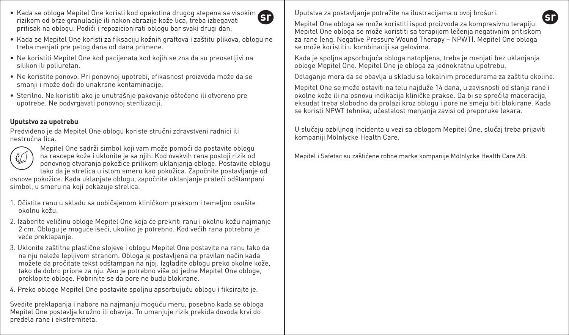- Kada se obloga Mepitel One koristi kod opekotina drugog stepena sa visokim rizikom od brze granulacije ili nakon abrazije kože lica, treba izbegavati pritisak na oblogu. Podići i repozicionirati oblogu bar svaki drugi dan.
- Kada se Mepitel One koristi za fiksaciju kožnih graftova i zaštitu plikova, oblogu ne treba menjati pre petog dana od dana primene.
- Ne koristiti Mepitel One kod pacijenata kod kojih se zna da su preosetljivi na silikon ili poliuretan.
- Ne koristite ponovo. Pri ponovnoj upotrebi, efikasnost proizvoda može da se smanji i može doći do unakrsne kontaminacije.
- Sterilno. Ne koristiti ako je unutrašnje pakovanje oštećeno ili otvoreno pre upotrebe. Ne podvrgavati ponovnoj sterilizaciji.

## **Uputstvo za upotrebu**

Predviđeno je da Mepitel One oblogu koriste stručni zdravstveni radnici ili nestručna lica.



Mepitel One sadrži simbol koji vam može pomoći da postavite oblogu na rascepe kože i uklonite je sa njih. Kod ovakvih rana postoji rizik od ponovnog otvaranja pokožice prilikom uklanjanja obloge. Postavite oblogu tako da je strelica u istom smeru kao pokožica. Započnite postavljanje od

osnove pokožice. Kada uklanjate oblogu, započnite uklanjanje prateći odštampani simbol, u smeru na koji pokazuje strelica.

- 1. Očistite ranu u skladu sa uobičajenom kliničkom praksom i temeljno osušite okolnu kožu.
- 2. Izaberite veličinu obloge Mepitel One koja će prekriti ranu i okolnu kožu najmanje 2 cm. Oblogu je moguće iseći, ukoliko je potrebno. Kod većih rana potrebno je veće preklapanje.
- 3. Uklonite zaštitne plastične slojeve i oblogu Mepitel One postavite na ranu tako da na nju naleže lepljivom stranom. Obloga je postavljena na pravilan način kada možete da pročitate tekst odštampan na njoj. Izgladite oblogu preko okolne kože, tako da dobro prione za nju. Ako je potrebno više od jedne Mepitel One obloge, preklopite obloge. Pobrinite se da pore ne budu blokirane.
- 4. Preko obloge Mepitel One postavite spoljnu apsorbujuću oblogu i fiksirajte je.

Svedite preklapanja i nabore na najmanju moguću meru, posebno kada se obloga Mepitel One postavlja kružno ili obavija. To umanjuje rizik prekida dovoda krvi do predela rane i ekstremiteta.

Uputstva za postavljanje potražite na ilustracijama u ovoj brošuri.

Mepitel One obloga se može koristiti ispod proizvoda za kompresivnu terapiju. Mepitel One obloga se može koristiti sa terapijom lečenja negativnim pritiskom za rane (eng. Negative Pressure Wound Therapy – NPWT). Mepitel One obloga se može koristiti u kombinaciji sa gelovima.

Kada je spoljna apsorbujuća obloga natopljena, treba je menjati bez uklanjanja obloge Mepitel One. Mepitel One je obloga za jednokratnu upotrebu.

Odlaganje mora da se obavlja u skladu sa lokalnim procedurama za zaštitu okoline.

Mepitel One se može ostaviti na telu najduže 14 dana, u zavisnosti od stanja rane i okolne kože ili na osnovu indikacija kliničke prakse. Da bi se sprečila maceracija, eksudat treba slobodno da prolazi kroz oblogu i pore ne smeju biti blokirane. Kada se koristi NPWT tehnika, učestalost menjanja zavisi od preporuke lekara.

U slučaju ozbiljnog incidenta u vezi sa oblogom Mepitel One, slučaj treba prijaviti kompaniji Mölnlycke Health Care.

Mepitel i Safetac su zaštićene robne marke kompanije Mölnlycke Health Care AB.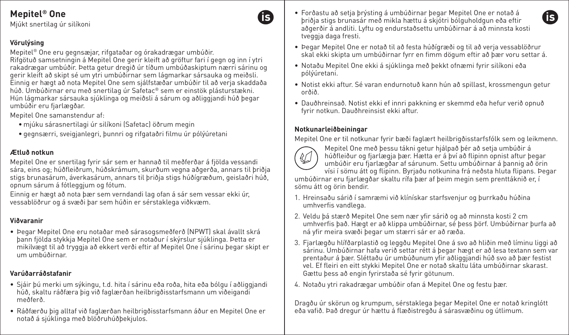Mjúkt snertilag úr silíkoni

## **Vörulýsing**

Mepitel® One eru gegnsæjar, rifgataðar og órakadrægar umbúðir. Rifgötuð samsetningin á Mepitel One gerir kleift að gröftur fari í gegn og inn í ytri rakadrægar umbúðir. Þetta getur dregið úr tíðum umbúðaskiptum nærri sárinu og gerir kleift að skipt sé um ytri umbúðirnar sem lágmarkar sársauka og meiðsli. Einnig er hægt að nota Mepitel One sem sjálfstæðar umbúðir til að verja skaddaða húð. Umbúðirnar eru með snertilag úr Safetac® sem er einstök plásturstækni. Hún lágmarkar sársauka sjúklinga og meiðsli á sárum og aðliggjandi húð þegar umbúðir eru fjarlægðar.

Mepitel One samanstendur af:

- mjúku sárasnertilagi úr silíkoni (Safetac) öðrum megin
- gegnsærri, sveigjanlegri, þunnri og rifgataðri filmu úr pólýúretani

## **Ætluð notkun**

Mepitel One er snertilag fyrir sár sem er hannað til meðferðar á fjölda vessandi sára, eins og; húðfleiðrum, húðskrámum, skurðum vegna aðgerða, annars til þriðja stigs brunasárum, áverkasárum, annars til þriðja stigs húðígræðum, geislaðri húð, opnum sárum á fótleggjum og fótum.

Einnig er hægt að nota þær sem verndandi lag ofan á sár sem vessar ekki úr, vessablöðrur og á svæði þar sem húðin er sérstaklega viðkvæm.

### **Viðvaranir**

• Þegar Mepitel One eru notaðar með sárasogsmeðferð (NPWT) skal ávallt skrá þann fjölda stykkja Mepitel One sem er notaður í skýrslur sjúklinga. Þetta er mikilvægt til að tryggja að ekkert verði eftir af Mepitel One í sárinu þegar skipt er um umbúðirnar.

## **Varúðarráðstafanir**

- Sjáir þú merki um sýkingu, t.d. hita í sárinu eða roða, hita eða bólgu í aðliggjandi húð, skaltu ráðfæra þig við faglærðan heilbrigðisstarfsmann um viðeigandi meðferð.
- Ráðfærðu þig alltaf við faglærðan heilbrigðisstarfsmann áður en Mepitel One er notað á sjúklinga með blöðruhúðþekjulos.
- Forðastu að setja þrýsting á umbúðirnar þegar Mepitel One er notað á þriðja stigs brunasár með mikla hættu á skjótri bólguholdgun eða eftir aðgerðir á andliti. Lyftu og endurstaðsettu umbúðirnar á að minnsta kosti tveggja daga fresti
- Þegar Mepitel One er notað til að festa húðígræði og til að verja vessablöðrur skal ekki skipta um umbúðirnar fyrr en fimm dögum eftir að þær voru settar á.
- Notaðu Mepitel One ekki á sjúklinga með þekkt ofnæmi fyrir silíkoni eða pólýúretani.
- Notist ekki aftur. Sé varan endurnotuð kann hún að spillast, krossmengun getur orðið.
- Dauðhreinsað. Notist ekki ef innri pakkning er skemmd eða hefur verið opnuð fyrir notkun. Dauðhreinsist ekki aftur.

#### **Notkunarleiðbeiningar**

Mepitel One er til notkunar fyrir bæði faglært heilbrigðisstarfsfólk sem og leikmenn.



fs)

Mepitel One með þessu tákni getur hjálpað þér að setja umbúðir á húðfleiður og fjarlægja þær. Hætta er á því að flipinn opnist aftur þegar umbúðir eru fjarlægðar af sárunum. Settu umbúðirnar á þannig að örin vísi í sömu átt og flipinn. Byrjaðu notkunina frá neðsta hluta flipans. Þegar

umbúðirnar eru fjarlægðar skaltu rífa þær af þeim megin sem prenttáknið er, í sömu átt og örin bendir.

- 1. Hreinsaðu sárið í samræmi við klínískar starfsvenjur og þurrkaðu húðina umhverfis vandlega.
- 2. Veldu þá stærð Mepitel One sem nær yfir sárið og að minnsta kosti 2 cm umhverfis það. Hægt er að klippa umbúðirnar, sé þess þörf. Umbúðirnar þurfa að ná yfir meira svæði þegar um stærri sár er að ræða.
- 3. Fjarlægðu hlífðarplastið og leggðu Mepitel One á svo að hliðin með líminu liggi að sárinu. Umbúðirnar hafa verið settar rétt á þegar hægt er að lesa textann sem var prentaður á þær. Sléttaðu úr umbúðunum yfir aðliggjandi húð svo að þær festist vel. Ef fleiri en eitt stykki Mepitel One er notað skaltu láta umbúðirnar skarast. Gættu þess að engin fyrirstaða sé fyrir götunum.
- 4. Notaðu ytri rakadrægar umbúðir ofan á Mepitel One og festu þær.

Dragðu úr skörun og krumpum, sérstaklega þegar Mepitel One er notað kringlótt eða vafið. Það dregur úr hættu á flæðistregðu á sárasvæðinu og útlimum.

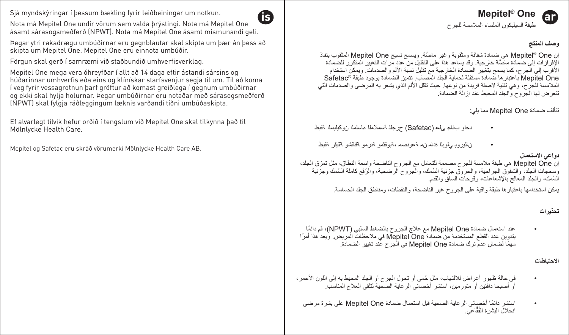Sjá myndskýringar í þessum bækling fyrir leiðbeiningar um notkun.

Nota má Mepitel One undir vörum sem valda þrýstingi. Nota má Mepitel One ásamt sárasogsmeðferð (NPWT). Nota má Mepitel One ásamt mismunandi geli.

Þegar ytri rakadrægu umbúðirnar eru gegnblautar skal skipta um þær án þess að skipta um Mepitel One. Mepitel One eru einnota umbúðir.

Förgun skal gerð í samræmi við staðbundið umhverfisverklag.

Mepitel One mega vera óhreyfðar í allt að 14 daga eftir ástandi sársins og húðarinnar umhverfis eða eins og klínískar starfsvenjur segja til um. Til að koma í veg fyrir vessagrotnun þarf gröftur að komast greiðlega í gegnum umbúðirnar og ekki skal hylja holurnar. Þegar umbúðirnar eru notaðar með sárasogsmeðferð (NPWT) skal fylgja ráðleggingum læknis varðandi tíðni umbúðaskipta.

Ef alvarlegt tilvik hefur orðið í tengslum við Mepitel One skal tilkynna það til Mölnlycke Health Care.

Mepitel og Safetac eru skráð vörumerki Mölnlycke Health Care AB.



## **Mepitel<sup>®</sup>** One

طبقة السيليكون الملساء الملامسة للجرح

وصف المنتج

6h

اِن Mepitel® One هي ضمادة شفافة ومثقوبة وغير ماصَّة. ويسمح نسيج Mepitel One المثقوب بنفاذ الإفر از ات إلى ضمادة ماصَّة خار جية٬ وقد يساعد هذا على التقليل من عدد مر ات التغيير المتكر ر للضمادة الأقرَبَ إلى الجر ح، كما يسمح بتغيير الصمادة الخار جية مع تقليل نسبة الألم والصدماتَ ۖ ويمكن استخدام Mepitel One باعتبار ها ضمادة مستقلة لحماية الجلد المصاب. تتميز الضمادة بوجود طبقة ®Safetac الملامسة للجرح، وهي تقَنية لاصفة فريدة من نوعها. حيث تقلل الألم الذي يشعر به المرضى والصدمات التي .<br>تتعرض لها الجروح والجلد المحيط عند إز الة الضمادة

تتألف ضمادة Mepitel One مما يلي:

- دهاو بـخاجـ ميذع (Safetac) حرجلا تسملاملا ءاسلملا ن وكيليسلا تقبط
- وزائد و در امریلا قدام زیم کمو نصیم وکمو کنیم و کنار مورک افغانش و کنیم به این مورد به در

**دواعي الاستعمال** 

إن Mepitel One هي طبقة ملامسة للجرح مصممة للتعامل مع الجروح الناضحة واسعة النطاق، مثل تعزق الجلد،<br>وسحجات الجلد، والشقوق الجراحية، والحروق جزئية السُمك، والجروح الرضحية، والرُقْع كاملة السُمك وجزئية المُمك، والجلد المعالج بالإشعاعات، وقرحات الساق والقدم

يمكن استخدامها باعتبار ها طبقة واقية على الجروح غير الناضحة، والنفطات، ومناطق الجلد الحساسة.

تحذیر ا*ت* 

عند استعمال ضمادة Mepitel One مع علاج الجروح بالضغط السلبي (NPWT)، قم دائمًا بتدوين عدد القطع المستخدمة من ضمادة Mepitel One في ملاحظات المريض. ويعد هذا أمرًا مهمًا لضمان عدم ترك ضمادة Mepitel One في الْجرح علا تغيير الضمادة.

**لاحتىاطات** 

- في حالة ظهور أعراض للالتهاب، مثل حُمي أو تحول الجرح أو الجلد المحيط به إلى اللون الأحمر، أو ّ أصبحا دافَنَين أو متورمين، استشر أخصائي الرعاية الصحية لتلقى العلاج المناسب.
- ستشر دائمًا أخصائي الرعاية الصحية قبل استعمال ضمادة Mepitel One على بشرة مرضى انحلال البشرة الفُقَّاعي.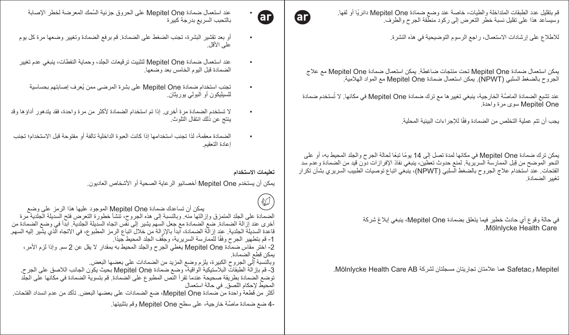قم بتقليل عدد الطبقات المتداخلة والطيات، خاصة عند وضع ضمادة Mepitel One دائريًا أو لفها. وسيساعد هذا على تقليل نسبة خطر التعرض إلى ركود منطّقة الجرح والطرف.

للاطلاع على إرشادات الاستعمال، راجع الرسوم التوضيحية في هذه النشرة.

يمكن استعمال ضمادة Mepitel One كتت منتجات ضاغطة. يمكن استعمال ضمادة Mepitel One مع علاج<br>الجروح بالضغط السلبي (NPWT). يمكن استعمال ضمادة Mepitel One مع المواد الهلامية.

عند تشبع الضمادة الماصنَّة الخارجية، ينبغي تغيير ها مع ترك ضمادة Mepitel One في مكانها. لا تُستخدم ضمادة<br>Mepitel One سوى مرة واحدة.

يجب أن تتم عملية التخلص من الضمادة وفقًا للإجراءات البيئية المحلية.

بمكن ترك ضمادة Menitel One في مكانها لمدة تصل الى 14 بومًا تبعًا لحالة الحراج والحلد المحيط به، أو اعلى النحو الموضح من قِبل الممارسة السريرية. لمنع حدوث تعطين، ينبغي نفاذ الإفر از ات دون قيد من الضمادة و عدم سد الفتحات. عند استخدام علاج الجروح بالضغط السلبي (NPWT)، ينبغي اتباع توصيات الطبيب السريري بشأن تكرار ۔<br>تغییر الضمادة

> في حالة وقوع أي حادث خطير فيما يتعلق بضمادة Mepitel One، ينبغي إبلاغ شركة .Mölnlycke Health Care

Mölnlycke Health Care AB هما علامتان تجاريتان مسجلتان لشركة Mölnlycke Health Care AB.



- عند استعمال ضمادة Mepitel One على الحروق جزئية السُمك المعرضة لخطر الإصابة بالتحبب السريع بدرجة كبيرة
- أو بعد تقشير البشرة، تجنب الضغط على الضمادة. قم برفع الضمادة وتغيير وضعها مرة كل يوم علمي الأقل.
- عند استعمال ضمادة Mepitel One لتثبيت ترقيعات الجلد، وحماية النفطات، ينبغي عدم تغيير الضمادة قبل اليوم الخامس بعد وضعها
	- تجنب استخدام ضمادة Mepitel One على بشرة المرضى ممن يُعرف إصابتهم بحساسية للسيليكون أو البولمي يوريئان.
- لا تستخدم الضمادة مرة أخرى. إذا تم استخدام الضمادة لأكثر من مرة واحدة، فقد يتدهور أداؤها وقد ينتج عن ذلك انتقال التلوث.
- الضمادة معقمة، لذا تجنب استخدامها إذا كانت العبوة الداخلية تالفة أو مفتوحة قبل الاستخدام؛ تجنب اعادة التعقيم

تعليمات الاستخدام

يمكن أن يستخدم Mepitel One أخصائيو الرعاية الصحية أو الأشخاص العاديون.

ϊοϭϰϠϋίϣέϟΫϫΎϬϳϠϋΩϭΟϭϣϟ0HSLWHO2QHΓΩΎϣοϙΩϋΎγΗϥϥϛϣϳ ΓέϣΔϳΩϠΟϟΔϠϳΩγϟΗϓνέόΗϟΓέϭρΧ΄ηϧΗˬΡϭέΟϟϩΫϫϰϟ·ΔΑγϧϟΎΑϭϪϧϣΎϬΗϟί·ϭϕίϣΗϣϟΩϠΟϟϰϠϋΓΩΎϣοϟ أخرى عند إزالة الضمادة. ضع الضمادة مع جعل السهم يشير إلى نفس اتجاه السديلة الجلدية. ابدأ في وضع الضمادة من قاعدة السديلة الجلدية. عند إزالّة الضمادة، آبدأ بالإزالة من خلال اتباع الرمز المطبوع، في الاتجاه الّذي يشّير اليه السهم. 1- قم بتطهير الجرح وفقًا للممارسة السريرية، وجفْف الجلد المحيط جيدًا. 2- اخْتَر مقاس ضمادة Mepitel One يغطي الجرح والجلد المحيط به بمقدار لا يقل عن 2 سم. وإذا لزم الأمر، يمكن قطع الضمادة. وبالنِّسبة إلى الجروح الكبيرة، يلزم وضع المزيد من الضمادات على بعضها البعض. 3- قم بازآلة الطبقات البلاستيكية الواقية، وضع ضمادة Mepitel One بحيث يكون الجانب اللاصق على الجرح. توضع الضمادة بطريقة صحيحة عندما تقرأ النّص المطبوع على الضمادة. قم بتسوية الضمادة في مكانها على الجلّد المحبط لإحكام اللصيق في حالة استعمال أكثر من قطعةً واحدة من منعادة Mepitel One، ضم الضمادات على بعضها البعض. تأكد من عدم انسداد الفتحات. -4 ضبع ضمادة ماصَّة خار جية، على سطح Mepitel One وقع بتثبيتها.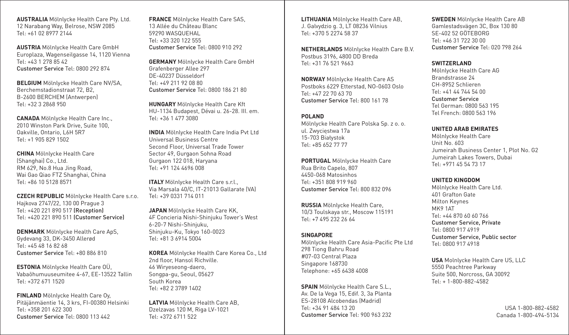**AUSTRALIA** Mölnlycke Health Care Pty. Ltd. 12 Narabang Way, Belrose, NSW 2085 Tel: +61 02 8977 2144

**AUSTRIA** Mölnlycke Health Care GmbH Europlaza, Wagenseilgasse 14, 1120 Vienna Tel: +43 1 278 85 42 Customer Service Tel: 0800 292 874

**BELGIUM** Mölnlycke Health Care NV/SA, Berchemstadionstraat 72, B2, B-2600 BERCHEM (Antwerpen) Tel: +32 3 2868 950

**CANADA** Mölnlycke Health Care Inc., 2010 Winston Park Drive, Suite 100, Oakville, Ontario, L6H 5R7 Tel: +1 905 829 1502

**CHINA** Mölnlycke Health Care (Shanghai) Co., Ltd. RM 629, No.8 Hua Jing Road, Wai Gao Qiao FTZ Shanghai, China Tel: +86 10 5128 8571

**CZECH REPUBLIC** Mölnlycke Health Care s.r.o. Hajkova 2747/22, 130 00 Prague 3 Tel: +420 221 890 517 (Reception) Tel: +420 221 890 511 (Customer Service)

**DENMARK** Mölnlycke Health Care ApS. Gydevang 33, DK-3450 Allerød Tel: +45 48 16 82 68 Customer Service Tel: +80 886 810

**ESTONIA** Mölnlycke Health Care OÜ, Vabaõhumuuseumitee 4-67, EE-13522 Tallin Tel: +372 671 1520

**FINLAND** Mölnlycke Health Care Oy, Pitäjänmäentie 14, 3 krs, FI-00380 Helsinki Tel: +358 201 622 300 Customer Service Tel: 0800 113 442

**FRANCE** Mölnlycke Health Care SAS, 13 Allée du Château Blanc 59290 WASQUEHAL Tel: +33 320 122 555 Customer Service Tel: 0800 910 292

**GERMANY** Mölnlycke Health Care GmbH Grafenberger Allee 297 DE-40237 Düsseldorf Tel: +49 211 92 08 80 Customer Service Tel: 0800 186 21 80

**HUNGARY** Mölnlycke Health Care Kft HU-1134 Budapest, Dévai u. 26-28. III. em. Tel: +36 1 477 3080

**INDIA** Mölnlycke Health Care India Pvt Ltd Universal Business Centre Second Floor, Universal Trade Tower Sector 49, Gurgaon Sohna Road Gurgaon 122 018, Haryana Tel: +91 124 4696 008

**ITALY** Mölnlycke Health Care s.r.l., Via Marsala 40/C, IT-21013 Gallarate (VA) Tel: +39 0331 714 011

**JAPAN** Mölnlycke Health Care KK, 4F Concieria Nishi-Shinjuku Tower's West 6-20-7 Nishi-Shinjuku, Shinjuku-Ku, Tokyo 160-0023 Tel: +81 3 6914 5004

**KOREA** Mölnlycke Health Care Korea Co., Ltd 2nd floor, Hansol Richville. 46 Wiryeseong-daero, Songpa-gu, Seoul, 05627 South Korea Tel: +82 2 3789 1402

**LATVIA** Mölnlycke Health Care AB, Dzelzavas 120 M, Riga LV-1021 Tel: +372 6711 522

**LITHUANIA** Mölnlycke Health Care AB, J. Galvydzio g. 3, LT 08236 Vilnius Tel: +370 5 2274 58 37

**NETHERLANDS** Mölnlycke Health Care B.V. Postbus 3196, 4800 DD Breda Tel: +31 76 521 9663

**NORWAY** Mölnlycke Health Care AS Postboks 6229 Etterstad, NO-0603 Oslo Tel: +47 22 70 63 70 Customer Service Tel: 800 161 78

**POLAND** Mölnlycke Health Care Polska Sp. z o. o. ul. Zwycięstwa 17a 15-703 Białystok Tel: +85 652 77 77

**PORTUGAL** Mölnlycke Health Care Rua Brito Capelo, 807 4450-068 Matosinhos Tel: +351 808 919 960 Customer Service Tel: 800 832 096

**RUSSIA** Mölnlycke Health Care, 10/3 Toulskaya str., Moscow 115191 Tel: +7 495 232 26 64

#### **SINGAPORE**

Mölnlycke Health Care Asia-Pacific Pte Ltd 298 Tiong Bahru Road #07-03 Central Plaza Singapore 168730 Telephone: +65 6438 4008

**SPAIN** Mölnlycke Health Care S.L., Av. De la Vega 15, Edif. 3, 3a Planta ES-28108 Alcobendas (Madrid) Tel: +34 91 484 13 20 Customer Service Tel: 900 963 232 **SWEDEN** Mölnlycke Health Care AB Gamlestadsvägen 3C, Box 130 80 SE-402 52 GÖTEBORG Tel: +46 31 722 30 00 Customer Service Tel: 020 798 264

#### **SWITZERLAND**

Mölnlycke Health Care AG Brandstrasse 24 CH-8952 Schlieren Tel: +41 44 744 54 00 Customer Service Tel German: 0800 563 195 Tel French: 0800 563 196

#### **UNITED ARAB EMIRATES**

Mölnlycke Health Care Unit No. 603 Jumeirah Business Center 1, Plot No. G2 Jumeirah Lakes Towers, Dubai Tel: +971 45 54 73 17

#### **UNITED KINGDOM**

Mölnlycke Health Care Ltd. 401 Grafton Gate Milton Keynes MK9 1AT Tel: +44 870 60 60 766 Customer Service, Private Tel: 0800 917 4919 Customer Service, Public sector Tel: 0800 917 4918

**USA** Molnlycke Health Care US, LLC 5550 Peachtree Parkway Suite 500, Norcross, GA 30092 Tel: + 1-800-882-4582

> USA 1-800-882-4582 Canada 1-800-494-5134